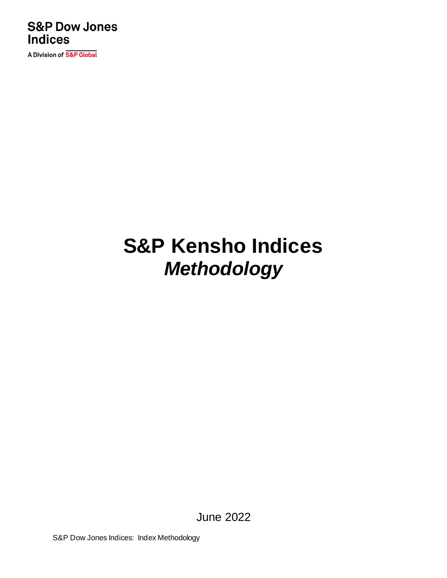

A Division of S&P Global

# **S&P Kensho Indices** *Methodology*

June 2022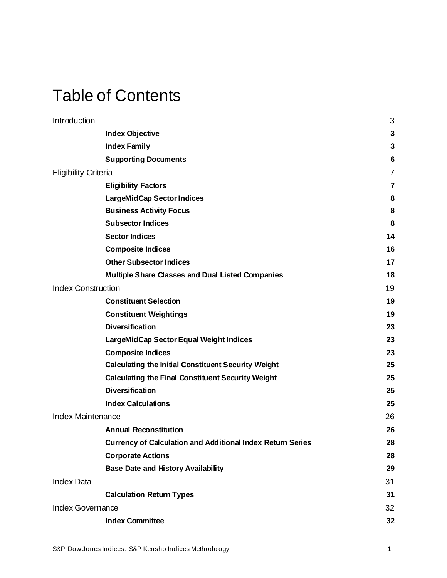# Table of Contents

| Introduction                |                                                                   | 3              |
|-----------------------------|-------------------------------------------------------------------|----------------|
|                             | <b>Index Objective</b>                                            | 3              |
|                             | <b>Index Family</b>                                               | 3              |
|                             | <b>Supporting Documents</b>                                       | 6              |
| <b>Eligibility Criteria</b> |                                                                   | $\overline{7}$ |
|                             | <b>Eligibility Factors</b>                                        | 7              |
|                             | <b>LargeMidCap Sector Indices</b>                                 | 8              |
|                             | <b>Business Activity Focus</b>                                    | 8              |
|                             | <b>Subsector Indices</b>                                          | 8              |
|                             | <b>Sector Indices</b>                                             | 14             |
|                             | <b>Composite Indices</b>                                          | 16             |
|                             | <b>Other Subsector Indices</b>                                    | 17             |
|                             | Multiple Share Classes and Dual Listed Companies                  | 18             |
| <b>Index Construction</b>   |                                                                   | 19             |
|                             | <b>Constituent Selection</b>                                      | 19             |
|                             | <b>Constituent Weightings</b>                                     | 19             |
|                             | <b>Diversification</b>                                            | 23             |
|                             | LargeMidCap Sector Equal Weight Indices                           | 23             |
|                             | <b>Composite Indices</b>                                          | 23             |
|                             | <b>Calculating the Initial Constituent Security Weight</b>        | 25             |
|                             | <b>Calculating the Final Constituent Security Weight</b>          | 25             |
|                             | <b>Diversification</b>                                            | 25             |
|                             | <b>Index Calculations</b>                                         | 25             |
| <b>Index Maintenance</b>    |                                                                   | 26             |
|                             | <b>Annual Reconstitution</b>                                      | 26             |
|                             | <b>Currency of Calculation and Additional Index Return Series</b> | 28             |
|                             | <b>Corporate Actions</b>                                          | 28             |
|                             | <b>Base Date and History Availability</b>                         | 29             |
| <b>Index Data</b>           |                                                                   | 31             |
|                             | <b>Calculation Return Types</b>                                   | 31             |
| Index Governance            |                                                                   | 32             |
|                             | <b>Index Committee</b>                                            | 32             |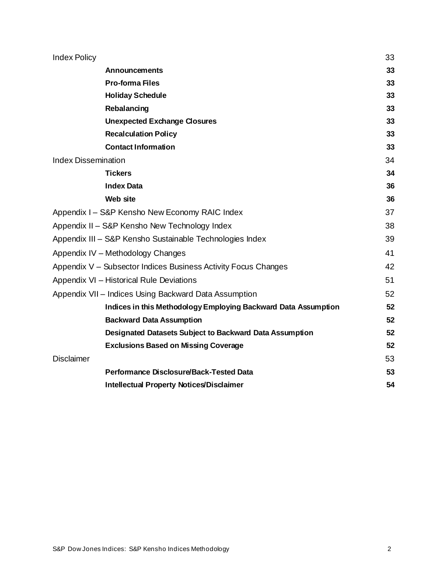| <b>Index Policy</b>                                            | 33 |
|----------------------------------------------------------------|----|
| <b>Announcements</b>                                           | 33 |
| <b>Pro-forma Files</b>                                         | 33 |
| <b>Holiday Schedule</b>                                        | 33 |
| Rebalancing                                                    | 33 |
| <b>Unexpected Exchange Closures</b>                            | 33 |
| <b>Recalculation Policy</b>                                    | 33 |
| <b>Contact Information</b>                                     | 33 |
| <b>Index Dissemination</b>                                     | 34 |
| <b>Tickers</b>                                                 | 34 |
| <b>Index Data</b>                                              | 36 |
| Web site                                                       | 36 |
| Appendix I - S&P Kensho New Economy RAIC Index                 | 37 |
| Appendix II - S&P Kensho New Technology Index                  | 38 |
| Appendix III - S&P Kensho Sustainable Technologies Index       | 39 |
| Appendix IV - Methodology Changes                              | 41 |
| Appendix V - Subsector Indices Business Activity Focus Changes | 42 |
| Appendix VI - Historical Rule Deviations                       | 51 |
| Appendix VII - Indices Using Backward Data Assumption          | 52 |
| Indices in this Methodology Employing Backward Data Assumption | 52 |
| <b>Backward Data Assumption</b>                                | 52 |
| Designated Datasets Subject to Backward Data Assumption        | 52 |
| <b>Exclusions Based on Missing Coverage</b>                    | 52 |
| <b>Disclaimer</b>                                              | 53 |
| <b>Performance Disclosure/Back-Tested Data</b>                 | 53 |
| <b>Intellectual Property Notices/Disclaimer</b>                | 54 |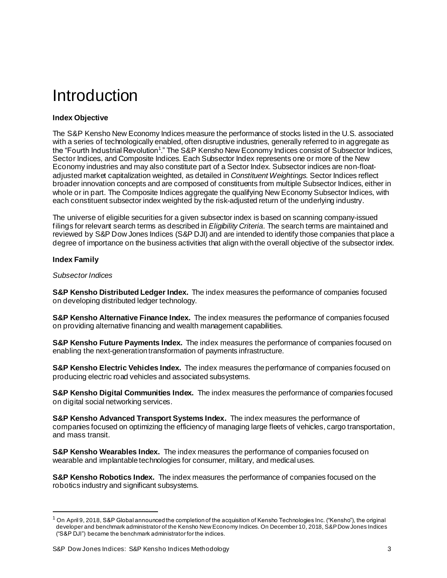# <span id="page-3-0"></span>Introduction

# <span id="page-3-1"></span>**Index Objective**

The S&P Kensho New Economy Indices measure the performance of stocks listed in the U.S. associated with a series of technologically enabled, often disruptive industries, generally referred to in aggregate as the "Fourth Industrial Revolution<sup>1</sup>." The S&P Kensho New Economy Indices consist of Subsector Indices, Sector Indices, and Composite Indices. Each Subsector Index represents one or more of the New Economy industries and may also constitute part of a Sector Index. Subsector indices are non-floatadjusted market capitalization weighted, as detailed in *Constituent Weightings.* Sector Indices reflect broader innovation concepts and are composed of constituents from multiple Subsector Indices, either in whole or in part. The Composite Indices aggregate the qualifying New Economy Subsector Indices, with each constituent subsector index weighted by the risk-adjusted return of the underlying industry.

The universe of eligible securities for a given subsector index is based on scanning company-issued filings for relevant search terms as described in *Eligibility Criteria*. The search terms are maintained and reviewed by S&P Dow Jones Indices (S&P DJI) and are intended to identify those companies that place a degree of importance on the business activities that align with the overall objective of the subsector index.

### <span id="page-3-2"></span>**Index Family**

### *Subsector Indices*

**S&P Kensho Distributed Ledger Index.** The index measures the performance of companies focused on developing distributed ledger technology.

**S&P Kensho Alternative Finance Index.** The index measures the performance of companies focused on providing alternative financing and wealth management capabilities.

**S&P Kensho Future Payments Index.** The index measures the performance of companies focused on enabling the next-generation transformation of payments infrastructure.

**S&P Kensho Electric Vehicles Index.** The index measures the performance of companies focused on producing electric road vehicles and associated subsystems.

**S&P Kensho Digital Communities Index.** The index measures the performance of companies focused on digital social networking services.

**S&P Kensho Advanced Transport Systems Index.** The index measures the performance of companies focused on optimizing the efficiency of managing large fleets of vehicles, cargo transportation, and mass transit.

**S&P Kensho Wearables Index.** The index measures the performance of companies focused on wearable and implantable technologies for consumer, military, and medical uses.

**S&P Kensho Robotics Index.** The index measures the performance of companies focused on the robotics industry and significant subsystems.

 $^{\rm 1}$  On April 9, 2018, S&P Global announced the completion of the acquisition of Kensho Technologies Inc. ("Kensho"), the original developer and benchmark administrator of the Kensho New Economy Indices. On December 10, 2018, S&P Dow Jones Indices ("S&P DJI") became the benchmark administrator for the indices.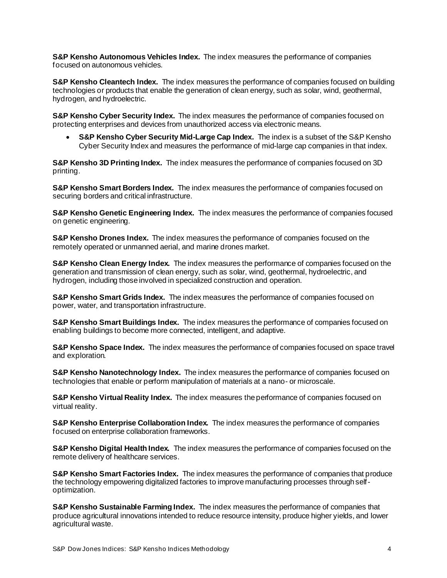**S&P Kensho Autonomous Vehicles Index.** The index measures the performance of companies focused on autonomous vehicles.

**S&P Kensho Cleantech Index.** The index measures the performance of companies focused on building technologies or products that enable the generation of clean energy, such as solar, wind, geothermal, hydrogen, and hydroelectric.

**S&P Kensho Cyber Security Index.** The index measures the performance of companies focused on protecting enterprises and devices from unauthorized access via electronic means.

• **S&P Kensho Cyber Security Mid-Large Cap Index.** The index is a subset of the S&P Kensho Cyber Security Index and measures the performance of mid-large cap companies in that index.

**S&P Kensho 3D Printing Index.** The index measures the performance of companies focused on 3D printing.

**S&P Kensho Smart Borders Index.** The index measures the performance of companies focused on securing borders and critical infrastructure.

**S&P Kensho Genetic Engineering Index.** The index measures the performance of companies focused on genetic engineering.

**S&P Kensho Drones Index.** The index measures the performance of companies focused on the remotely operated or unmanned aerial, and marine drones market.

**S&P Kensho Clean Energy Index.** The index measures the performance of companies focused on the generation and transmission of clean energy, such as solar, wind, geothermal, hydroelectric, and hydrogen, including those involved in specialized construction and operation.

**S&P Kensho Smart Grids Index.** The index measures the performance of companies focused on power, water, and transportation infrastructure.

**S&P Kensho Smart Buildings Index.** The index measures the performance of companies focused on enabling buildings to become more connected, intelligent, and adaptive.

**S&P Kensho Space Index.** The index measures the performance of companies focused on space travel and exploration.

**S&P Kensho Nanotechnology Index.** The index measures the performance of companies focused on technologies that enable or perform manipulation of materials at a nano- or microscale.

**S&P Kensho Virtual Reality Index.** The index measures the performance of companies focused on virtual reality.

**S&P Kensho Enterprise Collaboration Index.** The index measures the performance of companies focused on enterprise collaboration frameworks.

**S&P Kensho Digital Health Index.** The index measures the performance of companies focused on the remote delivery of healthcare services.

**S&P Kensho Smart Factories Index.** The index measures the performance of companies that produce the technology empowering digitalized factories to improve manufacturing processes through selfoptimization.

**S&P Kensho Sustainable Farming Index.** The index measures the performance of companies that produce agricultural innovations intended to reduce resource intensity, produce higher yields, and lower agricultural waste.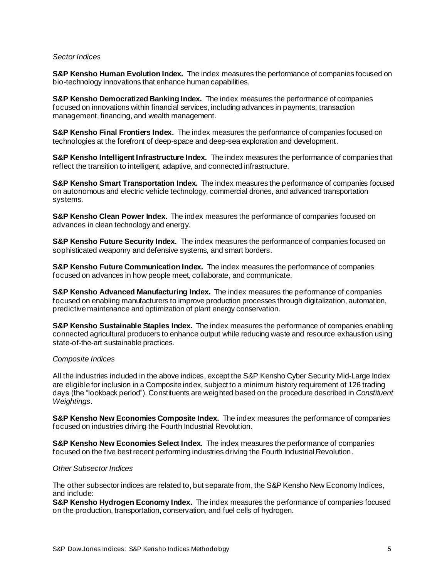#### *Sector Indices*

**S&P Kensho Human Evolution Index.** The index measures the performance of companies focused on bio-technology innovations that enhance human capabilities.

**S&P Kensho Democratized Banking Index.** The index measures the performance of companies focused on innovations within financial services, including advances in payments, transaction management, financing, and wealth management.

**S&P Kensho Final Frontiers Index.** The index measures the performance of companies focused on technologies at the forefront of deep-space and deep-sea exploration and development.

**S&P Kensho Intelligent Infrastructure Index.** The index measures the performance of companies that reflect the transition to intelligent, adaptive, and connected infrastructure.

**S&P Kensho Smart Transportation Index.** The index measures the performance of companies focused on autonomous and electric vehicle technology, commercial drones, and advanced transportation systems.

**S&P Kensho Clean Power Index.** The index measures the performance of companies focused on advances in clean technology and energy.

**S&P Kensho Future Security Index.** The index measures the performance of companies focused on sophisticated weaponry and defensive systems, and smart borders.

**S&P Kensho Future Communication Index.** The index measures the performance of companies focused on advances in how people meet, collaborate, and communicate.

**S&P Kensho Advanced Manufacturing Index.** The index measures the performance of companies focused on enabling manufacturers to improve production processes through digitalization, automation, predictive maintenance and optimization of plant energy conservation.

**S&P Kensho Sustainable Staples Index.** The index measures the performance of companies enabling connected agricultural producers to enhance output while reducing waste and resource exhaustion using state-of-the-art sustainable practices.

#### *Composite Indices*

All the industries included in the above indices, except the S&P Kensho Cyber Security Mid-Large Index are eligible for inclusion in a Composite index, subject to a minimum history requirement of 126 trading days (the "lookback period"). Constituents are weighted based on the procedure described in *Constituent Weightings*.

**S&P Kensho New Economies Composite Index.** The index measures the performance of companies focused on industries driving the Fourth Industrial Revolution.

**S&P Kensho New Economies Select Index.** The index measures the performance of companies focused on the five best recent performing industries driving the Fourth Industrial Revolution.

#### *Other Subsector Indices*

The other subsector indices are related to, but separate from, the S&P Kensho New Economy Indices, and include:

**S&P Kensho Hydrogen Economy Index.** The index measures the performance of companies focused on the production, transportation, conservation, and fuel cells of hydrogen.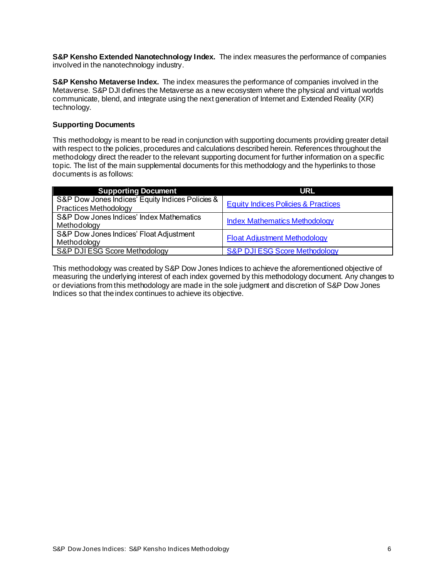**S&P Kensho Extended Nanotechnology Index.** The index measures the performance of companies involved in the nanotechnology industry.

**S&P Kensho Metaverse Index.** The index measures the performance of companies involved in the Metaverse. S&P DJI defines the Metaverse as a new ecosystem where the physical and virtual worlds communicate, blend, and integrate using the next generation of Internet and Extended Reality (XR) technology.

### <span id="page-6-0"></span>**Supporting Documents**

This methodology is meant to be read in conjunction with supporting documents providing greater detail with respect to the policies, procedures and calculations described herein. References throughout the methodology direct the reader to the relevant supporting document for further information on a specific topic. The list of the main supplemental documents for this methodology and the hyperlinks to those documents is as follows:

| <b>Supporting Document</b>                       | URL                                            |
|--------------------------------------------------|------------------------------------------------|
| S&P Dow Jones Indices' Equity Indices Policies & | <b>Equity Indices Policies &amp; Practices</b> |
| <b>Practices Methodology</b>                     |                                                |
| S&P Dow Jones Indices' Index Mathematics         | <b>Index Mathematics Methodology</b>           |
| Methodology                                      |                                                |
| S&P Dow Jones Indices' Float Adjustment          | <b>Float Adjustment Methodology</b>            |
| Methodology                                      |                                                |
| S&P DJIESG Score Methodology                     | <b>S&amp;P DJI ESG Score Methodology</b>       |

This methodology was created by S&P Dow Jones Indices to achieve the aforementioned objective of measuring the underlying interest of each index governed by this methodology document. Any changes to or deviations from this methodology are made in the sole judgment and discretion of S&P Dow Jones Indices so that the index continues to achieve its objective.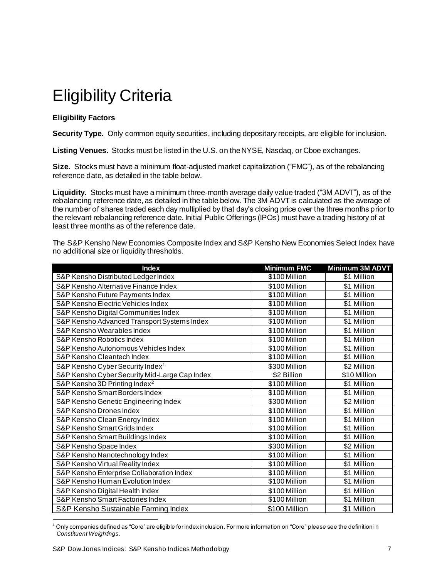# <span id="page-7-0"></span>Eligibility Criteria

# <span id="page-7-1"></span>**Eligibility Factors**

**Security Type.** Only common equity securities, including depositary receipts, are eligible for inclusion.

**Listing Venues.** Stocks must be listed in the U.S. on the NYSE, Nasdaq, or Cboe exchanges.

**Size.** Stocks must have a minimum float-adjusted market capitalization ("FMC"), as of the rebalancing reference date, as detailed in the table below.

**Liquidity.** Stocks must have a minimum three-month average daily value traded ("3M ADVT"), as of the rebalancing reference date, as detailed in the table below. The 3M ADVT is calculated as the average of the number of shares traded each day multiplied by that day's closing price over the three months prior to the relevant rebalancing reference date. Initial Public Offerings (IPOs) must have a trading history of at least three months as of the reference date.

The S&P Kensho New Economies Composite Index and S&P Kensho New Economies Select Index have no additional size or liquidity thresholds.

| <b>Index</b>                                  | <b>Minimum FMC</b> | <b>Minimum 3M ADVT</b> |
|-----------------------------------------------|--------------------|------------------------|
| S&P Kensho Distributed Ledger Index           | \$100 Million      | \$1 Million            |
| S&P Kensho Alternative Finance Index          | \$100 Million      | \$1 Million            |
| S&P Kensho Future Payments Index              | \$100 Million      | \$1 Million            |
| S&P Kensho Electric Vehicles Index            | \$100 Million      | \$1 Million            |
| S&P Kensho Digital Communities Index          | \$100 Million      | \$1 Million            |
| S&P Kensho Advanced Transport Systems Index   | \$100 Million      | \$1 Million            |
| S&P Kensho Wearables Index                    | \$100 Million      | \$1 Million            |
| S&P Kensho Robotics Index                     | \$100 Million      | \$1 Million            |
| S&P Kensho Autonomous Vehicles Index          | \$100 Million      | \$1 Million            |
| S&P Kensho Cleantech Index                    | \$100 Million      | \$1 Million            |
| S&P Kensho Cyber Security Index <sup>1</sup>  | \$300 Million      | \$2 Million            |
| S&P Kensho Cyber Security Mid-Large Cap Index | \$2 Billion        | \$10 Million           |
| S&P Kensho 3D Printing Index <sup>2</sup>     | \$100 Million      | \$1 Million            |
| S&P Kensho Smart Borders Index                | \$100 Million      | \$1 Million            |
| S&P Kensho Genetic Engineering Index          | \$300 Million      | \$2 Million            |
| S&P Kensho Drones Index                       | \$100 Million      | \$1 Million            |
| S&P Kensho Clean Energy Index                 | \$100 Million      | \$1 Million            |
| S&P Kensho Smart Grids Index                  | \$100 Million      | \$1 Million            |
| S&P Kensho Smart Buildings Index              | \$100 Million      | \$1 Million            |
| S&P Kensho Space Index                        | \$300 Million      | \$2 Million            |
| S&P Kensho Nanotechnology Index               | \$100 Million      | \$1 Million            |
| S&P Kensho Virtual Reality Index              | \$100 Million      | \$1 Million            |
| S&P Kensho Enterprise Collaboration Index     | \$100 Million      | \$1 Million            |
| S&P Kensho Human Evolution Index              | \$100 Million      | \$1 Million            |
| S&P Kensho Digital Health Index               | \$100 Million      | \$1 Million            |
| S&P Kensho Smart Factories Index              | \$100 Million      | \$1 Million            |
| S&P Kensho Sustainable Farming Index          | \$100 Million      | \$1 Million            |

 $^1$  Only companies defined as "Core" are eligible for index inclusion. For more information on "Core" please see the definition in *Constituent Weightings*.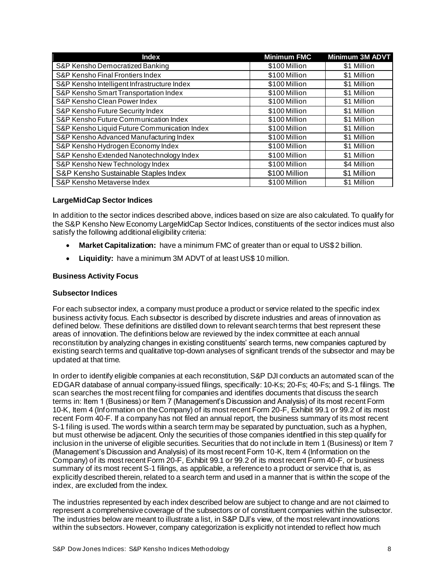| <b>Index</b>                                 | <b>Minimum FMC</b> | <b>Minimum 3M ADVT</b> |
|----------------------------------------------|--------------------|------------------------|
| S&P Kensho Democratized Banking              | \$100 Million      | \$1 Million            |
| S&P Kensho Final Frontiers Index             | \$100 Million      | \$1 Million            |
| S&P Kensho Intelligent Infrastructure Index  | \$100 Million      | \$1 Million            |
| S&P Kensho Smart Transportation Index        | \$100 Million      | \$1 Million            |
| S&P Kensho Clean Power Index                 | \$100 Million      | \$1 Million            |
| S&P Kensho Future Security Index             | \$100 Million      | \$1 Million            |
| S&P Kensho Future Communication Index        | \$100 Million      | \$1 Million            |
| S&P Kensho Liquid Future Communication Index | \$100 Million      | \$1 Million            |
| S&P Kensho Advanced Manufacturing Index      | \$100 Million      | \$1 Million            |
| S&P Kensho Hydrogen Economy Index            | \$100 Million      | \$1 Million            |
| S&P Kensho Extended Nanotechnology Index     | \$100 Million      | \$1 Million            |
| S&P Kensho New Technology Index              | \$100 Million      | \$4 Million            |
| S&P Kensho Sustainable Staples Index         | \$100 Million      | \$1 Million            |
| S&P Kensho Metaverse Index                   | \$100 Million      | \$1 Million            |

### <span id="page-8-0"></span>**LargeMidCap Sector Indices**

In addition to the sector indices described above, indices based on size are also calculated. To qualify for the S&P Kensho New Economy LargeMidCap Sector Indices, constituents of the sector indices must also satisfy the following additional eligibility criteria:

- **Market Capitalization:** have a minimum FMC of greater than or equal to US\$ 2 billion.
- **Liquidity:** have a minimum 3M ADVT of at least US\$ 10 million.

### <span id="page-8-1"></span>**Business Activity Focus**

### <span id="page-8-2"></span>**Subsector Indices**

For each subsector index, a company must produce a product or service related to the specific index business activity focus. Each subsector is described by discrete industries and areas of innovation as defined below. These definitions are distilled down to relevant search terms that best represent these areas of innovation. The definitions below are reviewed by the index committee at each annual reconstitution by analyzing changes in existing constituents' search terms, new companies captured by existing search terms and qualitative top-down analyses of significant trends of the subsector and may be updated at that time.

In order to identify eligible companies at each reconstitution, S&P DJI conducts an automated scan of the EDGAR database of annual company-issued filings, specifically: 10-Ks; 20-Fs; 40-Fs; and S-1 filings. The scan searches the most recent filing for companies and identifies documents that discuss the search terms in: Item 1 (Business) or Item 7 (Management's Discussion and Analysis) of its most recent Form 10-K, Item 4 (Information on the Company) of its most recent Form 20-F, Exhibit 99.1 or 99.2 of its most recent Form 40-F. If a company has not filed an annual report, the business summary of its most recent S-1 filing is used. The words within a search term may be separated by punctuation, such as a hyphen, but must otherwise be adjacent. Only the securities of those companies identified in this step qualify for inclusion in the universe of eligible securities. Securities that do not include in Item 1 (Business) or Item 7 (Management's Discussion and Analysis) of its most recent Form 10-K, Item 4 (Information on the Company) of its most recent Form 20-F, Exhibit 99.1 or 99.2 of its most recent Form 40-F, or business summary of its most recent S-1 filings, as applicable, a reference to a product or service that is, as explicitly described therein, related to a search term and used in a manner that is within the scope of the index, are excluded from the index.

The industries represented by each index described below are subject to change and are not claimed to represent a comprehensive coverage of the subsectors or of constituent companies within the subsector. The industries below are meant to illustrate a list, in S&P DJI's view, of the most relevant innovations within the subsectors. However, company categorization is explicitly not intended to reflect how much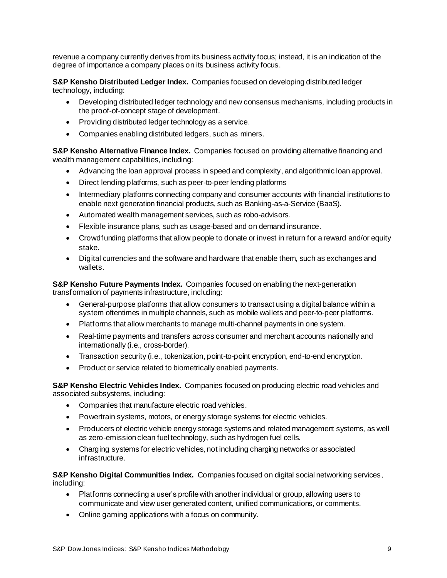revenue a company currently derives from its business activity focus; instead, it is an indication of the degree of importance a company places on its business activity focus.

**S&P Kensho Distributed Ledger Index.** Companies focused on developing distributed ledger technology, including:

- Developing distributed ledger technology and new consensus mechanisms, including products in the proof-of-concept stage of development.
- Providing distributed ledger technology as a service.
- Companies enabling distributed ledgers, such as miners.

**S&P Kensho Alternative Finance Index.** Companies focused on providing alternative financing and wealth management capabilities, including:

- Advancing the loan approval process in speed and complexity, and algorithmic loan approval.
- Direct lending platforms, such as peer-to-peer lending platforms
- Intermediary platforms connecting company and consumer accounts with financial institutions to enable next generation financial products, such as Banking-as-a-Service (BaaS).
- Automated wealth management services, such as robo-advisors.
- Flexible insurance plans, such as usage-based and on demand insurance.
- Crowdfunding platforms that allow people to donate or invest in return for a reward and/or equity stake.
- Digital currencies and the software and hardware that enable them, such as exchanges and wallets.

**S&P Kensho Future Payments Index.** Companies focused on enabling the next-generation transformation of payments infrastructure, including:

- General-purpose platforms that allow consumers to transact using a digital balance within a system oftentimes in multiple channels, such as mobile wallets and peer-to-peer platforms.
- Platforms that allow merchants to manage multi-channel payments in one system.
- Real-time payments and transfers across consumer and merchant accounts nationally and internationally (i.e., cross-border).
- Transaction security (i.e., tokenization, point-to-point encryption, end-to-end encryption.
- Product or service related to biometrically enabled payments.

**S&P Kensho Electric Vehicles Index.** Companies focused on producing electric road vehicles and associated subsystems, including:

- Companies that manufacture electric road vehicles.
- Powertrain systems, motors, or energy storage systems for electric vehicles.
- Producers of electric vehicle energy storage systems and related management systems, as well as zero-emission clean fuel technology, such as hydrogen fuel cells.
- Charging systems for electric vehicles, not including charging networks or associated infrastructure.

**S&P Kensho Digital Communities Index.** Companies focused on digital social networking services, including:

- Platforms connecting a user's profile with another individual or group, allowing users to communicate and view user generated content, unified communications, or comments.
- Online gaming applications with a focus on community.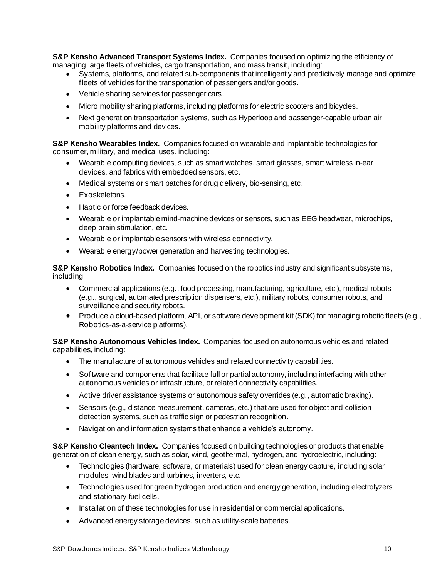**S&P Kensho Advanced Transport Systems Index.** Companies focused on optimizing the efficiency of managing large fleets of vehicles, cargo transportation, and mass transit, including:

- Systems, platforms, and related sub-components that intelligently and predictively manage and optimize fleets of vehicles for the transportation of passengers and/or goods.
- Vehicle sharing services for passenger cars.
- Micro mobility sharing platforms, including platforms for electric scooters and bicycles.
- Next generation transportation systems, such as Hyperloop and passenger-capable urban air mobility platforms and devices.

**S&P Kensho Wearables Index.** Companies focused on wearable and implantable technologies for consumer, military, and medical uses, including:

- Wearable computing devices, such as smart watches, smart glasses, smart wireless in-ear devices, and fabrics with embedded sensors, etc.
- Medical systems or smart patches for drug delivery, bio-sensing, etc.
- Exoskeletons.
- Haptic or force feedback devices.
- Wearable or implantable mind-machine devices or sensors, such as EEG headwear, microchips, deep brain stimulation, etc.
- Wearable or implantable sensors with wireless connectivity.
- Wearable energy/power generation and harvesting technologies.

**S&P Kensho Robotics Index.** Companies focused on the robotics industry and significant subsystems, including:

- Commercial applications (e.g., food processing, manufacturing, agriculture, etc.), medical robots (e.g., surgical, automated prescription dispensers, etc.), military robots, consumer robots, and surveillance and security robots.
- Produce a cloud-based platform, API, or software development kit (SDK) for managing robotic fleets (e.g., Robotics-as-a-service platforms).

**S&P Kensho Autonomous Vehicles Index.** Companies focused on autonomous vehicles and related capabilities, including:

- The manufacture of autonomous vehicles and related connectivity capabilities.
- Software and components that facilitate full or partial autonomy, including interfacing with other autonomous vehicles or infrastructure, or related connectivity capabilities.
- Active driver assistance systems or autonomous safety overrides (e.g., automatic braking).
- Sensors (e.g., distance measurement, cameras, etc.) that are used for object and collision detection systems, such as traffic sign or pedestrian recognition.
- Navigation and information systems that enhance a vehicle's autonomy.

**S&P Kensho Cleantech Index.** Companies focused on building technologies or products that enable generation of clean energy, such as solar, wind, geothermal, hydrogen, and hydroelectric, including:

- Technologies (hardware, software, or materials) used for clean energy capture, including solar modules, wind blades and turbines, inverters, etc.
- Technologies used for green hydrogen production and energy generation, including electrolyzers and stationary fuel cells.
- Installation of these technologies for use in residential or commercial applications.
- Advanced energy storage devices, such as utility-scale batteries.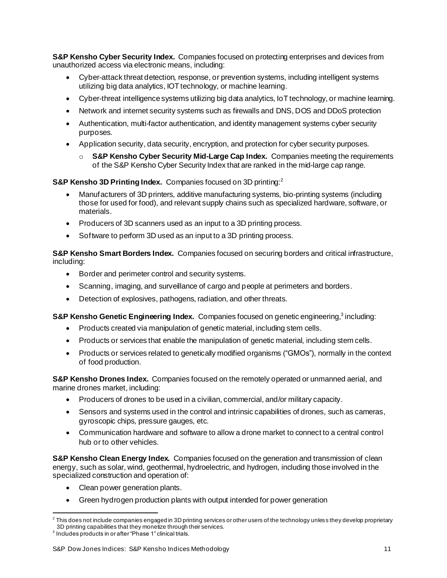**S&P Kensho Cyber Security Index.** Companies focused on protecting enterprises and devices from unauthorized access via electronic means, including:

- Cyber-attack threat detection, response, or prevention systems, including intelligent systems utilizing big data analytics, IOT technology, or machine learning.
- Cyber-threat intelligence systems utilizing big data analytics, IoT technology, or machine learning.
- Network and internet security systems such as firewalls and DNS, DOS and DDoS protection
- Authentication, multi-factor authentication, and identity management systems cyber security purposes.
- Application security, data security, encryption, and protection for cyber security purposes.
	- o **S&P Kensho Cyber Security Mid-Large Cap Index.** Companies meeting the requirements of the S&P Kensho Cyber Security Index that are ranked in the mid-large cap range.

**S&P Kensho 3D Printing Index.** Companies focused on 3D printing: 2

- Manufacturers of 3D printers, additive manufacturing systems, bio-printing systems (including those for used for food), and relevant supply chains such as specialized hardware, software, or materials.
- Producers of 3D scanners used as an input to a 3D printing process.
- Software to perform 3D used as an input to a 3D printing process.

**S&P Kensho Smart Borders Index.** Companies focused on securing borders and critical infrastructure, including:

- Border and perimeter control and security systems.
- Scanning, imaging, and surveillance of cargo and people at perimeters and borders.
- Detection of explosives, pathogens, radiation, and other threats.

**S&P Kensho Genetic Engineering Index.** Companies focused on genetic engineering,<sup>3</sup> including:

- Products created via manipulation of genetic material, including stem cells.
- Products or services that enable the manipulation of genetic material, including stem cells.
- Products or services related to genetically modified organisms ("GMOs"), normally in the context of food production.

**S&P Kensho Drones Index.** Companies focused on the remotely operated or unmanned aerial, and marine drones market, including:

- Producers of drones to be used in a civilian, commercial, and/or military capacity.
- Sensors and systems used in the control and intrinsic capabilities of drones, such as cameras, gyroscopic chips, pressure gauges, etc.
- Communication hardware and software to allow a drone market to connect to a central control hub or to other vehicles.

**S&P Kensho Clean Energy Index.** Companies focused on the generation and transmission of clean energy, such as solar, wind, geothermal, hydroelectric, and hydrogen, including those involved in the specialized construction and operation of:

- Clean power generation plants.
- Green hydrogen production plants with output intended for power generation

 $^2$  This does not include companies engaged in 3D printing services or other users of the technology unless they develop proprietary 3D printing capabilities that they monetize through their services.

<sup>&</sup>lt;sup>3</sup> Includes products in or after "Phase 1" clinical trials.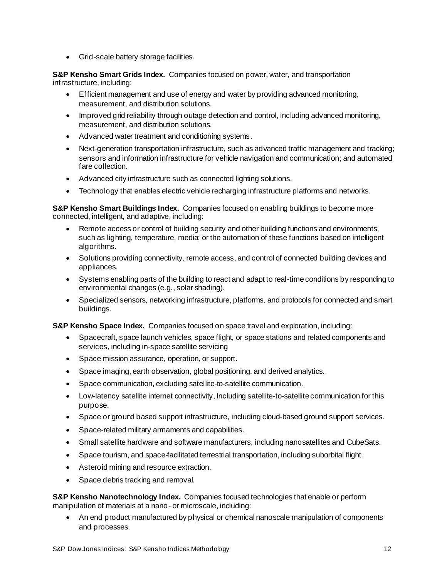• Grid-scale battery storage facilities.

**S&P Kensho Smart Grids Index.** Companies focused on power, water, and transportation infrastructure, including:

- Efficient management and use of energy and water by providing advanced monitoring, measurement, and distribution solutions.
- Improved grid reliability through outage detection and control, including advanced monitoring, measurement, and distribution solutions.
- Advanced water treatment and conditioning systems.
- Next-generation transportation infrastructure, such as advanced traffic management and tracking; sensors and information infrastructure for vehicle navigation and communication; and automated fare collection.
- Advanced city infrastructure such as connected lighting solutions.
- Technology that enables electric vehicle recharging infrastructure platforms and networks.

**S&P Kensho Smart Buildings Index.** Companies focused on enabling buildings to become more connected, intelligent, and adaptive, including:

- Remote access or control of building security and other building functions and environments, such as lighting, temperature, media; or the automation of these functions based on intelligent algorithms.
- Solutions providing connectivity, remote access, and control of connected building devices and appliances.
- Systems enabling parts of the building to react and adapt to real-time conditions by responding to environmental changes (e.g., solar shading).
- Specialized sensors, networking infrastructure, platforms, and protocols for connected and smart buildings.

**S&P Kensho Space Index.** Companies focused on space travel and exploration, including:

- Spacecraft, space launch vehicles, space flight, or space stations and related components and services, including in-space satellite servicing
- Space mission assurance, operation, or support.
- Space imaging, earth observation, global positioning, and derived analytics.
- Space communication, excluding satellite-to-satellite communication.
- Low-latency satellite internet connectivity, Including satellite-to-satellite communication for this purpose.
- Space or ground based support infrastructure, including cloud-based ground support services.
- Space-related military armaments and capabilities.
- Small satellite hardware and software manufacturers, including nanosatellites and CubeSats.
- Space tourism, and space-facilitated terrestrial transportation, including suborbital flight.
- Asteroid mining and resource extraction.
- Space debris tracking and removal.

**S&P Kensho Nanotechnology Index.** Companies focused technologies that enable or perform manipulation of materials at a nano- or microscale, including:

• An end product manufactured by physical or chemical nanoscale manipulation of components and processes.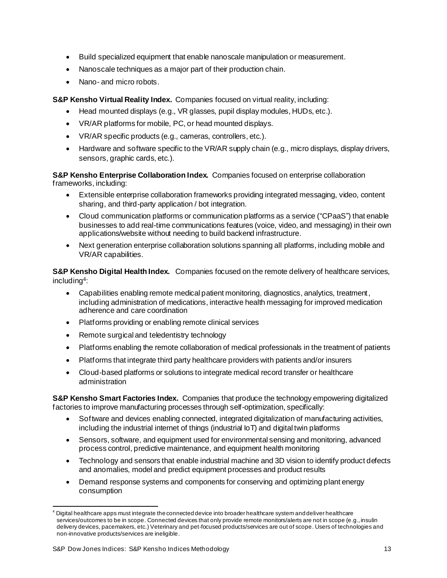- Build specialized equipment that enable nanoscale manipulation or measurement.
- Nanoscale techniques as a major part of their production chain.
- Nano- and micro robots.

**S&P Kensho Virtual Reality Index.** Companies focused on virtual reality, including:

- Head mounted displays (e.g., VR glasses, pupil display modules, HUDs, etc.).
- VR/AR platforms for mobile, PC, or head mounted displays.
- VR/AR specific products (e.g., cameras, controllers, etc.).
- Hardware and software specific to the VR/AR supply chain (e.g., micro displays, display drivers, sensors, graphic cards, etc.).

**S&P Kensho Enterprise Collaboration Index.** Companies focused on enterprise collaboration frameworks, including:

- Extensible enterprise collaboration frameworks providing integrated messaging, video, content sharing, and third-party application / bot integration.
- Cloud communication platforms or communication platforms as a service ("CPaaS") that enable businesses to add real-time communications features (voice, video, and messaging) in their own applications/website without needing to build backend infrastructure.
- Next generation enterprise collaboration solutions spanning all platforms, including mobile and VR/AR capabilities.

**S&P Kensho Digital Health Index.** Companies focused on the remote delivery of healthcare services,  $includeing<sup>4</sup>$ :

- Capabilities enabling remote medical patient monitoring, diagnostics, analytics, treatment, including administration of medications, interactive health messaging for improved medication adherence and care coordination
- Platforms providing or enabling remote clinical services
- Remote surgical and teledentistry technology
- Platforms enabling the remote collaboration of medical professionals in the treatment of patients
- Platforms that integrate third party healthcare providers with patients and/or insurers
- Cloud-based platforms or solutions to integrate medical record transfer or healthcare administration

**S&P Kensho Smart Factories Index.** Companies that produce the technology empowering digitalized factories to improve manufacturing processes through self-optimization, specifically:

- Software and devices enabling connected, integrated digitalization of manufacturing activities, including the industrial internet of things (industrial IoT) and digital twin platforms
- Sensors, software, and equipment used for environmental sensing and monitoring, advanced process control, predictive maintenance, and equipment health monitoring
- Technology and sensors that enable industrial machine and 3D vision to identify product defects and anomalies, model and predict equipment processes and product results
- Demand response systems and components for conserving and optimizing plant energy consumption

<sup>4</sup> Digital healthcare apps must integrate the connected device into broader healthcare system and deliver healthcare services/outcomes to be in scope. Connected devices that only provide remote monitors/alerts are not in scope (e.g., insulin delivery devices, pacemakers, etc.) Veterinary and pet-focused products/services are out of scope. Users of technologies and non-innovative products/services are ineligible.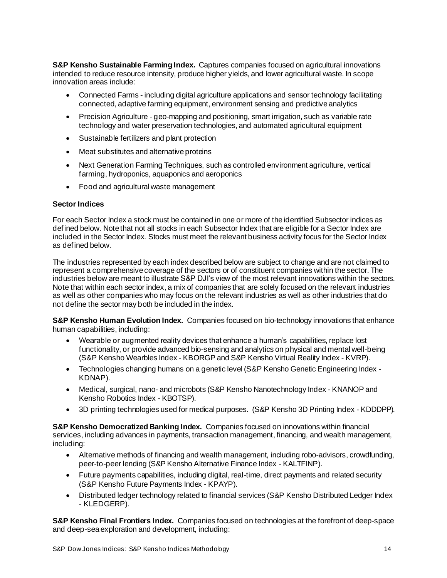**S&P Kensho Sustainable Farming Index.** Captures companies focused on agricultural innovations intended to reduce resource intensity, produce higher yields, and lower agricultural waste. In scope innovation areas include:

- Connected Farms including digital agriculture applications and sensor technology facilitating connected, adaptive farming equipment, environment sensing and predictive analytics
- Precision Agriculture geo-mapping and positioning, smart irrigation, such as variable rate technology and water preservation technologies, and automated agricultural equipment
- Sustainable fertilizers and plant protection
- Meat substitutes and alternative proteins
- Next Generation Farming Techniques, such as controlled environment agriculture, vertical farming, hydroponics, aquaponics and aeroponics
- Food and agricultural waste management

### <span id="page-14-0"></span>**Sector Indices**

For each Sector Index a stock must be contained in one or more of the identified Subsector indices as defined below. Note that not all stocks in each Subsector Index that are eligible for a Sector Index are included in the Sector Index. Stocks must meet the relevant business activity focus for the Sector Index as defined below.

The industries represented by each index described below are subject to change and are not claimed to represent a comprehensive coverage of the sectors or of constituent companies within the sector. The industries below are meant to illustrate S&P DJI's view of the most relevant innovations within the sectors. Note that within each sector index, a mix of companies that are solely focused on the relevant industries as well as other companies who may focus on the relevant industries as well as other industries that do not define the sector may both be included in the index.

**S&P Kensho Human Evolution Index.** Companies focused on bio-technology innovations that enhance human capabilities, including:

- Wearable or augmented reality devices that enhance a human's capabilities, replace lost functionality, or provide advanced bio-sensing and analytics on physical and mental well-being (S&P Kensho Wearbles Index - KBORGP and S&P Kensho Virtual Reality Index - KVRP).
- Technologies changing humans on a genetic level (S&P Kensho Genetic Engineering Index KDNAP).
- Medical, surgical, nano- and microbots (S&P Kensho Nanotechnology Index KNANOP and Kensho Robotics Index - KBOTSP).
- 3D printing technologies used for medical purposes. (S&P Kensho 3D Printing Index KDDDPP).

**S&P Kensho Democratized Banking Index.** Companies focused on innovations within financial services, including advances in payments, transaction management, financing, and wealth management, including:

- Alternative methods of financing and wealth management, including robo-advisors, crowdfunding, peer-to-peer lending (S&P Kensho Alternative Finance Index - KALTFINP).
- Future payments capabilities, including digital, real-time, direct payments and related security (S&P Kensho Future Payments Index - KPAYP).
- Distributed ledger technology related to financial services (S&P Kensho Distributed Ledger Index - KLEDGERP).

**S&P Kensho Final Frontiers Index.** Companies focused on technologies at the forefront of deep-space and deep-sea exploration and development, including: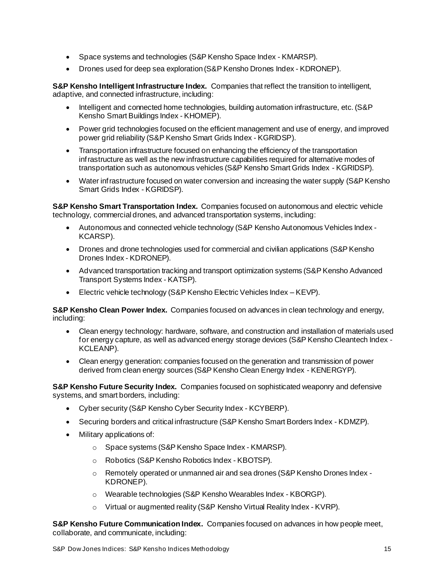- Space systems and technologies (S&P Kensho Space Index KMARSP).
- Drones used for deep sea exploration (S&P Kensho Drones Index KDRONEP).

**S&P Kensho Intelligent Infrastructure Index.** Companies that reflect the transition to intelligent, adaptive, and connected infrastructure, including:

- Intelligent and connected home technologies, building automation infrastructure, etc. (S&P) Kensho Smart Buildings Index - KHOMEP).
- Power grid technologies focused on the efficient management and use of energy, and improved power grid reliability (S&P Kensho Smart Grids Index - KGRIDSP).
- Transportation infrastructure focused on enhancing the efficiency of the transportation infrastructure as well as the new infrastructure capabilities required for alternative modes of transportation such as autonomous vehicles (S&P Kensho Smart Grids Index - KGRIDSP).
- Water infrastructure focused on water conversion and increasing the water supply (S&P Kensho Smart Grids Index - KGRIDSP).

**S&P Kensho Smart Transportation Index.** Companies focused on autonomous and electric vehicle technology, commercial drones, and advanced transportation systems, including:

- Autonomous and connected vehicle technology (S&P Kensho Autonomous Vehicles Index KCARSP).
- Drones and drone technologies used for commercial and civilian applications (S&P Kensho Drones Index - KDRONEP).
- Advanced transportation tracking and transport optimization systems (S&P Kensho Advanced Transport Systems Index - KATSP).
- Electric vehicle technology (S&P Kensho Electric Vehicles Index KEVP).

**S&P Kensho Clean Power Index.** Companies focused on advances in clean technology and energy, including:

- Clean energy technology: hardware, software, and construction and installation of materials used for energy capture, as well as advanced energy storage devices (S&P Kensho Cleantech Index - KCLEANP).
- Clean energy generation: companies focused on the generation and transmission of power derived from clean energy sources (S&P Kensho Clean Energy Index - KENERGYP).

**S&P Kensho Future Security Index.** Companies focused on sophisticated weaponry and defensive systems, and smart borders, including:

- Cyber security (S&P Kensho Cyber Security Index KCYBERP).
- Securing borders and critical infrastructure (S&P Kensho Smart Borders Index KDMZP).
- Military applications of:
	- o Space systems (S&P Kensho Space Index KMARSP).
	- o Robotics (S&P Kensho Robotics Index KBOTSP).
	- o Remotely operated or unmanned air and sea drones (S&P Kensho Drones Index KDRONEP).
	- o Wearable technologies (S&P Kensho Wearables Index KBORGP).
	- o Virtual or augmented reality (S&P Kensho Virtual Reality Index KVRP).

**S&P Kensho Future Communication Index.** Companies focused on advances in how people meet, collaborate, and communicate, including: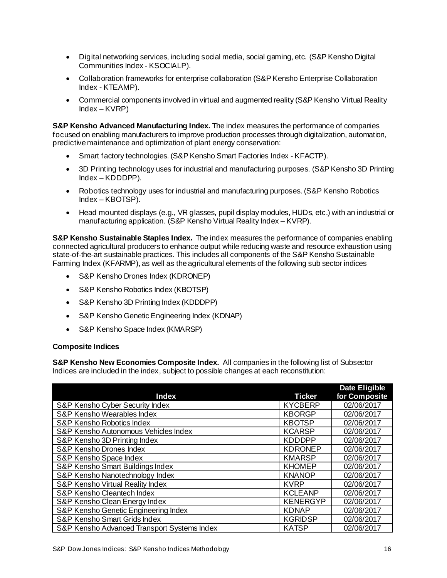- Digital networking services, including social media, social gaming, etc. (S&P Kensho Digital Communities Index - KSOCIALP).
- Collaboration frameworks for enterprise collaboration (S&P Kensho Enterprise Collaboration Index - KTEAMP).
- Commercial components involved in virtual and augmented reality (S&P Kensho Virtual Reality  $Index - KVRP$

**S&P Kensho Advanced Manufacturing Index.** The index measures the performance of companies focused on enabling manufacturers to improve production processes through digitalization, automation, predictive maintenance and optimization of plant energy conservation:

- Smart factory technologies. (S&P Kensho Smart Factories Index KFACTP).
- 3D Printing technology uses for industrial and manufacturing purposes. (S&P Kensho 3D Printing Index – KDDDPP).
- Robotics technology uses for industrial and manufacturing purposes. (S&P Kensho Robotics Index – KBOTSP).
- Head mounted displays (e.g., VR glasses, pupil display modules, HUDs, etc.) with an industrial or manufacturing application. (S&P Kensho Virtual Reality Index – KVRP).

**S&P Kensho Sustainable Staples Index.** The index measures the performance of companies enabling connected agricultural producers to enhance output while reducing waste and resource exhaustion using state-of-the-art sustainable practices. This includes all components of the S&P Kensho Sustainable Farming Index (KFARMP), as well as the agricultural elements of the following sub sector indices

- S&P Kensho Drones Index (KDRONEP)
- S&P Kensho Robotics Index (KBOTSP)
- S&P Kensho 3D Printing Index (KDDDPP)
- S&P Kensho Genetic Engineering Index (KDNAP)
- S&P Kensho Space Index (KMARSP)

#### <span id="page-16-0"></span>**Composite Indices**

**S&P Kensho New Economies Composite Index.** All companies in the following list of Subsector Indices are included in the index, subject to possible changes at each reconstitution:

|                                             |                 | Date Eligible |
|---------------------------------------------|-----------------|---------------|
| <b>Index</b>                                | <b>Ticker</b>   | for Composite |
| S&P Kensho Cyber Security Index             | <b>KYCBERP</b>  | 02/06/2017    |
| S&P Kensho Wearables Index                  | <b>KBORGP</b>   | 02/06/2017    |
| S&P Kensho Robotics Index                   | <b>KBOTSP</b>   | 02/06/2017    |
| S&P Kensho Autonomous Vehicles Index        | <b>KCARSP</b>   | 02/06/2017    |
| S&P Kensho 3D Printing Index                | <b>KDDDPP</b>   | 02/06/2017    |
| S&P Kensho Drones Index                     | <b>KDRONEP</b>  | 02/06/2017    |
| S&P Kensho Space Index                      | <b>KMARSP</b>   | 02/06/2017    |
| S&P Kensho Smart Buildings Index            | <b>KHOMEP</b>   | 02/06/2017    |
| S&P Kensho Nanotechnology Index             | <b>KNANOP</b>   | 02/06/2017    |
| S&P Kensho Virtual Reality Index            | <b>KVRP</b>     | 02/06/2017    |
| S&P Kensho Cleantech Index                  | <b>KCLEANP</b>  | 02/06/2017    |
| S&P Kensho Clean Energy Index               | <b>KENERGYP</b> | 02/06/2017    |
| S&P Kensho Genetic Engineering Index        | <b>KDNAP</b>    | 02/06/2017    |
| S&P Kensho Smart Grids Index                | <b>KGRIDSP</b>  | 02/06/2017    |
| S&P Kensho Advanced Transport Systems Index | <b>KATSP</b>    | 02/06/2017    |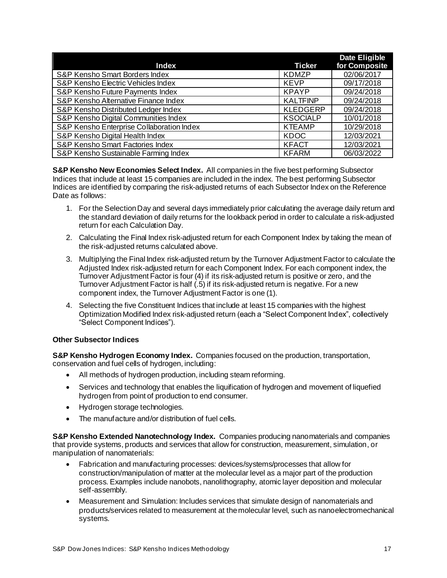|                                           |                 | Date Eligible |
|-------------------------------------------|-----------------|---------------|
| Index                                     | <b>Ticker</b>   | for Composite |
| S&P Kensho Smart Borders Index            | <b>KDMZP</b>    | 02/06/2017    |
| S&P Kensho Electric Vehicles Index        | <b>KEVP</b>     | 09/17/2018    |
| S&P Kensho Future Payments Index          | <b>KPAYP</b>    | 09/24/2018    |
| S&P Kensho Alternative Finance Index      | <b>KALTFINP</b> | 09/24/2018    |
| S&P Kensho Distributed Ledger Index       | <b>KLEDGERP</b> | 09/24/2018    |
| S&P Kensho Digital Communities Index      | <b>KSOCIALP</b> | 10/01/2018    |
| S&P Kensho Enterprise Collaboration Index | <b>KTEAMP</b>   | 10/29/2018    |
| S&P Kensho Digital Health Index           | <b>KDOC</b>     | 12/03/2021    |
| S&P Kensho Smart Factories Index          | <b>KFACT</b>    | 12/03/2021    |
| S&P Kensho Sustainable Farming Index      | <b>KFARM</b>    | 06/03/2022    |

**S&P Kensho New Economies Select Index.** All companies in the five best performing Subsector Indices that include at least 15 companies are included in the index. The best performing Subsector Indices are identified by comparing the risk-adjusted returns of each Subsector Index on the Reference Date as follows:

- 1. For the Selection Day and several days immediately prior calculating the average daily return and the standard deviation of daily returns for the lookback period in order to calculate a risk-adjusted return for each Calculation Day.
- 2. Calculating the Final Index risk-adjusted return for each Component Index by taking the mean of the risk-adjusted returns calculated above.
- 3. Multiplying the Final Index risk-adjusted return by the Turnover Adjustment Factor to calculate the Adjusted Index risk-adjusted return for each Component Index. For each component index, the Turnover Adjustment Factor is four (4) if its risk-adjusted return is positive or zero, and the Turnover Adjustment Factor is half (.5) if its risk-adjusted return is negative. For a new component index, the Turnover Adjustment Factor is one (1).
- 4. Selecting the five Constituent Indices that include at least 15 companies with the highest Optimization Modified Index risk-adjusted return (each a "Select Component Index", collectively "Select Component Indices").

### <span id="page-17-0"></span>**Other Subsector Indices**

**S&P Kensho Hydrogen Economy Index.** Companies focused on the production, transportation, conservation and fuel cells of hydrogen, including:

- All methods of hydrogen production, including steam reforming.
- Services and technology that enables the liquification of hydrogen and movement of liquefied hydrogen from point of production to end consumer.
- Hydrogen storage technologies.
- The manufacture and/or distribution of fuel cells.

**S&P Kensho Extended Nanotechnology Index.** Companies producing nanomaterials and companies that provide systems, products and services that allow for construction, measurement, simulation, or manipulation of nanomaterials:

- Fabrication and manufacturing processes: devices/systems/processes that allow for construction/manipulation of matter at the molecular level as a major part of the production process. Examples include nanobots, nanolithography, atomic layer deposition and molecular self-assembly.
- Measurement and Simulation: Includes services that simulate design of nanomaterials and products/services related to measurement at the molecular level, such as nanoelectromechanical systems.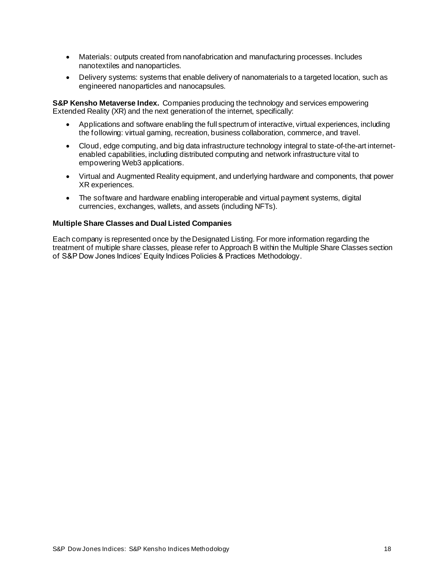- Materials: outputs created from nanofabrication and manufacturing processes. Includes nanotextiles and nanoparticles.
- Delivery systems: systems that enable delivery of nanomaterials to a targeted location, such as engineered nanoparticles and nanocapsules.

**S&P Kensho Metaverse Index.** Companies producing the technology and services empowering Extended Reality (XR) and the next generation of the internet, specifically:

- Applications and software enabling the full spectrum of interactive, virtual experiences, including the following: virtual gaming, recreation, business collaboration, commerce, and travel.
- Cloud, edge computing, and big data infrastructure technology integral to state-of-the-art internetenabled capabilities, including distributed computing and network infrastructure vital to empowering Web3 applications.
- Virtual and Augmented Reality equipment, and underlying hardware and components, that power XR experiences.
- The software and hardware enabling interoperable and virtual payment systems, digital currencies, exchanges, wallets, and assets (including NFTs).

### <span id="page-18-0"></span>**Multiple Share Classes and Dual Listed Companies**

Each company is represented once by the Designated Listing. For more information regarding the treatment of multiple share classes, please refer to Approach B within the Multiple Share Classes section of S&P Dow Jones Indices' Equity Indices Policies & Practices Methodology.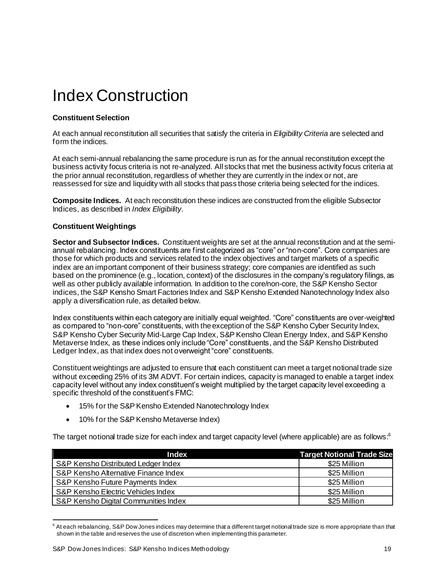# <span id="page-19-0"></span>Index Construction

# <span id="page-19-1"></span>**Constituent Selection**

At each annual reconstitution all securities that satisfy the criteria in *Eligibility Criteria* are selected and form the indices.

At each semi-annual rebalancing the same procedure is run as for the annual reconstitution except the business activity focus criteria is not re-analyzed. All stocks that met the business activity focus criteria at the prior annual reconstitution, regardless of whether they are currently in the index or not, are reassessed for size and liquidity with all stocks that pass those criteria being selected for the indices.

**Composite Indices.** At each reconstitution these indices are constructed from the eligible Subsector Indices, as described in *Index Eligibility*.

### <span id="page-19-2"></span>**Constituent Weightings**

**Sector and Subsector Indices.** Constituent weights are set at the annual reconstitution and at the semiannual rebalancing. Index constituents are first categorized as "core" or "non-core". Core companies are those for which products and services related to the index objectives and target markets of a specific index are an important component of their business strategy; core companies are identified as such based on the prominence (e.g., location, context) of the disclosures in the company's regulatory filings, as well as other publicly available information. In addition to the core/non-core, the S&P Kensho Sector indices, the S&P Kensho Smart Factories Index and S&P Kensho Extended Nanotechnology Index also apply a diversification rule, as detailed below.

Index constituents within each category are initially equal weighted. "Core" constituents are over-weighted as compared to "non-core" constituents, with the exception of the S&P Kensho Cyber Security Index, S&P Kensho Cyber Security Mid-Large Cap Index, S&P Kensho Clean Energy Index, and S&P Kensho Metaverse Index, as these indices only include "Core" constituents, and the S&P Kensho Distributed Ledger Index, as that index does not overweight "core" constituents.

Constituent weightings are adjusted to ensure that each constituent can meet a target notional trade size without exceeding 25% of its 3M ADVT. For certain indices, capacity is managed to enable a target index capacity level without any index constituent's weight multiplied by the target capacity level exceeding a specific threshold of the constituent's FMC:

- 15% for the S&P Kensho Extended Nanotechnology Index
- 10% for the S&P Kensho Metaverse Index)

The target notional trade size for each index and target capacity level (where applicable) are as follows:<sup>6</sup>

| Index                                | <b>Target Notional Trade Size</b> |
|--------------------------------------|-----------------------------------|
| S&P Kensho Distributed Ledger Index  | \$25 Million                      |
| S&P Kensho Alternative Finance Index | \$25 Million                      |
| S&P Kensho Future Payments Index     | \$25 Million                      |
| S&P Kensho Electric Vehicles Index   | \$25 Million                      |
| S&P Kensho Digital Communities Index | \$25 Million                      |

 $^6$  At each rebalancing, S&P Dow Jones indices may determine that a different target notional trade size is more appropriate than that shown in the table and reserves the use of discretion when implementing this parameter.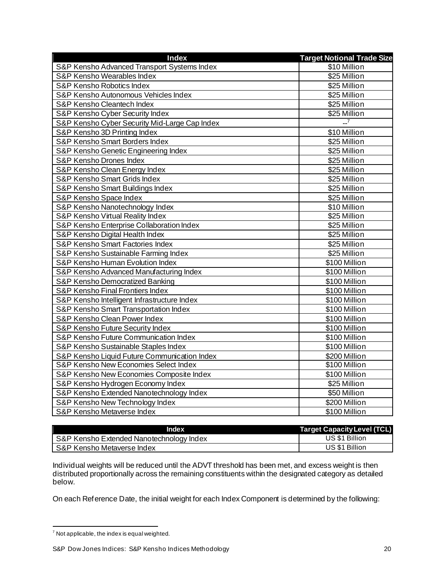| <b>Index</b>                                  | <b>Target Notional Trade Size</b> |
|-----------------------------------------------|-----------------------------------|
| S&P Kensho Advanced Transport Systems Index   | \$10 Million                      |
| S&P Kensho Wearables Index                    | \$25 Million                      |
| S&P Kensho Robotics Index                     | \$25 Million                      |
| S&P Kensho Autonomous Vehicles Index          | \$25 Million                      |
| S&P Kensho Cleantech Index                    | \$25 Million                      |
| S&P Kensho Cyber Security Index               | \$25 Million                      |
| S&P Kensho Cyber Security Mid-Large Cap Index | $\overline{\phantom{0}}$          |
| S&P Kensho 3D Printing Index                  | \$10 Million                      |
| <b>S&amp;P Kensho Smart Borders Index</b>     | \$25 Million                      |
| S&P Kensho Genetic Engineering Index          | \$25 Million                      |
| S&P Kensho Drones Index                       | \$25 Million                      |
| S&P Kensho Clean Energy Index                 | \$25 Million                      |
| S&P Kensho Smart Grids Index                  | \$25 Million                      |
| S&P Kensho Smart Buildings Index              | \$25 Million                      |
| S&P Kensho Space Index                        | \$25 Million                      |
| S&P Kensho Nanotechnology Index               | \$10 Million                      |
| S&P Kensho Virtual Reality Index              | \$25 Million                      |
| S&P Kensho Enterprise Collaboration Index     | \$25 Million                      |
| S&P Kensho Digital Health Index               | \$25 Million                      |
| S&P Kensho Smart Factories Index              | \$25 Million                      |
| S&P Kensho Sustainable Farming Index          | \$25 Million                      |
| S&P Kensho Human Evolution Index              | \$100 Million                     |
| S&P Kensho Advanced Manufacturing Index       | \$100 Million                     |
| S&P Kensho Democratized Banking               | \$100 Million                     |
| S&P Kensho Final Frontiers Index              | \$100 Million                     |
| S&P Kensho Intelligent Infrastructure Index   | \$100 Million                     |
| S&P Kensho Smart Transportation Index         | \$100 Million                     |
| S&P Kensho Clean Power Index                  | \$100 Million                     |
| S&P Kensho Future Security Index              | \$100 Million                     |
| S&P Kensho Future Communication Index         | \$100 Million                     |
| S&P Kensho Sustainable Staples Index          | \$100 Million                     |
| S&P Kensho Liquid Future Communication Index  | \$200 Million                     |
| S&P Kensho New Economies Select Index         | \$100 Million                     |
| S&P Kensho New Economies Composite Index      | \$100 Million                     |
| S&P Kensho Hydrogen Economy Index             | \$25 Million                      |
| S&P Kensho Extended Nanotechnology Index      | \$50 Million                      |
| S&P Kensho New Technology Index               | \$200 Million                     |
| S&P Kensho Metaverse Index                    | \$100 Million                     |

| Index                                    | <b>Target Capacity Level (TCL)</b> |
|------------------------------------------|------------------------------------|
| S&P Kensho Extended Nanotechnology Index | US \$1 Billion                     |
| S&P Kensho Metaverse Index               | US \$1 Billion                     |

Individual weights will be reduced until the ADVT threshold has been met, and excess weight is then distributed proportionally across the remaining constituents within the designated category as detailed below.

On each Reference Date, the initial weight for each Index Component is determined by the following:

 $7$  Not applicable, the index is equal weighted.

S&P Dow Jones Indices: S&P Kensho Indices Methodology 20 20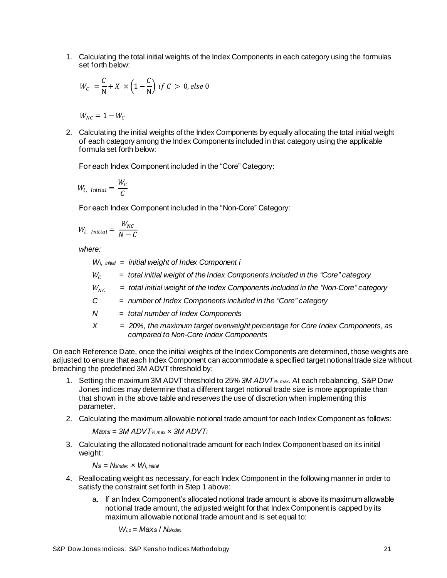1. Calculating the total initial weights of the Index Components in each category using the formulas set forth below:

$$
W_C = \frac{C}{N} + X \times \left(1 - \frac{C}{N}\right) \text{ if } C > 0, \text{ else } 0
$$

 $W_{NC} = 1 - W_C$ 

2. Calculating the initial weights of the Index Components by equally allocating the total initial weight of each category among the Index Components included in that category using the applicable formula set forth below:

For each Index Component included in the "Core" Category:

$$
W_{i, initial} = \frac{W_C}{C}
$$

For each Index Component included in the "Non-Core" Category:

$$
W_{i, initial} = \frac{W_{NC}}{N - C}
$$

*where:*

*Wi, Initial = initial weight of Index Component i*

- $W_c$  *= total initial weight of the Index Components included in the "Core" category*
- *= total initial weight of the Index Components included in the "Non-Core" category*
- *C = number of Index Components included in the "Core" category*

$$
N
$$
 = total number of Index Components

*X = 20%, the maximum target overweight percentage for Core Index Components, as compared to Non-Core Index Components*

On each Reference Date, once the initial weights of the Index Components are determined, those weights are adjusted to ensure that each Index Component can accommodate a specified target notional trade size without breaching the predefined 3M ADVT threshold by:

- 1. Setting the maximum 3M ADVT threshold to 25% *3M ADVT%, max*. At each rebalancing, S&P Dow Jones indices may determine that a different target notional trade size is more appropriate than that shown in the above table and reserves the use of discretion when implementing this parameter.
- 2. Calculating the maximum allowable notional trade amount for each Index Component as follows:

 $Maxs_i = 3M \, ADVT$ %, max  $\times$   $3M \, ADVT_i$ 

3. Calculating the allocated notional trade amount for each Index Component based on its initial weight:

 $N_{si} = N_{\text{Sindex}} \times W_{i\text{-}Initial}$ 

- 4. Reallocating weight as necessary, for each Index Component in the following manner in order to satisfy the constraint set forth in Step 1 above:
	- a. If an Index Component's allocated notional trade amount is above its maximum allowable notional trade amount, the adjusted weight for that Index Component is capped by its maximum allowable notional trade amount and is set equal to:

$$
W_{i,o} = \text{Maxsi} / \text{N} \text{sindex}
$$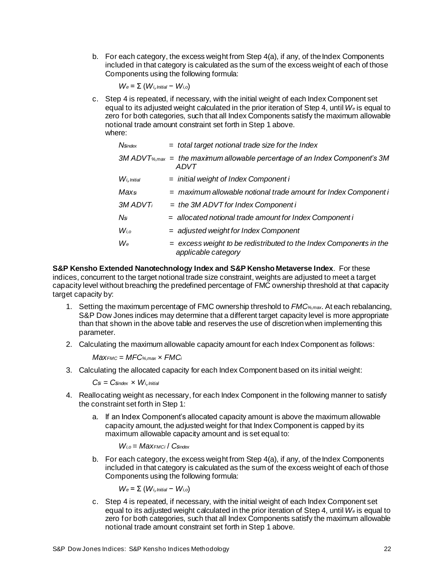b. For each category, the excess weight from Step 4(a), if any, of the Index Components included in that category is calculated as the sum of the excess weight of each of those Components using the following formula:

 $W_e = \sum (W_i_{i} \cdot \text{Initial} - W_i_{i} \cdot \text{)}$ 

c. Step 4 is repeated, if necessary, with the initial weight of each Index Component set equal to its adjusted weight calculated in the prior iteration of Step 4, until *W<sup>e</sup>* is equal to zero for both categories, such that all Index Components satisfy the maximum allowable notional trade amount constraint set forth in Step 1 above. where:

| N \$index              | $=$ total target notional trade size for the Index                                             |
|------------------------|------------------------------------------------------------------------------------------------|
|                        | 3M ADVT <sub>%,max</sub> = the maximum allowable percentage of an Index Component's 3M<br>ADVT |
| $W$ i, Initial         | $=$ initial weight of Index Component i                                                        |
| Maxsi                  | = maximum allowable notional trade amount for Index Component i                                |
| $3M$ ADVT <sub>i</sub> | $=$ the 3M ADVT for Index Component i                                                          |
| Nsi                    | = allocated notional trade amount for Index Component i                                        |
| $W_{i,o}$              | = adjusted weight for Index Component                                                          |
| We                     | = excess weight to be redistributed to the Index Components in the<br>applicable category      |

**S&P Kensho Extended Nanotechnology Index and S&P Kensho Metaverse Index**. For these indices, concurrent to the target notional trade size constraint, weights are adjusted to meet a target capacity level without breaching the predefined percentage of FMC ownership threshold at that capacity target capacity by:

- 1. Setting the maximum percentage of FMC ownership threshold to *FMC%,max*. At each rebalancing, S&P Dow Jones indices may determine that a different target capacity level is more appropriate than that shown in the above table and reserves the use of discretion when implementing this parameter.
- 2. Calculating the maximum allowable capacity amount for each Index Component as follows:

*MaxFMC* = *MFC%,max* × *FMC<sup>i</sup>*

3. Calculating the allocated capacity for each Index Component based on its initial weight:

 $C_{\text{S}} = C_{\text{Sindex}} \times W_{i,\text{Initial}}$ 

- 4. Reallocating weight as necessary, for each Index Component in the following manner to satisfy the constraint set forth in Step 1:
	- a. If an Index Component's allocated capacity amount is above the maximum allowable capacity amount, the adjusted weight for that Index Component is capped by its maximum allowable capacity amount and is set equal to:

*Wi,o* = *MaxFMCi* / *C\$index*

b. For each category, the excess weight from Step 4(a), if any, of the Index Components included in that category is calculated as the sum of the excess weight of each of those Components using the following formula:

$$
W_e = \sum (W_{i, initial} - W_{i, o})
$$

c. Step 4 is repeated, if necessary, with the initial weight of each Index Component set equal to its adjusted weight calculated in the prior iteration of Step 4, until *W<sup>e</sup>* is equal to zero for both categories, such that all Index Components satisfy the maximum allowable notional trade amount constraint set forth in Step 1 above.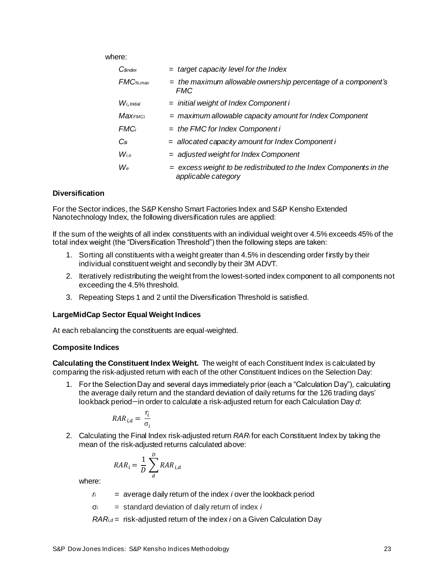where:

| $C$ <i>Sindex</i> | $=$ target capacity level for the Index                                                   |
|-------------------|-------------------------------------------------------------------------------------------|
| $FMC$ %,max       | = the maximum allowable ownership percentage of a component's<br><b>FMC</b>               |
| $W_i$ , Initial   | $=$ initial weight of Index Component i                                                   |
| Махғмсі           | $=$ maximum allowable capacity amount for Index Component                                 |
| FMCi              | $=$ the FMC for Index Component i                                                         |
| Csi               | $=$ allocated capacity amount for Index Component i                                       |
| $W_{i,o}$         | = adjusted weight for Index Component                                                     |
| $W_{e}$           | = excess weight to be redistributed to the Index Components in the<br>applicable category |

#### <span id="page-23-0"></span>**Diversification**

For the Sector indices, the S&P Kensho Smart Factories Index and S&P Kensho Extended Nanotechnology Index, the following diversification rules are applied:

If the sum of the weights of all index constituents with an individual weight over 4.5% exceeds 45% of the total index weight (the "Diversification Threshold") then the following steps are taken:

- 1. Sorting all constituents with a weight greater than 4.5% in descending order firstly by their individual constituent weight and secondly by their 3M ADVT.
- 2. Iteratively redistributing the weight from the lowest-sorted index component to all components not exceeding the 4.5% threshold.
- 3. Repeating Steps 1 and 2 until the Diversification Threshold is satisfied.

#### <span id="page-23-1"></span>**LargeMidCap Sector Equal Weight Indices**

<span id="page-23-2"></span>At each rebalancing the constituents are equal-weighted.

#### **Composite Indices**

**Calculating the Constituent Index Weight.** The weight of each Constituent Index is calculated by comparing the risk-adjusted return with each of the other Constituent Indices on the Selection Day:

1. For the Selection Day and several days immediately prior (each a "Calculation Day"), calculating the average daily return and the standard deviation of daily returns for the 126 trading days' lookback period—in order to calculate a risk-adjusted return for each Calculation Day *d*:

$$
RAR_{i,d} = \frac{r_i}{\sigma_i}
$$

2. Calculating the Final Index risk-adjusted return *RAR<sup>i</sup>* for each Constituent Index by taking the mean of the risk-adjusted returns calculated above:

$$
RAR_i = \frac{1}{D} \sum_{d}^{D} RAR_{i,d}
$$

where:

- $r_i$  = average daily return of the index *i* over the lookback period
- σ*i =* standard deviation of daily return of index *i*

*RARi,d =* risk-adjusted return of the index *i* on a Given Calculation Day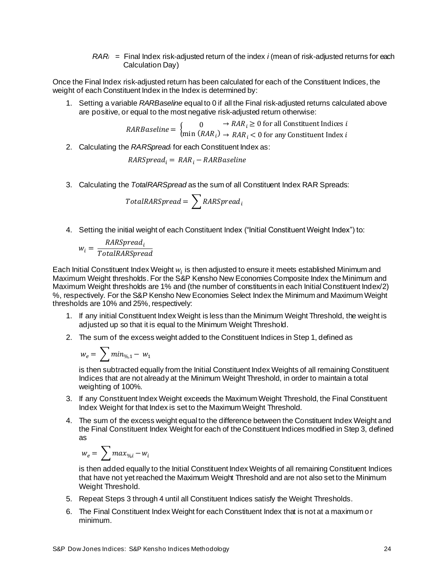$RAR<sub>i</sub>$  = Final Index risk-adjusted return of the index *i* (mean of risk-adjusted returns for each Calculation Day)

Once the Final Index risk-adjusted return has been calculated for each of the Constituent Indices, the weight of each Constituent Index in the Index is determined by:

1. Setting a variable *RARBaseline* equal to 0 if all the Final risk-adjusted returns calculated above are positive, or equal to the most negative risk-adjusted return otherwise:

> $RARB a$ seline =  $\begin{cases} 0 & \text{if } \\ m \neq 0 \end{cases}$ min  $(RAR_i)$  $\rightarrow$  $\rightarrow$  $RAR_i \geq 0$  for all Constituent Indices *i*  $RAR_i < 0$  for any Constituent Index i

2. Calculating the *RARSpread<sup>i</sup>* for each Constituent Index as:

= −

3. Calculating the *TotalRARSpread* as the sum of all Constituent Index RAR Spreads:

$$
TotalRARS pred = \sum RARS pred_i
$$

4. Setting the initial weight of each Constituent Index ("Initial Constituent Weight Index") to:

$$
w_i = \frac{RARS \textit{pread}_i}{TotalRARS \textit{pread}}
$$

Each Initial Constituent Index Weight  $w_i$  is then adjusted to ensure it meets established Minimum and Maximum Weight thresholds. For the S&P Kensho New Economies Composite Index the Minimum and Maximum Weight thresholds are 1% and (the number of constituents in each Initial Constituent Index/2) %, respectively. For the S&P Kensho New Economies Select Index the Minimum and Maximum Weight thresholds are 10% and 25%, respectively:

- 1. If any initial Constituent Index Weight is less than the Minimum Weight Threshold, the weight is adjusted up so that it is equal to the Minimum Weight Threshold.
- 2. The sum of the excess weight added to the Constituent Indices in Step 1, defined as

$$
w_e = \sum \min_{\phi_0,1} -w_1
$$

is then subtracted equally from the Initial Constituent Index Weights of all remaining Constituent Indices that are not already at the Minimum Weight Threshold, in order to maintain a total weighting of 100%.

- 3. If any Constituent Index Weight exceeds the Maximum Weight Threshold, the Final Constituent Index Weight for that Index is set to the Maximum Weight Threshold.
- 4. The sum of the excess weight equal to the difference between the Constituent Index Weight and the Final Constituent Index Weight for each of the Constituent Indices modified in Step 3, defined as

$$
w_e = \sum max_{\%i} -w_i
$$

is then added equally to the Initial Constituent Index Weights of all remaining Constituent Indices that have not yet reached the Maximum Weight Threshold and are not also set to the Minimum Weight Threshold.

- 5. Repeat Steps 3 through 4 until all Constituent Indices satisfy the Weight Thresholds.
- 6. The Final Constituent Index Weight for each Constituent Index that is not at a maximum o r minimum.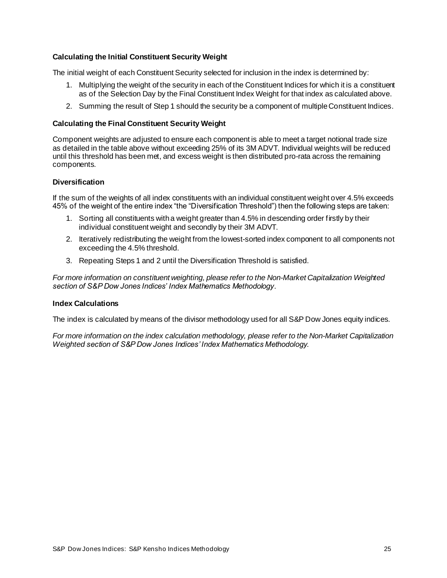### <span id="page-25-0"></span>**Calculating the Initial Constituent Security Weight**

The initial weight of each Constituent Security selected for inclusion in the index is determined by:

- 1. Multiplying the weight of the security in each of the Constituent Indices for which it is a constituent as of the Selection Day by the Final Constituent Index Weight for that index as calculated above.
- 2. Summing the result of Step 1 should the security be a component of multiple Constituent Indices.

#### <span id="page-25-1"></span>**Calculating the Final Constituent Security Weight**

Component weights are adjusted to ensure each component is able to meet a target notional trade size as detailed in the table above without exceeding 25% of its 3M ADVT. Individual weights will be reduced until this threshold has been met, and excess weight is then distributed pro-rata across the remaining components.

#### <span id="page-25-2"></span>**Diversification**

If the sum of the weights of all index constituents with an individual constituent weight over 4.5% exceeds 45% of the weight of the entire index "the "Diversification Threshold") then the following steps are taken:

- 1. Sorting all constituents with a weight greater than 4.5% in descending order firstly by their individual constituent weight and secondly by their 3M ADVT.
- 2. Iteratively redistributing the weight from the lowest-sorted index component to all components not exceeding the 4.5% threshold.
- 3. Repeating Steps 1 and 2 until the Diversification Threshold is satisfied.

*For more information on constituent weighting, please refer to the Non-Market Capitalization Weighted section of S&P Dow Jones Indices' Index Mathematics Methodology.*

#### <span id="page-25-3"></span>**Index Calculations**

The index is calculated by means of the divisor methodology used for all S&P Dow Jones equity indices.

*For more information on the index calculation methodology, please refer to the Non-Market Capitalization Weighted section of S&P Dow Jones Indices' Index Mathematics Methodology.*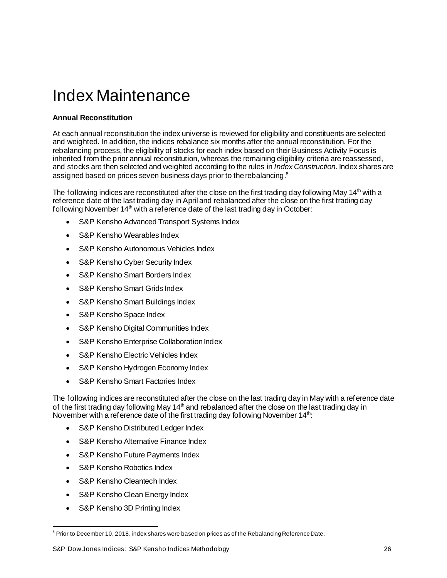# <span id="page-26-0"></span>Index Maintenance

# <span id="page-26-1"></span>**Annual Reconstitution**

At each annual reconstitution the index universe is reviewed for eligibility and constituents are selected and weighted. In addition, the indices rebalance six months after the annual reconstitution. For the rebalancing process, the eligibility of stocks for each index based on their Business Activity Focus is inherited from the prior annual reconstitution, whereas the remaining eligibility criteria are reassessed, and stocks are then selected and weighted according to the rules in *Index Construction*. Index shares are assigned based on prices seven business days prior to the rebalancing. $^{\rm 8}$ 

The following indices are reconstituted after the close on the first trading day following May 14<sup>th</sup> with a reference date of the last trading day in April and rebalanced after the close on the first trading day following November  $14<sup>th</sup>$  with a reference date of the last trading day in October:

- S&P Kensho Advanced Transport Systems Index
- S&P Kensho Wearables Index
- S&P Kensho Autonomous Vehicles Index
- S&P Kensho Cyber Security Index
- S&P Kensho Smart Borders Index
- S&P Kensho Smart Grids Index
- S&P Kensho Smart Buildings Index
- S&P Kensho Space Index
- S&P Kensho Digital Communities Index
- S&P Kensho Enterprise Collaboration Index
- S&P Kensho Electric Vehicles Index
- S&P Kensho Hydrogen Economy Index
- S&P Kensho Smart Factories Index

The following indices are reconstituted after the close on the last trading day in May with a reference date of the first trading day following May  $14<sup>th</sup>$  and rebalanced after the close on the last trading day in November with a reference date of the first trading day following November 14<sup>th</sup>:

- S&P Kensho Distributed Ledger Index
- S&P Kensho Alternative Finance Index
- S&P Kensho Future Payments Index
- S&P Kensho Robotics Index
- S&P Kensho Cleantech Index
- S&P Kensho Clean Energy Index
- S&P Kensho 3D Printing Index

 $8$  Prior to December 10, 2018, index shares were based on prices as of the Rebalancing Reference Date.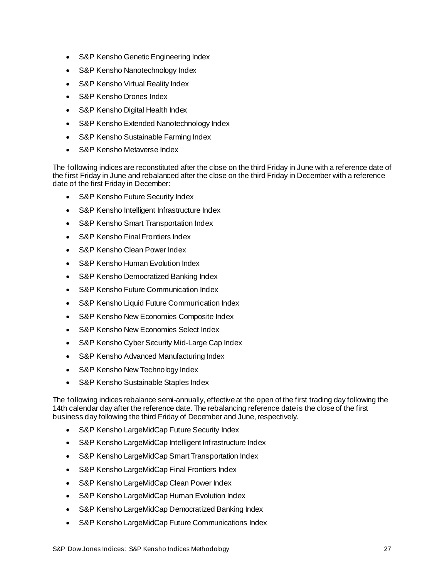- S&P Kensho Genetic Engineering Index
- S&P Kensho Nanotechnology Index
- S&P Kensho Virtual Reality Index
- S&P Kensho Drones Index
- S&P Kensho Digital Health Index
- S&P Kensho Extended Nanotechnology Index
- S&P Kensho Sustainable Farming Index
- S&P Kensho Metaverse Index

The following indices are reconstituted after the close on the third Friday in June with a reference date of the first Friday in June and rebalanced after the close on the third Friday in December with a reference date of the first Friday in December:

- S&P Kensho Future Security Index
- S&P Kensho Intelligent Infrastructure Index
- S&P Kensho Smart Transportation Index
- S&P Kensho Final Frontiers Index
- S&P Kensho Clean Power Index
- S&P Kensho Human Evolution Index
- S&P Kensho Democratized Banking Index
- S&P Kensho Future Communication Index
- S&P Kensho Liquid Future Communication Index
- S&P Kensho New Economies Composite Index
- S&P Kensho New Economies Select Index
- S&P Kensho Cyber Security Mid-Large Cap Index
- S&P Kensho Advanced Manufacturing Index
- S&P Kensho New Technology Index
- S&P Kensho Sustainable Staples Index

The following indices rebalance semi-annually, effective at the open of the first trading day following the 14th calendar day after the reference date. The rebalancing reference date is the close of the first business day following the third Friday of December and June, respectively.

- S&P Kensho LargeMidCap Future Security Index
- S&P Kensho LargeMidCap Intelligent Infrastructure Index
- S&P Kensho LargeMidCap Smart Transportation Index
- S&P Kensho LargeMidCap Final Frontiers Index
- S&P Kensho LargeMidCap Clean Power Index
- S&P Kensho LargeMidCap Human Evolution Index
- S&P Kensho LargeMidCap Democratized Banking Index
- S&P Kensho LargeMidCap Future Communications Index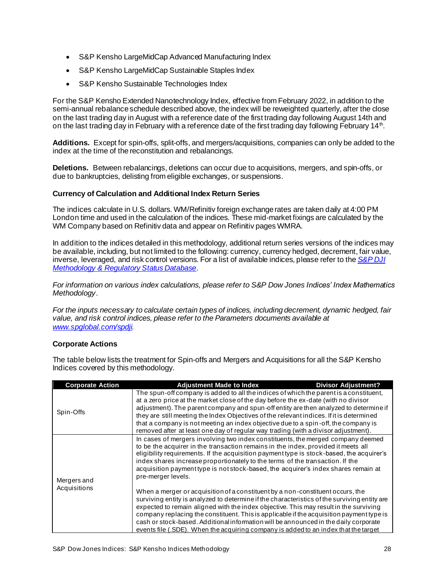- S&P Kensho LargeMidCap Advanced Manufacturing Index
- S&P Kensho LargeMidCap Sustainable Staples Index
- S&P Kensho Sustainable Technologies Index

For the S&P Kensho Extended Nanotechnology Index, effective from February 2022, in addition to the semi-annual rebalance schedule described above, the index will be reweighted quarterly, after the close on the last trading day in August with a reference date of the first trading day following August 14th and on the last trading day in February with a reference date of the first trading day following February 14<sup>th</sup>.

**Additions.** Except for spin-offs, split-offs, and mergers/acquisitions, companies can only be added to the index at the time of the reconstitution and rebalancings.

**Deletions.** Between rebalancings, deletions can occur due to acquisitions, mergers, and spin-offs, or due to bankruptcies, delisting from eligible exchanges, or suspensions.

#### <span id="page-28-0"></span>**Currency of Calculation and Additional Index Return Series**

The indices calculate in U.S. dollars. WM/Refinitiv foreign exchange rates are taken daily at 4:00 PM London time and used in the calculation of the indices. These mid-market fixings are calculated by the WM Company based on Refinitiv data and appear on Refinitiv pages WMRA.

In addition to the indices detailed in this methodology, additional return series versions of the indices may be available, including, but not limited to the following: currency, currency hedged, decrement, fair value, inverse, leveraged, and risk control versions. For a list of available indices, please refer to the *[S&P DJI](https://www.spglobal.com/spdji/en/governance/methodology-and-regulatory-status/)  [Methodology & Regulatory Status Database](https://www.spglobal.com/spdji/en/governance/methodology-and-regulatory-status/)*.

*For information on various index calculations, please refer to S&P Dow Jones Indices' Index Mathematics Methodology*.

*For the inputs necessary to calculate certain types of indices, including decrement, dynamic hedged, fair value, and risk control indices, please refer to the Parameters documents available at [www.spglobal.com/spdji](http://www.spdji.com/).*

#### <span id="page-28-1"></span>**Corporate Actions**

The table below lists the treatment for Spin-offs and Mergers and Acquisitions for all the S&P Kensho Indices covered by this methodology.

| <b>Corporate Action</b> | <b>Adjustment Made to Index</b>                                                                                                                                                                                                                                                                                                                                                                                                                                                                                                                    | <b>Divisor Adjustment?</b> |
|-------------------------|----------------------------------------------------------------------------------------------------------------------------------------------------------------------------------------------------------------------------------------------------------------------------------------------------------------------------------------------------------------------------------------------------------------------------------------------------------------------------------------------------------------------------------------------------|----------------------------|
| Spin-Offs               | The spun-off company is added to all the indices of which the parent is a constituent,<br>at a zero price at the market close of the day before the ex-date (with no divisor<br>adjustment). The parent company and spun-off entity are then analyzed to determine if<br>they are still meeting the Index Objectives of the relevant indices. If it is determined<br>that a company is not meeting an index objective due to a spin-off, the company is<br>removed after at least one day of regular way trading (with a divisor adjustment).      |                            |
| Mergers and             | In cases of mergers involving two index constituents, the merged company deemed<br>to be the acquirer in the transaction remains in the index, provided it meets all<br>eligibility requirements. If the acquisition payment type is stock-based, the acquirer's<br>index shares increase proportionately to the terms of the transaction. If the<br>acquisition payment type is not stock-based, the acquirer's index shares remain at<br>pre-merger levels.                                                                                      |                            |
| Acquisitions            | When a merger or acquisition of a constituent by a non-constituent occurs, the<br>surviving entity is analyzed to determine if the characteristics of the surviving entity are<br>expected to remain aligned with the index objective. This may result in the surviving<br>company replacing the constituent. This is applicable if the acquisition payment type is<br>cash or stock-based. Additional information will be announced in the daily corporate<br>events file (.SDE). When the acquiring company is added to an index that the target |                            |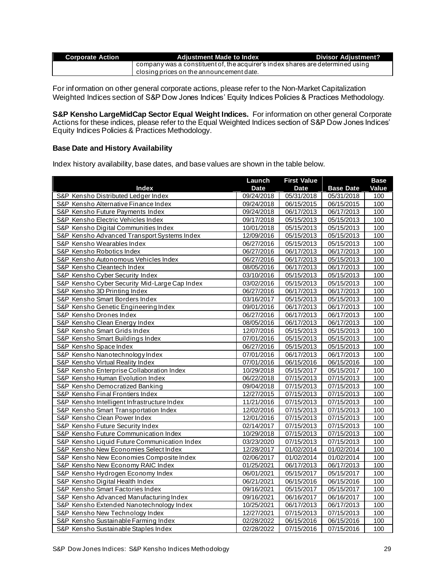| <b>Corporate Action</b> | Adjustment Made to Index                                                         | <b>Divisor Adjustment?</b> |
|-------------------------|----------------------------------------------------------------------------------|----------------------------|
|                         | I company was a constituent of, the acquirer's index shares are determined using |                            |
|                         | I closing prices on the announcement date.                                       |                            |

For information on other general corporate actions, please refer to the Non-Market Capitalization Weighted Indices section of S&P Dow Jones Indices' Equity Indices Policies & Practices Methodology*.*

**S&P Kensho LargeMidCap Sector Equal Weight Indices.** For information on other general Corporate Actions for these indices, please refer to the Equal Weighted Indices section of S&P Dow Jones Indices' Equity Indices Policies & Practices Methodology.

#### <span id="page-29-0"></span>**Base Date and History Availability**

Index history availability, base dates, and base values are shown in the table below.

|                                               | Launch      | <b>First Value</b>      |                  | <b>Base</b> |
|-----------------------------------------------|-------------|-------------------------|------------------|-------------|
| <b>Index</b>                                  | <b>Date</b> | <b>Date</b>             | <b>Base Date</b> | Value       |
| S&P Kensho Distributed Ledger Index           | 09/24/2018  | 05/31/2018              | 05/31/2018       | 100         |
| S&P Kensho Alternative Finance Index          | 09/24/2018  | 06/15/2015              | 06/15/2015       | 100         |
| S&P Kensho Future Payments Index              | 09/24/2018  | 06/17/2013              | 06/17/2013       | 100         |
| S&P Kensho Electric Vehicles Index            | 09/17/2018  | 05/15/2013              | 05/15/2013       | 100         |
| S&P Kensho Digital Communities Index          | 10/01/2018  | 05/15/2013              | 05/15/2013       | 100         |
| S&P Kensho Advanced Transport Systems Index   | 12/09/2016  | 05/15/2013              | 05/15/2013       | 100         |
| S&P Kensho Wearables Index                    | 06/27/2016  | 05/15/2013              | 05/15/2013       | 100         |
| S&P Kensho Robotics Index                     | 06/27/2016  | 06/17/2013              | 06/17/2013       | 100         |
| S&P Kensho Autonomous Vehicles Index          | 06/27/2016  | 06/17/2013              | 05/15/2013       | 100         |
| S&P Kensho Cleantech Index                    | 08/05/2016  | 06/17/2013              | 06/17/2013       | 100         |
| S&P Kensho Cyber Security Index               | 03/10/2016  | 05/15/2013              | 05/15/2013       | 100         |
| S&P Kensho Cyber Security Mid-Large Cap Index | 03/02/2016  | 05/15/2013              | 05/15/2013       | 100         |
| S&P Kensho 3D Printing Index                  | 06/27/2016  | 06/17/2013              | 06/17/2013       | 100         |
| S&P Kensho Smart Borders Index                | 03/16/2017  | 05/15/2013              | 05/15/2013       | 100         |
| S&P Kensho Genetic Engineering Index          | 09/01/2016  | 06/17/2013              | 06/17/2013       | 100         |
| S&P Kensho Drones Index                       | 06/27/2016  | 06/17/2013              | 06/17/2013       | 100         |
| S&P Kensho Clean Energy Index                 | 08/05/2016  | 06/17/2013              | 06/17/2013       | 100         |
| S&P Kensho Smart Grids Index                  | 12/07/2016  | 05/15/2013              | 05/15/2013       | 100         |
| S&P Kensho Smart Buildings Index              | 07/01/2016  | $\overline{05}/15/2013$ | 05/15/2013       | 100         |
| S&P Kensho Space Index                        | 06/27/2016  | 05/15/2013              | 05/15/2013       | 100         |
| S&P Kensho Nanotechnology Index               | 07/01/2016  | 06/17/2013              | 06/17/2013       | 100         |
| S&P Kensho Virtual Reality Index              | 07/01/2016  | 06/15/2016              | 06/15/2016       | 100         |
| S&P Kensho Enterprise Collaboration Index     | 10/29/2018  | 05/15/2017              | 05/15/2017       | 100         |
| S&P Kensho Human Evolution Index              | 06/22/2018  | 07/15/2013              | 07/15/2013       | 100         |
| S&P Kensho Democratized Banking               | 09/04/2018  | 07/15/2013              | 07/15/2013       | 100         |
| S&P Kensho Final Frontiers Index              | 12/27/2015  | 07/15/2013              | 07/15/2013       | 100         |
| S&P Kensho Intelligent Infrastructure Index   | 11/21/2016  | 07/15/2013              | 07/15/2013       | 100         |
| S&P Kensho Smart Transportation Index         | 12/02/2016  | 07/15/2013              | 07/15/2013       | 100         |
| S&P Kensho Clean Power Index                  | 12/01/2016  | 07/15/2013              | 07/15/2013       | 100         |
| S&P Kensho Future Security Index              | 02/14/2017  | 07/15/2013              | 07/15/2013       | 100         |
| S&P Kensho Future Communication Index         | 10/29/2018  | 07/15/2013              | 07/15/2013       | 100         |
| S&P Kensho Liquid Future Communication Index  | 03/23/2020  | 07/15/2013              | 07/15/2013       | 100         |
| S&P Kensho New Economies Select Index         | 12/28/2017  | 01/02/2014              | 01/02/2014       | 100         |
| S&P Kensho New Economies Composite Index      | 02/06/2017  | 01/02/2014              | 01/02/2014       | 100         |
| S&P Kensho New Economy RAIC Index             | 01/25/2021  | 06/17/2013              | 06/17/2013       | 100         |
| S&P Kensho Hydrogen Economy Index             | 06/01/2021  | 05/15/2017              | 05/15/2017       | 100         |
| S&P Kensho Digital Health Index               | 06/21/2021  | 06/15/2016              | 06/15/2016       | 100         |
| S&P Kensho Smart Factories Index              | 09/16/2021  | 05/15/2017              | 05/15/2017       | 100         |
| S&P Kensho Advanced Manufacturing Index       | 09/16/2021  | 06/16/2017              | 06/16/2017       | 100         |
| S&P Kensho Extended Nanotechnology Index      | 10/25/2021  | 06/17/2013              | 06/17/2013       | 100         |
| S&P Kensho New Technology Index               | 12/27/2021  | 07/15/2013              | 07/15/2013       | 100         |
| S&P Kensho Sustainable Farming Index          | 02/28/2022  | 06/15/2016              | 06/15/2016       | 100         |
| S&P Kensho Sustainable Staples Index          | 02/28/2022  | 07/15/2016              | 07/15/2016       | 100         |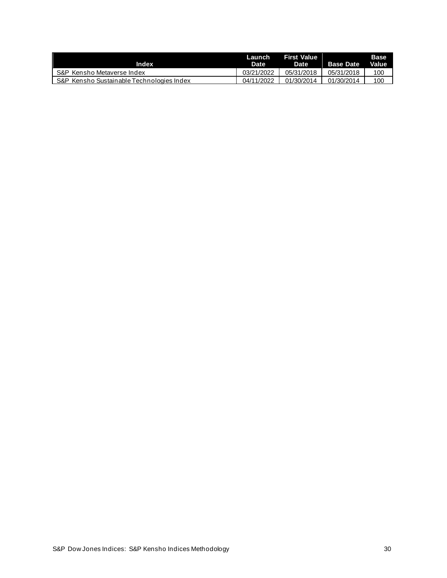| Index                                     | Launch<br><b>Date</b> | <b>First Value</b><br>Date | <b>Base Date</b> | Base<br><b>Value</b> |
|-------------------------------------------|-----------------------|----------------------------|------------------|----------------------|
| S&P Kensho Metaverse Index                | 03/21/2022            | 05/31/2018                 | 05/31/2018       | 100                  |
| S&P Kensho Sustainable Technologies Index | 04/11/2022            | 01/30/2014                 | 01/30/2014       | 100                  |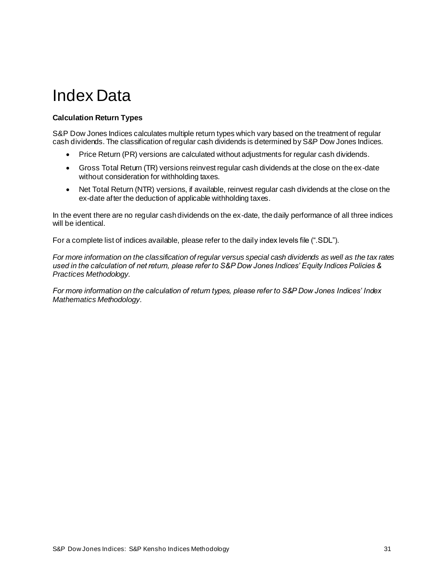# <span id="page-31-0"></span>Index Data

# <span id="page-31-1"></span>**Calculation Return Types**

S&P Dow Jones Indices calculates multiple return types which vary based on the treatment of regular cash dividends. The classification of regular cash dividends is determined by S&P Dow Jones Indices.

- Price Return (PR) versions are calculated without adjustments for regular cash dividends.
- Gross Total Return (TR) versions reinvest regular cash dividends at the close on the ex-date without consideration for withholding taxes.
- Net Total Return (NTR) versions, if available, reinvest regular cash dividends at the close on the ex-date after the deduction of applicable withholding taxes.

In the event there are no regular cash dividends on the ex-date, the daily performance of all three indices will be identical.

For a complete list of indices available, please refer to the daily index levels file (".SDL").

*For more information on the classification of regular versus special cash dividends as well as the tax rates used in the calculation of net return, please refer to S&P Dow Jones Indices' Equity Indices Policies & Practices Methodology*.

*For more information on the calculation of return types, please refer to S&P Dow Jones Indices' Index Mathematics Methodology*.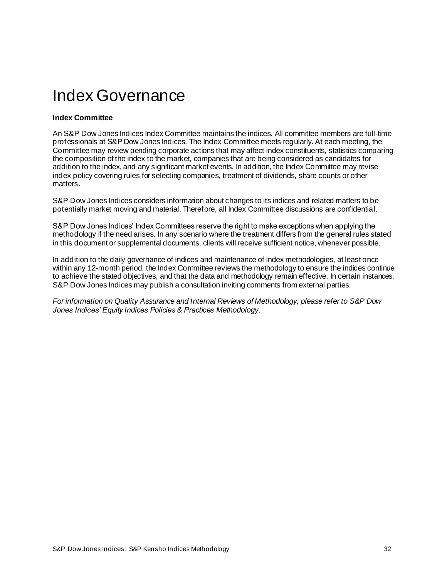# <span id="page-32-0"></span>Index Governance

### <span id="page-32-1"></span>**Index Committee**

An S&P Dow Jones Indices Index Committee maintains the indices. All committee members are full-time professionals at S&P Dow Jones Indices. The Index Committee meets regularly. At each meeting, the Committee may review pending corporate actions that may affect index constituents, statistics comparing the composition of the index to the market, companies that are being considered as candidates for addition to the index, and any significant market events. In addition, the Index Committee may revise index policy covering rules for selecting companies, treatment of dividends, share counts or other matters.

S&P Dow Jones Indices considers information about changes to its indices and related matters to be potentially market moving and material. Therefore, all Index Committee discussions are confidential.

S&P Dow Jones Indices' Index Committees reserve the right to make exceptions when applying the methodology if the need arises. In any scenario where the treatment differs from the general rules stated in this document or supplemental documents, clients will receive sufficient notice, whenever possible.

In addition to the daily governance of indices and maintenance of index methodologies, at least once within any 12-month period, the Index Committee reviews the methodology to ensure the indices continue to achieve the stated objectives, and that the data and methodology remain effective. In certain instances, S&P Dow Jones Indices may publish a consultation inviting comments from external parties.

*For information on Quality Assurance and Internal Reviews of Methodology, please refer to S&P Dow Jones Indices' Equity Indices Policies & Practices Methodology*.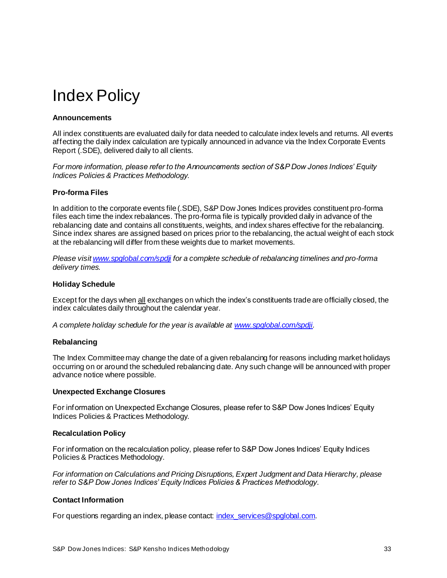# <span id="page-33-0"></span>Index Policy

# <span id="page-33-1"></span>**Announcements**

All index constituents are evaluated daily for data needed to calculate index levels and returns. All events affecting the daily index calculation are typically announced in advance via the Index Corporate Events Report (.SDE), delivered daily to all clients.

*For more information, please refer to the Announcements section of S&P Dow Jones Indices' Equity Indices Policies & Practices Methodology.*

### <span id="page-33-2"></span>**Pro-forma Files**

In addition to the corporate events file (.SDE), S&P Dow Jones Indices provides constituent pro-forma files each time the index rebalances. The pro-forma file is typically provided daily in advance of the rebalancing date and contains all constituents, weights, and index shares effective for the rebalancing. Since index shares are assigned based on prices prior to the rebalancing, the actual weight of each stock at the rebalancing will differ from these weights due to market movements.

*Please visi[t www.spglobal.com/spdji](http://www.spglobal.com/spdji) for a complete schedule of rebalancing timelines and pro-forma delivery times.*

### <span id="page-33-3"></span>**Holiday Schedule**

Except for the days when all exchanges on which the index's constituents trade are officially closed, the index calculates daily throughout the calendar year.

<span id="page-33-4"></span>*A complete holiday schedule for the year is available a[t www.spglobal.com/spdji](http://www.spglobal.com/spdji).*

### **Rebalancing**

The Index Committee may change the date of a given rebalancing for reasons including market holidays occurring on or around the scheduled rebalancing date. Any such change will be announced with proper advance notice where possible.

#### <span id="page-33-5"></span>**Unexpected Exchange Closures**

For information on Unexpected Exchange Closures, please refer to S&P Dow Jones Indices' Equity Indices Policies & Practices Methodology*.*

### <span id="page-33-6"></span>**Recalculation Policy**

For information on the recalculation policy, please refer to S&P Dow Jones Indices' Equity Indices Policies & Practices Methodology.

*For information on Calculations and Pricing Disruptions, Expert Judgment and Data Hierarchy, please refer to S&P Dow Jones Indices' Equity Indices Policies & Practices Methodology*.

### <span id="page-33-7"></span>**Contact Information**

For questions regarding an index, please contact: index services@spglobal.com.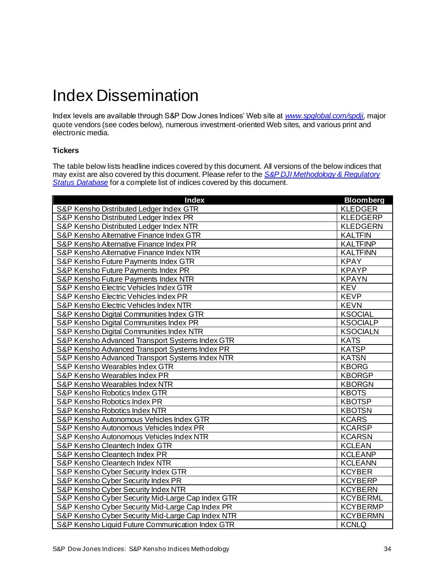# <span id="page-34-0"></span>Index Dissemination

Index levels are available through S&P Dow Jones Indices' Web site at *[www.spglobal.com/spdji](http://www.spglobal.com/spdji),* major quote vendors (see codes below), numerous investment-oriented Web sites, and various print and electronic media.

# <span id="page-34-1"></span>**Tickers**

The table below lists headline indices covered by this document. All versions of the below indices that may exist are also covered by this document. Please refer to the *[S&P DJI Methodology & Regulatory](https://www.spglobal.com/spdji/en/governance/methodology-and-regulatory-status/)  [Status Database](https://www.spglobal.com/spdji/en/governance/methodology-and-regulatory-status/)* for a complete list of indices covered by this document.

| <b>Index</b>                                      | <b>Bloomberg</b> |
|---------------------------------------------------|------------------|
| S&P Kensho Distributed Ledger Index GTR           | <b>KLEDGER</b>   |
| S&P Kensho Distributed Ledger Index PR            | <b>KLEDGERP</b>  |
| S&P Kensho Distributed Ledger Index NTR           | <b>KLEDGERN</b>  |
| S&P Kensho Alternative Finance Index GTR          | <b>KALTFIN</b>   |
| S&P Kensho Alternative Finance Index PR           | <b>KALTFINP</b>  |
| S&P Kensho Alternative Finance Index NTR          | <b>KALTFINN</b>  |
| S&P Kensho Future Payments Index GTR              | <b>KPAY</b>      |
| S&P Kensho Future Payments Index PR               | <b>KPAYP</b>     |
| S&P Kensho Future Payments Index NTR              | <b>KPAYN</b>     |
| S&P Kensho Electric Vehicles Index GTR            | <b>KEV</b>       |
| S&P Kensho Electric Vehicles Index PR             | <b>KEVP</b>      |
| S&P Kensho Electric Vehicles Index NTR            | <b>KEVN</b>      |
| S&P Kensho Digital Communities Index GTR          | <b>KSOCIAL</b>   |
| S&P Kensho Digital Communities Index PR           | <b>KSOCIALP</b>  |
| S&P Kensho Digital Communities Index NTR          | <b>KSOCIALN</b>  |
| S&P Kensho Advanced Transport Systems Index GTR   | <b>KATS</b>      |
| S&P Kensho Advanced Transport Systems Index PR    | <b>KATSP</b>     |
| S&P Kensho Advanced Transport Systems Index NTR   | <b>KATSN</b>     |
| S&P Kensho Wearables Index GTR                    | <b>KBORG</b>     |
| S&P Kensho Wearables Index PR                     | <b>KBORGP</b>    |
| S&P Kensho Wearables Index NTR                    | <b>KBORGN</b>    |
| S&P Kensho Robotics Index GTR                     | <b>KBOTS</b>     |
| S&P Kensho Robotics Index PR                      | <b>KBOTSP</b>    |
| S&P Kensho Robotics Index NTR                     | <b>KBOTSN</b>    |
| S&P Kensho Autonomous Vehicles Index GTR          | <b>KCARS</b>     |
| S&P Kensho Autonomous Vehicles Index PR           | <b>KCARSP</b>    |
| S&P Kensho Autonomous Vehicles Index NTR          | <b>KCARSN</b>    |
| S&P Kensho Cleantech Index GTR                    | <b>KCLEAN</b>    |
| S&P Kensho Cleantech Index PR                     | <b>KCLEANP</b>   |
| S&P Kensho Cleantech Index NTR                    | <b>KCLEANN</b>   |
| S&P Kensho Cyber Security Index GTR               | <b>KCYBER</b>    |
| S&P Kensho Cyber Security Index PR                | <b>KCYBERP</b>   |
| S&P Kensho Cyber Security Index NTR               | <b>KCYBERN</b>   |
| S&P Kensho Cyber Security Mid-Large Cap Index GTR | <b>KCYBERML</b>  |
| S&P Kensho Cyber Security Mid-Large Cap Index PR  | <b>KCYBERMP</b>  |
| S&P Kensho Cyber Security Mid-Large Cap Index NTR | <b>KCYBERMN</b>  |
| S&P Kensho Liquid Future Communication Index GTR  | <b>KCNLQ</b>     |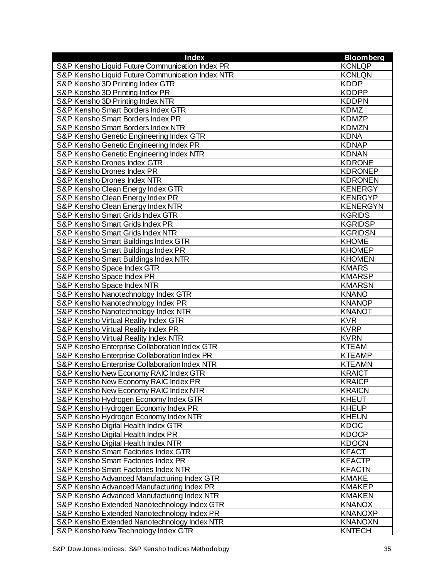| <b>Index</b>                                     | <b>Bloomberg</b> |
|--------------------------------------------------|------------------|
| S&P Kensho Liquid Future Communication Index PR  | <b>KCNLQP</b>    |
| S&P Kensho Liquid Future Communication Index NTR | <b>KCNLQN</b>    |
| S&P Kensho 3D Printing Index GTR                 | <b>KDDP</b>      |
| S&P Kensho 3D Printing Index PR                  | <b>KDDPP</b>     |
| S&P Kensho 3D Printing Index NTR                 | <b>KDDPN</b>     |
| S&P Kensho Smart Borders Index GTR               | <b>KDMZ</b>      |
| S&P Kensho Smart Borders Index PR                | <b>KDMZP</b>     |
| S&P Kensho Smart Borders Index NTR               | <b>KDMZN</b>     |
| S&P Kensho Genetic Engineering Index GTR         | <b>KDNA</b>      |
| S&P Kensho Genetic Engineering Index PR          | <b>KDNAP</b>     |
| S&P Kensho Genetic Engineering Index NTR         | <b>KDNAN</b>     |
| S&P Kensho Drones Index GTR                      | <b>KDRONE</b>    |
| S&P Kensho Drones Index PR                       | <b>KDRONEP</b>   |
| S&P Kensho Drones Index NTR                      | <b>KDRONEN</b>   |
| S&P Kensho Clean Energy Index GTR                | <b>KENERGY</b>   |
| S&P Kensho Clean Energy Index PR                 | <b>KENRGYP</b>   |
| S&P Kensho Clean Energy Index NTR                | <b>KENERGYN</b>  |
| S&P Kensho Smart Grids Index GTR                 | <b>KGRIDS</b>    |
| S&P Kensho Smart Grids Index PR                  | <b>KGRIDSP</b>   |
| S&P Kensho Smart Grids Index NTR                 | <b>KGRIDSN</b>   |
| S&P Kensho Smart Buildings Index GTR             | <b>KHOME</b>     |
| S&P Kensho Smart Buildings Index PR              | <b>KHOMEP</b>    |
| S&P Kensho Smart Buildings Index NTR             | <b>KHOMEN</b>    |
| S&P Kensho Space Index GTR                       | <b>KMARS</b>     |
| S&P Kensho Space Index PR                        | <b>KMARSP</b>    |
| S&P Kensho Space Index NTR                       | <b>KMARSN</b>    |
| S&P Kensho Nanotechnology Index GTR              | <b>KNANO</b>     |
| S&P Kensho Nanotechnology Index PR               | <b>KNANOP</b>    |
| S&P Kensho Nanotechnology Index NTR              | <b>KNANOT</b>    |
| S&P Kensho Virtual Reality Index GTR             | <b>KVR</b>       |
| S&P Kensho Virtual Reality Index PR              | <b>KVRP</b>      |
| S&P Kensho Virtual Reality Index NTR             | <b>KVRN</b>      |
| S&P Kensho Enterprise Collaboration Index GTR    | <b>KTEAM</b>     |
| S&P Kensho Enterprise Collaboration Index PR     | <b>KTEAMP</b>    |
| S&P Kensho Enterprise Collaboration Index NTR    | <b>KTEAMN</b>    |
| S&P Kensho New Economy RAIC Index GTR            | <b>KRAICT</b>    |
| S&P Kensho New Economy RAIC Index PR             | <b>KRAICP</b>    |
| S&P Kensho New Economy RAIC Index NTR            | <b>KRAICN</b>    |
| S&P Kensho Hydrogen Economy Index GTR            | <b>KHEUT</b>     |
| S&P Kensho Hydrogen Economy Index PR             | <b>KHEUP</b>     |
| S&P Kensho Hydrogen Economy Index NTR            | <b>KHEUN</b>     |
| S&P Kensho Digital Health Index GTR              | <b>KDOC</b>      |
| S&P Kensho Digital Health Index PR               | <b>KDOCP</b>     |
| S&P Kensho Digital Health Index NTR              | <b>KDOCN</b>     |
| S&P Kensho Smart Factories Index GTR             | <b>KFACT</b>     |
| S&P Kensho Smart Factories Index PR              | <b>KFACTP</b>    |
| S&P Kensho Smart Factories Index NTR             | <b>KFACTN</b>    |
| S&P Kensho Advanced Manufacturing Index GTR      | <b>KMAKE</b>     |
| S&P Kensho Advanced Manufacturing Index PR       | <b>KMAKEP</b>    |
| S&P Kensho Advanced Manufacturing Index NTR      | <b>KMAKEN</b>    |
| S&P Kensho Extended Nanotechnology Index GTR     | <b>KNANOX</b>    |
| S&P Kensho Extended Nanotechnology Index PR      | <b>KNANOXP</b>   |
| S&P Kensho Extended Nanotechnology Index NTR     | <b>KNANOXN</b>   |
| S&P Kensho New Technology Index GTR              | <b>KNTECH</b>    |
|                                                  |                  |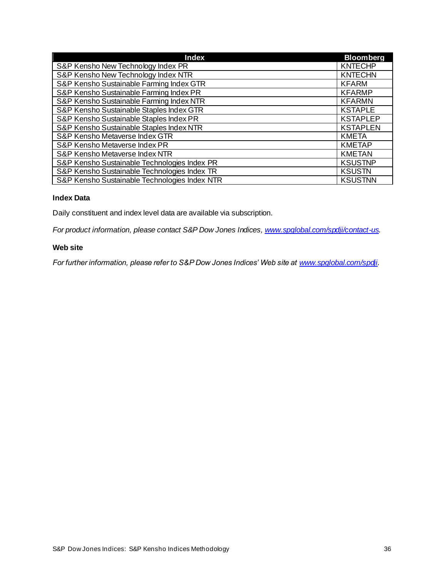| <b>Index</b>                                  | <b>Bloomberg</b> |
|-----------------------------------------------|------------------|
| S&P Kensho New Technology Index PR            | <b>KNTECHP</b>   |
| S&P Kensho New Technology Index NTR           | <b>KNTECHN</b>   |
| S&P Kensho Sustainable Farming Index GTR      | <b>KFARM</b>     |
| S&P Kensho Sustainable Farming Index PR       | <b>KFARMP</b>    |
| S&P Kensho Sustainable Farming Index NTR      | <b>KFARMN</b>    |
| S&P Kensho Sustainable Staples Index GTR      | <b>KSTAPLE</b>   |
| S&P Kensho Sustainable Staples Index PR       | <b>KSTAPLEP</b>  |
| S&P Kensho Sustainable Staples Index NTR      | <b>KSTAPLEN</b>  |
| S&P Kensho Metaverse Index GTR                | <b>KMETA</b>     |
| S&P Kensho Metaverse Index PR                 | <b>KMETAP</b>    |
| S&P Kensho Metaverse Index NTR                | <b>KMETAN</b>    |
| S&P Kensho Sustainable Technologies Index PR  | <b>KSUSTNP</b>   |
| S&P Kensho Sustainable Technologies Index TR  | <b>KSUSTN</b>    |
| S&P Kensho Sustainable Technologies Index NTR | <b>KSUSTNN</b>   |

### <span id="page-36-0"></span>**Index Data**

Daily constituent and index level data are available via subscription.

*For product information, please contact S&P Dow Jones Indices, [www.spglobal.com/spdji/contact-us](http://www.spglobal.com/spdji/contact-us).*

# <span id="page-36-1"></span>**Web site**

*For further information, please refer to S&P Dow Jones Indices' Web site a[t www.spglobal.com/spdji](http://www.spglobal.com/spdji).*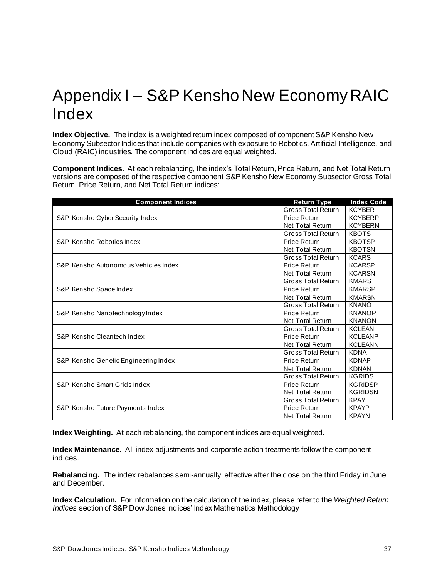# <span id="page-37-0"></span>Appendix I – S&P Kensho New Economy RAIC Index

**Index Objective.** The index is a weighted return index composed of component S&P Kensho New Economy Subsector Indices that include companies with exposure to Robotics, Artificial Intelligence, and Cloud (RAIC) industries. The component indices are equal weighted.

**Component Indices.** At each rebalancing, the index's Total Return, Price Return, and Net Total Return versions are composed of the respective component S&P Kensho New Economy Subsector Gross Total Return, Price Return, and Net Total Return indices:

| <b>Component Indices</b>             | <b>Return Type</b>        | <b>Index Code</b> |
|--------------------------------------|---------------------------|-------------------|
|                                      | <b>Gross Total Return</b> | <b>KCYBER</b>     |
| S&P Kensho Cyber Security Index      | Price Return              | <b>KCYBERP</b>    |
|                                      | <b>Net Total Return</b>   | <b>KCYBERN</b>    |
|                                      | Gross Total Return        | <b>KBOTS</b>      |
| S&P Kensho Robotics Index            | Price Return              | <b>KBOTSP</b>     |
|                                      | <b>Net Total Return</b>   | <b>KBOTSN</b>     |
|                                      | Gross Total Return        | <b>KCARS</b>      |
| S&P Kensho Autonomous Vehicles Index | Price Return              | <b>KCARSP</b>     |
|                                      | <b>Net Total Return</b>   | <b>KCARSN</b>     |
|                                      | <b>Gross Total Return</b> | <b>KMARS</b>      |
| S&P Kensho Space Index               | Price Return              | <b>KMARSP</b>     |
|                                      | <b>Net Total Return</b>   | <b>KMARSN</b>     |
|                                      | <b>Gross Total Return</b> | <b>KNANO</b>      |
| S&P Kensho Nanotechnology Index      | Price Return              | <b>KNANOP</b>     |
|                                      | <b>Net Total Return</b>   | <b>KNANON</b>     |
|                                      | Gross Total Return        | <b>KCLEAN</b>     |
| S&P Kensho Cleantech Index           | Price Return              | <b>KCLEANP</b>    |
|                                      | Net Total Return          | <b>KCLEANN</b>    |
|                                      | Gross Total Return        | <b>KDNA</b>       |
| S&P Kensho Genetic Engineering Index | Price Return              | <b>KDNAP</b>      |
|                                      | Net Total Return          | <b>KDNAN</b>      |
|                                      | Gross Total Return        | <b>KGRIDS</b>     |
| S&P Kensho Smart Grids Index         | Price Return              | <b>KGRIDSP</b>    |
|                                      | Net Total Return          | <b>KGRIDSN</b>    |
|                                      | <b>Gross Total Return</b> | <b>KPAY</b>       |
| S&P Kensho Future Payments Index     | Price Return              | <b>KPAYP</b>      |
|                                      | Net Total Return          | <b>KPAYN</b>      |

**Index Weighting.** At each rebalancing, the component indices are equal weighted.

**Index Maintenance.** All index adjustments and corporate action treatments follow the component indices.

**Rebalancing.** The index rebalances semi-annually, effective after the close on the third Friday in June and December.

**Index Calculation.** For information on the calculation of the index, please refer to the *Weighted Return Indices* section of S&P Dow Jones Indices' Index Mathematics Methodology.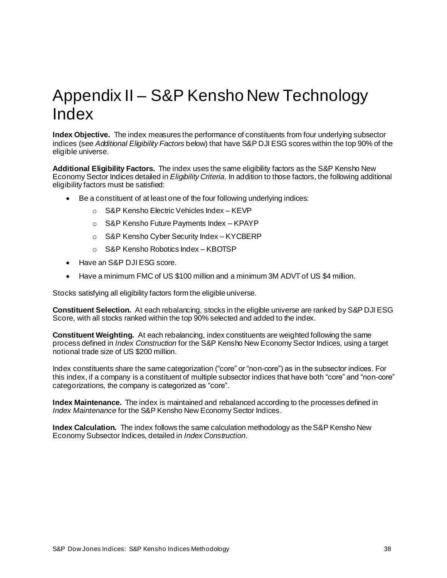# <span id="page-38-0"></span>Appendix II – S&P Kensho New Technology Index

**Index Objective.** The index measures the performance of constituents from four underlying subsector indices (see *Additional Eligibility Factors* below) that have S&P DJI ESG scores within the top 90% of the eligible universe.

**Additional Eligibility Factors.** The index uses the same eligibility factors as the S&P Kensho New Economy Sector Indices detailed in *Eligibility Criteria*. In addition to those factors, the following additional eligibility factors must be satisfied:

- Be a constituent of at least one of the four following underlying indices:
	- o S&P Kensho Electric Vehicles Index KEVP
	- o S&P Kensho Future Payments Index KPAYP
	- o S&P Kensho Cyber Security Index KYCBERP
	- o S&P Kensho Robotics Index KBOTSP
- Have an S&P DJI ESG score.
- Have a minimum FMC of US \$100 million and a minimum 3M ADVT of US \$4 million.

Stocks satisfying all eligibility factors form the eligible universe.

**Constituent Selection.** At each rebalancing, stocks in the eligible universe are ranked by S&P DJI ESG Score, with all stocks ranked within the top 90% selected and added to the index.

**Constituent Weighting.** At each rebalancing, index constituents are weighted following the same process defined in *Index Construction* for the S&P Kensho New Economy Sector Indices, using a target notional trade size of US \$200 million.

Index constituents share the same categorization ("core" or "non-core") as in the subsector indices. For this index, if a company is a constituent of multiple subsector indices that have both "core" and "non-core" categorizations, the company is categorized as "core".

**Index Maintenance.** The index is maintained and rebalanced according to the processes defined in *Index Maintenance* for the S&P Kensho New Economy Sector Indices.

**Index Calculation.** The index follows the same calculation methodology as the S&P Kensho New Economy Subsector Indices, detailed in *Index Construction*.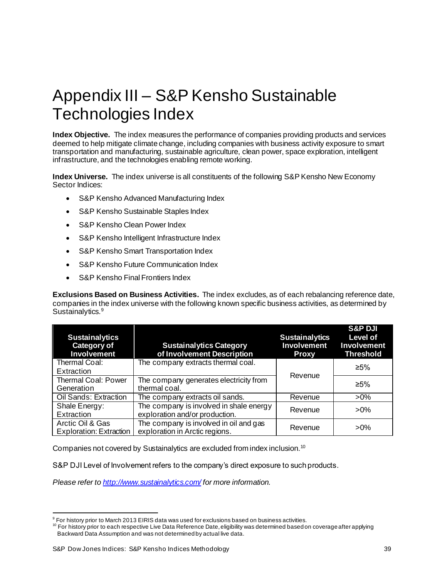# <span id="page-39-0"></span>Appendix III – S&P Kensho Sustainable Technologies Index

**Index Objective.** The index measures the performance of companies providing products and services deemed to help mitigate climate change, including companies with business activity exposure to smart transportation and manufacturing, sustainable agriculture, clean power, space exploration, intelligent infrastructure, and the technologies enabling remote working.

**Index Universe.** The index universe is all constituents of the following S&P Kensho New Economy Sector Indices:

- S&P Kensho Advanced Manufacturing Index
- S&P Kensho Sustainable Staples Index
- S&P Kensho Clean Power Index
- S&P Kensho Intelligent Infrastructure Index
- S&P Kensho Smart Transportation Index
- S&P Kensho Future Communication Index
- S&P Kensho Final Frontiers Index

**Exclusions Based on Business Activities.** The index excludes, as of each rebalancing reference date, companies in the index universe with the following known specific business activities, as determined by Sustainalytics.<sup>9</sup>

| <b>Sustainalytics</b><br><b>Category of</b><br><b>Involvement</b> | <b>Sustainalytics Category</b><br>of Involvement Description              | <b>Sustainalytics</b><br><b>Involvement</b><br><b>Proxy</b> | <b>S&amp;P DJI</b><br><b>Level of</b><br><b>Involvement</b><br><b>Threshold</b> |
|-------------------------------------------------------------------|---------------------------------------------------------------------------|-------------------------------------------------------------|---------------------------------------------------------------------------------|
| Thermal Coal:<br>Extraction                                       | The company extracts thermal coal.                                        | Revenue                                                     | ≥5%                                                                             |
| <b>Thermal Coal: Power</b><br>Generation                          | The company generates electricity from<br>thermal coal.                   |                                                             | ≥5%                                                                             |
| Oil Sands: Extraction                                             | The company extracts oil sands.                                           | Revenue                                                     | $>0\%$                                                                          |
| Shale Energy:<br>Extraction                                       | The company is involved in shale energy<br>exploration and/or production. | Revenue                                                     | $>0\%$                                                                          |
| Arctic Oil & Gas<br><b>Exploration: Extraction</b>                | The company is involved in oil and gas<br>exploration in Arctic regions.  | Revenue                                                     | $>0\%$                                                                          |

Companies not covered by Sustainalytics are excluded from index inclusion.<sup>10</sup>

S&P DJI Level of Involvement refers to the company's direct exposure to such products.

*Please refer t[o http://www.sustainalytics.com/](http://www.sustainalytics.com/) for more information.*

<sup>&</sup>lt;sup>9</sup> For history prior to March 2013 EIRIS data was used for exclusions based on business activities.<br><sup>10</sup> For history prior to each respective Live Data Reference Date, eligibility was determined based on coverage after ap Backward Data Assumption and was not determined by actual live data.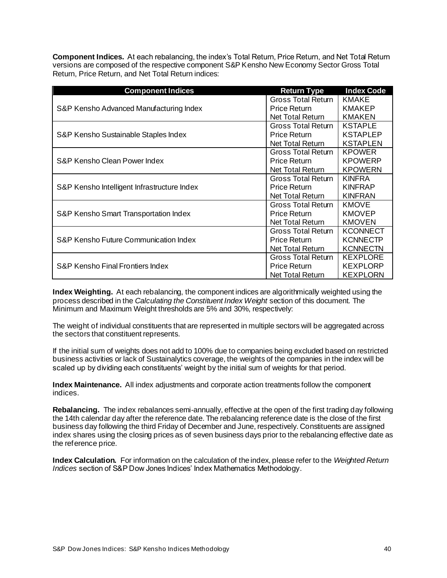**Component Indices.** At each rebalancing, the index's Total Return, Price Return, and Net Total Return versions are composed of the respective component S&P Kensho New Economy Sector Gross Total Return, Price Return, and Net Total Return indices:

| <b>Component Indices</b>                    | <b>Return Type</b>        | <b>Index Code</b> |
|---------------------------------------------|---------------------------|-------------------|
|                                             | Gross Total Return        | <b>KMAKE</b>      |
| S&P Kensho Advanced Manufacturing Index     | <b>Price Return</b>       | <b>KMAKEP</b>     |
|                                             | Net Total Return          | <b>KMAKEN</b>     |
|                                             | <b>Gross Total Return</b> | <b>KSTAPLE</b>    |
| S&P Kensho Sustainable Staples Index        | Price Return              | <b>KSTAPLEP</b>   |
|                                             | Net Total Return          | <b>KSTAPLEN</b>   |
|                                             | <b>Gross Total Return</b> | <b>KPOWER</b>     |
| S&P Kensho Clean Power Index                | Price Return              | <b>KPOWERP</b>    |
|                                             | Net Total Return          | <b>KPOWERN</b>    |
|                                             | <b>Gross Total Return</b> | <b>KINFRA</b>     |
| S&P Kensho Intelligent Infrastructure Index | <b>Price Return</b>       | <b>KINFRAP</b>    |
|                                             | Net Total Return          | <b>KINFRAN</b>    |
|                                             | <b>Gross Total Return</b> | <b>KMOVE</b>      |
| S&P Kensho Smart Transportation Index       | Price Return              | <b>KMOVEP</b>     |
|                                             | Net Total Return          | <b>KMOVEN</b>     |
|                                             | <b>Gross Total Return</b> | <b>KCONNECT</b>   |
| S&P Kensho Future Communication Index       | <b>Price Return</b>       | <b>KCNNECTP</b>   |
|                                             | Net Total Return          | <b>KCNNECTN</b>   |
|                                             | <b>Gross Total Return</b> | <b>KEXPLORE</b>   |
| <b>S&amp;P Kensho Final Frontiers Index</b> | Price Return              | <b>KEXPLORP</b>   |
|                                             | Net Total Return          | <b>KEXPLORN</b>   |

**Index Weighting.** At each rebalancing, the component indices are algorithmically weighted using the process described in the *Calculating the Constituent Index Weight* section of this document. The Minimum and Maximum Weight thresholds are 5% and 30%, respectively:

The weight of individual constituents that are represented in multiple sectors will be aggregated across the sectors that constituent represents.

If the initial sum of weights does not add to 100% due to companies being excluded based on restricted business activities or lack of Sustainalytics coverage, the weights of the companies in the index will be scaled up by dividing each constituents' weight by the initial sum of weights for that period.

**Index Maintenance.** All index adjustments and corporate action treatments follow the component indices.

**Rebalancing.** The index rebalances semi-annually, effective at the open of the first trading day following the 14th calendar day after the reference date. The rebalancing reference date is the close of the first business day following the third Friday of December and June, respectively. Constituents are assigned index shares using the closing prices as of seven business days prior to the rebalancing effective date as the reference price.

**Index Calculation.** For information on the calculation of the index, please refer to the *Weighted Return Indices* section of S&P Dow Jones Indices' Index Mathematics Methodology.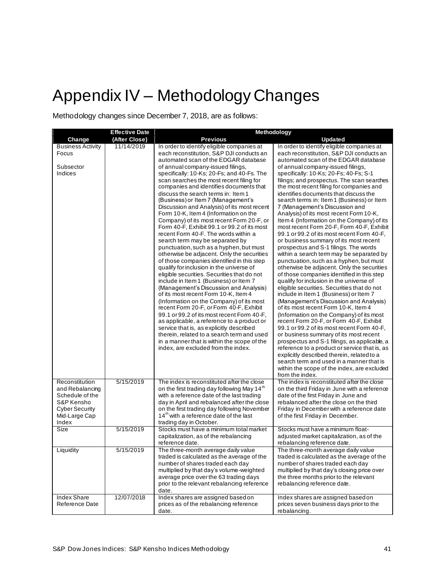# <span id="page-41-0"></span>Appendix IV – Methodology Changes

Methodology changes since December 7, 2018, are as follows:

|                                                                                                     | <b>Effective Date</b> | Methodology                                                                                                                                                                                                                                                                                                                                                                                                                                                                                                                                                                                                                                                                                                                                                                                                                                                                                                                                                                                                                                                                                                                                                                                                                                                                                                                                                                           |                                                                                                                                                                                                                                                                                                                                                                                                                                                                                                                                                                                                                                                                                                                                                                                                                                                                                                                                                                                                                                                                                                                                                                                                                                                                                                                                                                                                                                                                                                                                            |  |
|-----------------------------------------------------------------------------------------------------|-----------------------|---------------------------------------------------------------------------------------------------------------------------------------------------------------------------------------------------------------------------------------------------------------------------------------------------------------------------------------------------------------------------------------------------------------------------------------------------------------------------------------------------------------------------------------------------------------------------------------------------------------------------------------------------------------------------------------------------------------------------------------------------------------------------------------------------------------------------------------------------------------------------------------------------------------------------------------------------------------------------------------------------------------------------------------------------------------------------------------------------------------------------------------------------------------------------------------------------------------------------------------------------------------------------------------------------------------------------------------------------------------------------------------|--------------------------------------------------------------------------------------------------------------------------------------------------------------------------------------------------------------------------------------------------------------------------------------------------------------------------------------------------------------------------------------------------------------------------------------------------------------------------------------------------------------------------------------------------------------------------------------------------------------------------------------------------------------------------------------------------------------------------------------------------------------------------------------------------------------------------------------------------------------------------------------------------------------------------------------------------------------------------------------------------------------------------------------------------------------------------------------------------------------------------------------------------------------------------------------------------------------------------------------------------------------------------------------------------------------------------------------------------------------------------------------------------------------------------------------------------------------------------------------------------------------------------------------------|--|
| Change                                                                                              | (After Close)         | <b>Previous</b><br><b>Updated</b>                                                                                                                                                                                                                                                                                                                                                                                                                                                                                                                                                                                                                                                                                                                                                                                                                                                                                                                                                                                                                                                                                                                                                                                                                                                                                                                                                     |                                                                                                                                                                                                                                                                                                                                                                                                                                                                                                                                                                                                                                                                                                                                                                                                                                                                                                                                                                                                                                                                                                                                                                                                                                                                                                                                                                                                                                                                                                                                            |  |
| <b>Business Activity</b><br>Focus<br>Subsector<br>Indices                                           | 11/14/2019            | In order to identify eligible companies at<br>each reconstitution, S&P DJI conducts an<br>automated scan of the EDGAR database<br>of annual company-issued filings,<br>specifically: 10-Ks; 20-Fs; and 40-Fs. The<br>scan searches the most recent filing for<br>companies and identifies documents that<br>discuss the search terms in: Item 1<br>(Business) or Item 7 (Management's<br>Discussion and Analysis) of its most recent<br>Form 10-K, Item 4 (Information on the<br>Company) of its most recent Form 20-F, or<br>Form 40-F, Exhibit 99.1 or 99.2 of its most<br>recent Form 40-F. The words within a<br>search term may be separated by<br>punctuation, such as a hyphen, but must<br>otherwise be adjacent. Only the securities<br>of those companies identified in this step<br>qualify for inclusion in the universe of<br>eligible securities. Securities that do not<br>include in Item 1 (Business) or Item 7<br>(Management's Discussion and Analysis)<br>of its most recent Form 10-K, Item 4<br>(Information on the Company) of its most<br>recent Form 20-F, or Form 40-F, Exhibit<br>99.1 or 99.2 of its most recent Form 40-F,<br>as applicable, a reference to a product or<br>service that is, as explicitly described<br>therein, related to a search term and used<br>in a manner that is within the scope of the<br>index, are excluded from the index. | In order to identify eligible companies at<br>each reconstitution, S&P DJI conducts an<br>automated scan of the EDGAR database<br>of annual company-issued filings,<br>specifically: 10-Ks; 20-Fs; 40-Fs; S-1<br>filings; and prospectus. The scan searches<br>the most recent filing for companies and<br>identifies documents that discuss the<br>search terms in: Item 1 (Business) or Item<br>7 (Management's Discussion and<br>Analysis) of its most recent Form 10-K,<br>Item 4 (Information on the Company) of its<br>most recent Form 20-F, Form 40-F, Exhibit<br>99.1 or 99.2 of its most recent Form 40-F,<br>or business summary of its most recent<br>prospectus and S-1 filings. The words<br>within a search term may be separated by<br>punctuation, such as a hyphen, but must<br>otherwise be adjacent. Only the securities<br>of those companies identified in this step<br>qualify for inclusion in the universe of<br>eligible securities. Securities that do not<br>include in Item 1 (Business) or Item 7<br>(Management's Discussion and Analysis)<br>of its most recent Form 10-K, Item 4<br>(Information on the Company) of its most<br>recent Form 20-F, or Form 40-F, Exhibit<br>99.1 or 99.2 of its most recent Form 40-F,<br>or business summary of its most recent<br>prospectus and S-1 filings, as applicable, a<br>reference to a product or service that is, as<br>explicitly described therein, related to a<br>search term and used in a manner that is<br>within the scope of the index, are excluded |  |
| Reconstitution                                                                                      | 5/15/2019             | The index is reconstituted after the close                                                                                                                                                                                                                                                                                                                                                                                                                                                                                                                                                                                                                                                                                                                                                                                                                                                                                                                                                                                                                                                                                                                                                                                                                                                                                                                                            | from the index.<br>The index is reconstituted after the close                                                                                                                                                                                                                                                                                                                                                                                                                                                                                                                                                                                                                                                                                                                                                                                                                                                                                                                                                                                                                                                                                                                                                                                                                                                                                                                                                                                                                                                                              |  |
| and Rebalancing<br>Schedule of the<br>S&P Kensho<br><b>Cyber Security</b><br>Mid-Large Cap<br>Index |                       | on the first trading day following May 14 <sup>th</sup><br>with a reference date of the last trading<br>day in April and rebalanced after the close<br>on the first trading day following November<br>14 <sup>th</sup> with a reference date of the last<br>trading day in October.                                                                                                                                                                                                                                                                                                                                                                                                                                                                                                                                                                                                                                                                                                                                                                                                                                                                                                                                                                                                                                                                                                   | on the third Friday in June with a reference<br>date of the first Friday in June and<br>rebalanced after the close on the third<br>Friday in December with a reference date<br>of the first Friday in December.                                                                                                                                                                                                                                                                                                                                                                                                                                                                                                                                                                                                                                                                                                                                                                                                                                                                                                                                                                                                                                                                                                                                                                                                                                                                                                                            |  |
| Size                                                                                                | 5/15/2019             | Stocks must have a minimum total market<br>capitalization, as of the rebalancing<br>reference date.                                                                                                                                                                                                                                                                                                                                                                                                                                                                                                                                                                                                                                                                                                                                                                                                                                                                                                                                                                                                                                                                                                                                                                                                                                                                                   | Stocks must have a minimum float-<br>adjusted market capitalization, as of the<br>rebalancing reference date.                                                                                                                                                                                                                                                                                                                                                                                                                                                                                                                                                                                                                                                                                                                                                                                                                                                                                                                                                                                                                                                                                                                                                                                                                                                                                                                                                                                                                              |  |
| Liquidity                                                                                           | 5/15/2019             | The three-month average daily value<br>traded is calculated as the average of the<br>number of shares traded each day<br>multiplied by that day's volume-weighted<br>average price over the 63 trading days<br>prior to the relevant rebalancing reference<br>date.                                                                                                                                                                                                                                                                                                                                                                                                                                                                                                                                                                                                                                                                                                                                                                                                                                                                                                                                                                                                                                                                                                                   | The three-month average daily value<br>traded is calculated as the average of the<br>number of shares traded each day<br>multiplied by that day's closing price over<br>the three months prior to the relevant<br>rebalancing reference date.                                                                                                                                                                                                                                                                                                                                                                                                                                                                                                                                                                                                                                                                                                                                                                                                                                                                                                                                                                                                                                                                                                                                                                                                                                                                                              |  |
| <b>Index Share</b><br>Reference Date                                                                | 12/07/2018            | Index shares are assigned based on<br>prices as of the rebalancing reference<br>date.                                                                                                                                                                                                                                                                                                                                                                                                                                                                                                                                                                                                                                                                                                                                                                                                                                                                                                                                                                                                                                                                                                                                                                                                                                                                                                 | Index shares are assigned based on<br>prices seven business days prior to the<br>rebalancing.                                                                                                                                                                                                                                                                                                                                                                                                                                                                                                                                                                                                                                                                                                                                                                                                                                                                                                                                                                                                                                                                                                                                                                                                                                                                                                                                                                                                                                              |  |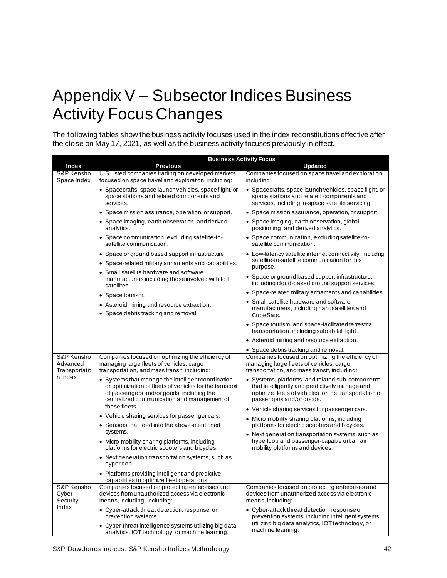# <span id="page-42-0"></span>Appendix V – Subsector Indices Business Activity Focus Changes

The following tables show the business activity focuses used in the index reconstitutions effective after the close on May 17, 2021, as well as the business activity focuses previously in effect.

| <b>Business Activity Focus</b>          |                                                                                                                                                            |                                                                                                                                                             |
|-----------------------------------------|------------------------------------------------------------------------------------------------------------------------------------------------------------|-------------------------------------------------------------------------------------------------------------------------------------------------------------|
| Index                                   | <b>Previous</b>                                                                                                                                            | <b>Updated</b>                                                                                                                                              |
| S&P Kensho<br>Space Index               | U.S. listed companies trading on developed markets<br>focused on space travel and exploration, including:                                                  | Companies focused on space travel and exploration,<br>including:                                                                                            |
|                                         | • Spacecrafts, space launch vehicles, space flight, or<br>space stations and related components and<br>services.                                           | • Spacecrafts, space launch vehicles, space flight, or<br>space stations and related components and<br>services, including in-space satellite servicing.    |
|                                         | • Space mission assurance, operation, or support.                                                                                                          | • Space mission assurance, operation, or support.                                                                                                           |
|                                         | • Space imaging, earth observation, and derived<br>analytics.                                                                                              | • Space imaging, earth observation, global<br>positioning, and derived analytics.                                                                           |
|                                         | • Space communication, excluding satellite-to-<br>satellite communication.                                                                                 | • Space communication, excluding satellite-to-<br>satellite communication.                                                                                  |
|                                         | • Space or ground based support infrastructure.                                                                                                            | • Low-latency satellite internet connectivity, Including                                                                                                    |
|                                         | • Space-related military armaments and capabilities.                                                                                                       | satellite-to-satellite communication for this<br>purpose.                                                                                                   |
|                                         | • Small satellite hardware and software<br>manufacturers including those involved with IoT<br>satellites.                                                  | • Space or ground based support infrastructure,<br>including cloud-based ground support services.                                                           |
|                                         | • Space tourism.                                                                                                                                           | • Space-related military armaments and capabilities.                                                                                                        |
|                                         | • Asteroid mining and resource extraction.                                                                                                                 | • Small satellite hardware and software                                                                                                                     |
|                                         | • Space debris tracking and removal.                                                                                                                       | manufacturers, including nanosatellites and                                                                                                                 |
|                                         |                                                                                                                                                            | CubeSats.                                                                                                                                                   |
|                                         |                                                                                                                                                            | • Space tourism, and space-facilitated terrestrial<br>transportation, including suborbital flight.                                                          |
|                                         |                                                                                                                                                            | • Asteroid mining and resource extraction.                                                                                                                  |
|                                         |                                                                                                                                                            | • Space debris tracking and removal.                                                                                                                        |
| S&P Kensho<br>Advanced<br>Transportatio | Companies focused on optimizing the efficiency of<br>managing large fleets of vehicles, cargo<br>transportation, and mass transit, including:              | Companies focused on optimizing the efficiency of<br>managing large fleets of vehicles, cargo<br>transportation, and mass transit, including:               |
| n Index                                 | • Systems that manage the intelligent coordination<br>or optimization of fleets of vehicles for the transport<br>of passengers and/or goods, including the | • Systems, platforms, and related sub-components<br>that intelligently and predictively manage and<br>optimize fleets of vehicles for the transportation of |
|                                         | centralized communication and management of<br>these fleets.                                                                                               | passengers and/or goods.<br>• Vehicle sharing services for passenger cars.                                                                                  |
|                                         | • Vehicle sharing services for passenger cars.                                                                                                             | • Micro mobility sharing platforms, including                                                                                                               |
|                                         | • Sensors that feed into the above-mentioned<br>systems.                                                                                                   | platforms for electric scooters and bicycles.                                                                                                               |
|                                         | • Micro mobility sharing platforms, including<br>platforms for electric scooters and bicycles.                                                             | • Next generation transportation systems, such as<br>hyperloop and passenger-capable urban air<br>mobility platforms and devices.                           |
|                                         | • Next generation transportation systems, such as<br>hyperloop.                                                                                            |                                                                                                                                                             |
|                                         | • Platforms providing intelligent and predictive<br>capabilities to optimize fleet operations.                                                             |                                                                                                                                                             |
| S&P Kensho<br>Cyber<br>Security         | Companies focused on protecting enterprises and<br>devices from unauthorized access via electronic<br>means, including, including:                         | Companies focused on protecting enterprises and<br>devices from unauthorized access via electronic<br>means, including:                                     |
| Index                                   | • Cyber-attack threat detection, response, or<br>prevention systems.                                                                                       | • Cyber-attack threat detection, response or<br>prevention systems, including intelligent systems                                                           |
|                                         | • Cyber-threat intelligence systems utilizing big data<br>analytics, IOT technology, or machine learning.                                                  | utilizing big data analytics, IOT technology, or<br>machine learning.                                                                                       |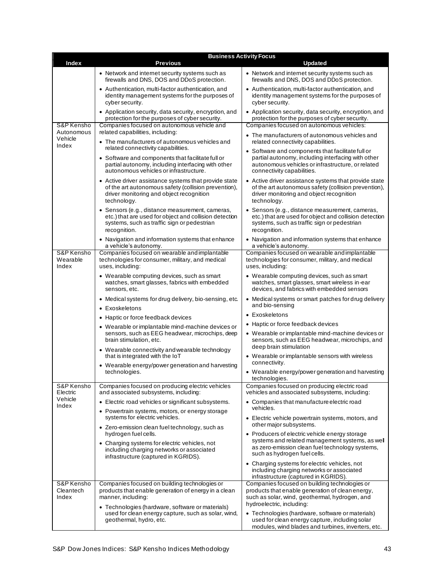| Index                            | <b>Business Activity Focus</b><br><b>Previous</b><br><b>Updated</b>                                                                                                      |                                                                                                                                                                          |  |  |  |
|----------------------------------|--------------------------------------------------------------------------------------------------------------------------------------------------------------------------|--------------------------------------------------------------------------------------------------------------------------------------------------------------------------|--|--|--|
|                                  | • Network and internet security systems such as                                                                                                                          | • Network and internet security systems such as                                                                                                                          |  |  |  |
|                                  | firewalls and DNS, DOS and DDoS protection.<br>• Authentication, multi-factor authentication, and                                                                        | firewalls and DNS, DOS and DDoS protection.<br>• Authentication, multi-factor authentication, and                                                                        |  |  |  |
|                                  | identity management systems for the purposes of<br>cyber security.                                                                                                       | identity management systems for the purposes of<br>cyber security.                                                                                                       |  |  |  |
|                                  | • Application security, data security, encryption, and                                                                                                                   | • Application security, data security, encryption, and                                                                                                                   |  |  |  |
| S&P Kensho                       | protection for the purposes of cyber security.<br>Companies focused on autonomous vehicle and                                                                            | protection for the purposes of cyber security.<br>Companies focused on autonomous vehicles:                                                                              |  |  |  |
| Autonomous<br>Vehicle<br>Index   | related capabilities, including:<br>• The manufacturers of autonomous vehicles and                                                                                       | • The manufacturers of autonomous vehicles and<br>related connectivity capabilities.                                                                                     |  |  |  |
|                                  | related connectivity capabilities.<br>• Software and components that facilitate full or                                                                                  | • Software and components that facilitate full or<br>partial autonomy, including interfacing with other                                                                  |  |  |  |
|                                  | partial autonomy, including interfacing with other<br>autonomous vehicles or infrastructure.                                                                             | autonomous vehicles or infrastructure, or related<br>connectivity capabilities.                                                                                          |  |  |  |
|                                  | • Active driver assistance systems that provide state<br>of the art autonomous safety (collision prevention),<br>driver monitoring and object recognition<br>technology. | • Active driver assistance systems that provide state<br>of the art autonomous safety (collision prevention),<br>driver monitoring and object recognition<br>technology. |  |  |  |
|                                  | Sensors (e.g., distance measurement, cameras,<br>etc.) that are used for object and collision detection<br>systems, such as traffic sign or pedestrian<br>recognition.   | • Sensors (e.g., distance measurement, cameras,<br>etc.) that are used for object and collision detection<br>systems, such as traffic sign or pedestrian<br>recognition. |  |  |  |
|                                  | • Navigation and information systems that enhance<br>a vehicle's autonomy.                                                                                               | • Navigation and information systems that enhance<br>a vehicle's autonomy.                                                                                               |  |  |  |
| S&P Kensho<br>Wearable<br>Index  | Companies focused on wearable and implantable<br>technologies for consumer, military, and medical<br>uses, including:                                                    | Companies focused on wearable and implantable<br>technologies for consumer, military, and medical<br>uses, including:                                                    |  |  |  |
|                                  | • Wearable computing devices, such as smart<br>watches, smart glasses, fabrics with embedded<br>sensors, etc.                                                            | • Wearable computing devices, such as smart<br>watches, smart glasses, smart wireless in-ear<br>devices, and fabrics with embedded sensors                               |  |  |  |
|                                  | • Medical systems for drug delivery, bio-sensing, etc.                                                                                                                   | • Medical systems or smart patches for drug delivery<br>and bio-sensing                                                                                                  |  |  |  |
|                                  | • Exoskeletons<br>• Haptic or force feedback devices                                                                                                                     | • Exoskeletons                                                                                                                                                           |  |  |  |
|                                  | • Wearable or implantable mind-machine devices or                                                                                                                        | Haptic or force feedback devices                                                                                                                                         |  |  |  |
|                                  | sensors, such as EEG headwear, microchips, deep<br>brain stimulation, etc.                                                                                               | • Wearable or implantable mind-machine devices or<br>sensors, such as EEG headwear, microchips, and<br>deep brain stimulation                                            |  |  |  |
|                                  | • Wearable connectivity and wearable technology<br>that is integrated with the IoT                                                                                       | • Wearable or implantable sensors with wireless<br>connectivity.                                                                                                         |  |  |  |
|                                  | • Wearable energy/power generation and harvesting<br>technologies.                                                                                                       | • Wearable energy/power generation and harvesting<br>technologies.                                                                                                       |  |  |  |
| S&P Kensho<br>Electric           | Companies focused on producing electric vehicles<br>and associated subsystems, including:                                                                                | Companies focused on producing electric road<br>vehicles and associated subsystems, including:                                                                           |  |  |  |
| Vehicle<br>Index                 | • Electric road vehicles or significant subsystems.                                                                                                                      | • Companies that manufacture electric road                                                                                                                               |  |  |  |
|                                  | • Powertrain systems, motors, or energy storage<br>systems for electric vehicles.                                                                                        | vehicles.<br>• Electric vehicle powertrain systems, motors, and                                                                                                          |  |  |  |
|                                  | • Zero-emission clean fuel technology, such as                                                                                                                           | other major subsystems.                                                                                                                                                  |  |  |  |
|                                  | hydrogen fuel cells.                                                                                                                                                     | • Producers of electric vehicle energy storage<br>systems and related management systems, as well                                                                        |  |  |  |
|                                  | • Charging systems for electric vehicles, not<br>including charging networks or associated<br>infrastructure (captured in KGRIDS).                                       | as zero-emission clean fuel technology systems,<br>such as hydrogen fuel cells.                                                                                          |  |  |  |
|                                  |                                                                                                                                                                          | • Charging systems for electric vehicles, not<br>including charging networks or associated<br>infrastructure (captured in KGRIDS).                                       |  |  |  |
| S&P Kensho<br>Cleantech<br>Index | Companies focused on building technologies or<br>products that enable generation of energy in a clean                                                                    | Companies focused on building technologies or<br>products that enable generation of clean energy,                                                                        |  |  |  |
|                                  | manner, including:                                                                                                                                                       | such as solar, wind, geothermal, hydrogen, and<br>hydroelectric, including:                                                                                              |  |  |  |
|                                  | • Technologies (hardware, software or materials)<br>used for clean energy capture, such as solar, wind,                                                                  | • Technologies (hardware, software or materials)                                                                                                                         |  |  |  |
|                                  | geothermal, hydro, etc.                                                                                                                                                  | used for clean energy capture, including solar<br>modules, wind blades and turbines, inverters, etc.                                                                     |  |  |  |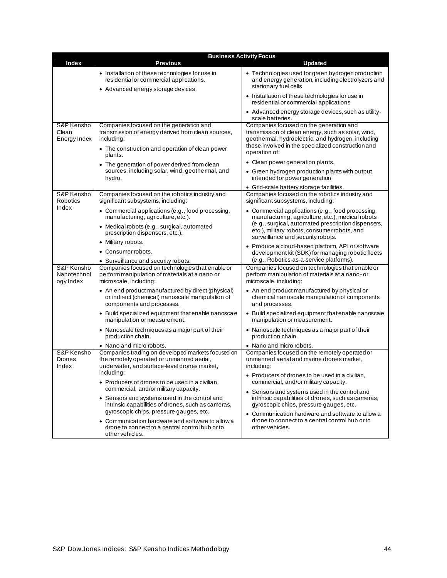|                                        | <b>Business Activity Focus</b>                                                                                                                                            |                                                                                                                                                                                                                            |  |  |
|----------------------------------------|---------------------------------------------------------------------------------------------------------------------------------------------------------------------------|----------------------------------------------------------------------------------------------------------------------------------------------------------------------------------------------------------------------------|--|--|
| Index                                  | <b>Previous</b>                                                                                                                                                           | <b>Updated</b>                                                                                                                                                                                                             |  |  |
|                                        | • Installation of these technologies for use in<br>residential or commercial applications.<br>• Advanced energy storage devices.                                          | • Technologies used for green hydrogen production<br>and energy generation, including electrolyzers and<br>stationary fuel cells                                                                                           |  |  |
|                                        |                                                                                                                                                                           | • Installation of these technologies for use in<br>residential or commercial applications                                                                                                                                  |  |  |
|                                        |                                                                                                                                                                           | • Advanced energy storage devices, such as utility-<br>scale batteries.                                                                                                                                                    |  |  |
| S&P Kensho<br>Clean<br>Energy Index    | Companies focused on the generation and<br>transmission of energy derived from clean sources,<br>including:<br>• The construction and operation of clean power<br>plants. | Companies focused on the generation and<br>transmission of clean energy, such as solar, wind,<br>geothermal, hydroelectric, and hydrogen, including<br>those involved in the specialized construction and<br>operation of: |  |  |
|                                        | • The generation of power derived from clean                                                                                                                              | • Clean power generation plants.                                                                                                                                                                                           |  |  |
|                                        | sources, including solar, wind, geothermal, and<br>hydro.                                                                                                                 | • Green hydrogen production plants with output<br>intended for power generation                                                                                                                                            |  |  |
|                                        |                                                                                                                                                                           | • Grid-scale battery storage facilities.                                                                                                                                                                                   |  |  |
| S&P Kensho<br>Robotics                 | Companies focused on the robotics industry and<br>significant subsystems, including:                                                                                      | Companies focused on the robotics industry and<br>significant subsystems, including:                                                                                                                                       |  |  |
| Index                                  | • Commercial applications (e.g., food processing,<br>manufacturing, agriculture, etc.).                                                                                   | • Commercial applications (e.g., food processing,<br>manufacturing, agriculture, etc.), medical robots                                                                                                                     |  |  |
|                                        | • Medical robots (e.g., surgical, automated<br>prescription dispensers, etc.).                                                                                            | (e.g., surgical, automated prescription dispensers,<br>etc.), military robots, consumer robots, and<br>surveillance and security robots.                                                                                   |  |  |
|                                        | • Military robots.                                                                                                                                                        | • Produce a cloud-based platform, API or software                                                                                                                                                                          |  |  |
|                                        | • Consumer robots.<br>• Surveillance and security robots.                                                                                                                 | development kit (SDK) for managing robotic fleets<br>(e.g., Robotics-as-a-service platforms).                                                                                                                              |  |  |
| S&P Kensho<br>Nanotechnol<br>ogy Index | Companies focused on technologies that enable or<br>perform manipulation of materials at a nano or<br>microscale, including:                                              | Companies focused on technologies that enable or<br>perform manipulation of materials at a nano-or<br>microscale, including:                                                                                               |  |  |
|                                        | • An end product manufactured by direct (physical)<br>or indirect (chemical) nanoscale manipulation of<br>components and processes.                                       | • An end product manufactured by physical or<br>chemical nanoscale manipulation of components<br>and processes.                                                                                                            |  |  |
|                                        | • Build specialized equipment that enable nanoscale<br>manipulation or measurement.                                                                                       | • Build specialized equipment that enable nanoscale<br>manipulation or measurement.                                                                                                                                        |  |  |
|                                        | • Nanoscale techniques as a major part of their<br>production chain.                                                                                                      | • Nanoscale techniques as a major part of their<br>production chain.                                                                                                                                                       |  |  |
|                                        | • Nano and micro robots.                                                                                                                                                  | • Nano and micro robots.                                                                                                                                                                                                   |  |  |
| S&P Kensho<br><b>Drones</b><br>Index   | Companies trading on developed markets focused on<br>the remotely operated or unmanned aerial,<br>underwater, and surface-level drones market,<br>including:              | Companies focused on the remotely operated or<br>unmanned aerial and marine drones market,<br>including:                                                                                                                   |  |  |
|                                        | • Producers of drones to be used in a civilian,<br>commercial, and/or military capacity.                                                                                  | • Producers of drones to be used in a civilian,<br>commercial, and/or military capacity.                                                                                                                                   |  |  |
|                                        |                                                                                                                                                                           | • Sensors and systems used in the control and<br>intrinsic capabilities of drones, such as cameras,<br>gyroscopic chips, pressure gauges, etc.<br>• Communication hardware and software to allow a                         |  |  |
|                                        | • Sensors and systems used in the control and<br>intrinsic capabilities of drones, such as cameras,<br>gyroscopic chips, pressure gauges, etc.                            |                                                                                                                                                                                                                            |  |  |
|                                        | • Communication hardware and software to allow a<br>drone to connect to a central control hub or to<br>other vehicles.                                                    | drone to connect to a central control hub or to<br>other vehicles.                                                                                                                                                         |  |  |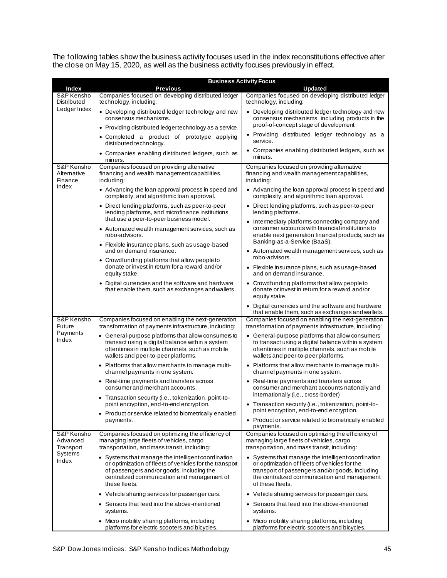The following tables show the business activity focuses used in the index reconstitutions effective after the close on May 15, 2020, as well as the business activity focuses previously in effect.

|                                                         | <b>Business Activity Focus</b>                                                                                                                                                                    |                                                                                                                                                                                                   |  |  |
|---------------------------------------------------------|---------------------------------------------------------------------------------------------------------------------------------------------------------------------------------------------------|---------------------------------------------------------------------------------------------------------------------------------------------------------------------------------------------------|--|--|
| Index                                                   | <b>Previous</b>                                                                                                                                                                                   | <b>Updated</b>                                                                                                                                                                                    |  |  |
| S&P Kensho<br>Distributed                               | Companies focused on developing distributed ledger<br>technology, including:                                                                                                                      | Companies focused on developing distributed ledger<br>technology, including:                                                                                                                      |  |  |
| Ledger Index                                            | • Developing distributed ledger technology and new<br>consensus mechanisms.                                                                                                                       | • Developing distributed ledger technology and new<br>consensus mechanisms, including products in the                                                                                             |  |  |
|                                                         | • Providing distributed ledger technology as a service.                                                                                                                                           | proof-of-concept stage of development                                                                                                                                                             |  |  |
|                                                         | • Completed a product of prototype applying<br>distributed technology.                                                                                                                            | · Providing distributed ledger technology as a<br>service.                                                                                                                                        |  |  |
|                                                         | • Companies enabling distributed ledgers, such as<br>miners.                                                                                                                                      | • Companies enabling distributed ledgers, such as<br>miners.                                                                                                                                      |  |  |
| S&P Kensho<br>Alternative<br>Finance                    | Companies focused on providing alternative<br>financing and wealth management capabilities,<br>including:                                                                                         | Companies focused on providing alternative<br>financing and wealth management capabilities,<br>including:                                                                                         |  |  |
| Index                                                   | • Advancing the loan approval process in speed and<br>complexity, and algorithmic loan approval.                                                                                                  | • Advancing the loan approval process in speed and<br>complexity, and algorithmic loan approval.                                                                                                  |  |  |
|                                                         | • Direct lending platforms, such as peer-to-peer<br>lending platforms, and microfinance institutions<br>that use a peer-to-peer business model.                                                   | • Direct lending platforms, such as peer-to-peer<br>lending platforms.                                                                                                                            |  |  |
|                                                         | • Automated wealth management services, such as<br>robo-advisors.                                                                                                                                 | • Intermediary platforms connecting company and<br>consumer accounts with financial institutions to<br>enable next generation financial products, such as                                         |  |  |
|                                                         | • Flexible insurance plans, such as usage-based<br>and on demand insurance.                                                                                                                       | Banking-as-a-Service (BaaS).<br>• Automated wealth management services, such as                                                                                                                   |  |  |
|                                                         | • Crowdfunding platforms that allow people to<br>donate or invest in return for a reward and/or                                                                                                   | robo-advisors.<br>• Flexible insurance plans, such as usage-based                                                                                                                                 |  |  |
|                                                         | equity stake.                                                                                                                                                                                     | and on demand insurance.                                                                                                                                                                          |  |  |
|                                                         | Digital currencies and the software and hardware<br>that enable them, such as exchanges and wallets.                                                                                              | • Crowdfunding platforms that allow people to<br>donate or invest in return for a reward and/or<br>equity stake.                                                                                  |  |  |
|                                                         |                                                                                                                                                                                                   | • Digital currencies and the software and hardware<br>that enable them, such as exchanges and wallets.                                                                                            |  |  |
| S&P Kensho<br>Future                                    | Companies focused on enabling the next-generation<br>transformation of payments infrastructure, including:                                                                                        | Companies focused on enabling the next-generation<br>transformation of payments infrastructure, including:                                                                                        |  |  |
| Payments<br>Index                                       | • General-purpose platforms that allow consumers to<br>transact using a digital balance within a system<br>oftentimes in multiple channels, such as mobile<br>wallets and peer-to-peer platforms. | • General-purpose platforms that allow consumers<br>to transact using a digital balance within a system<br>oftentimes in multiple channels, such as mobile<br>wallets and peer-to-peer platforms. |  |  |
|                                                         | • Platforms that allow merchants to manage multi-<br>channel payments in one system.                                                                                                              | • Platforms that allow merchants to manage multi-<br>channel payments in one system.                                                                                                              |  |  |
|                                                         | • Real-time payments and transfers across<br>consumer and merchant accounts.                                                                                                                      | • Real-time payments and transfers across<br>consumer and merchant accounts nationally and<br>internationally (i.e., cross-border)                                                                |  |  |
|                                                         | • Transaction security (i.e., tokenization, point-to-<br>point encryption, end-to-end encryption.                                                                                                 | Transaction security (i.e., tokenization, point-to-<br>point encryption, end-to-end encryption.                                                                                                   |  |  |
|                                                         | • Product or service related to biometrically enabled<br>payments.                                                                                                                                | • Product or service related to biometrically enabled<br>payments.                                                                                                                                |  |  |
| S&P Kensho<br>Advanced<br>Transport<br>Systems<br>Index | Companies focused on optimizing the efficiency of<br>managing large fleets of vehicles, cargo<br>transportation, and mass transit, including:                                                     | Companies focused on optimizing the efficiency of<br>managing large fleets of vehicles, cargo<br>transportation, and mass transit, including:                                                     |  |  |
|                                                         | • Systems that manage the intelligent coordination<br>or optimization of fleets of vehicles for the transport                                                                                     | • Systems that manage the intelligent coordination<br>or optimization of fleets of vehicles for the                                                                                               |  |  |
|                                                         | of passengers and/or goods, including the<br>centralized communication and management of<br>these fleets.                                                                                         | transport of passengers and/or goods, including<br>the centralized communication and management<br>of these fleets.                                                                               |  |  |
|                                                         | • Vehicle sharing services for passenger cars.                                                                                                                                                    | • Vehicle sharing services for passenger cars.                                                                                                                                                    |  |  |
|                                                         | • Sensors that feed into the above-mentioned<br>systems.                                                                                                                                          | • Sensors that feed into the above-mentioned<br>systems.                                                                                                                                          |  |  |
|                                                         | • Micro mobility sharing platforms, including<br>platforms for electric scooters and bicycles.                                                                                                    | • Micro mobility sharing platforms, including<br>platforms for electric scooters and bicycles.                                                                                                    |  |  |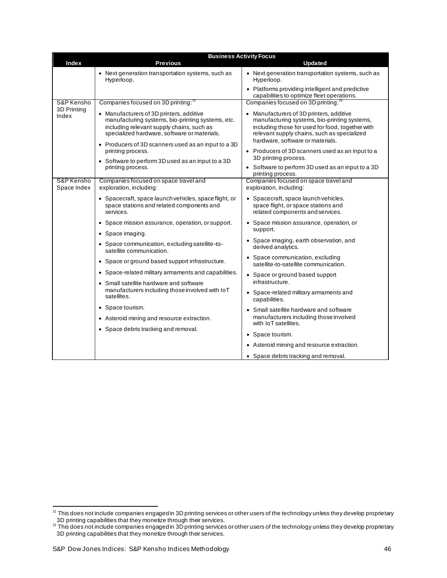|                                    | <b>Business Activity Focus</b>                                                                                                                                                                                                                                                                                                                                    |                                                                                                                                                                                                                                                                                                                                                                                                                     |  |  |
|------------------------------------|-------------------------------------------------------------------------------------------------------------------------------------------------------------------------------------------------------------------------------------------------------------------------------------------------------------------------------------------------------------------|---------------------------------------------------------------------------------------------------------------------------------------------------------------------------------------------------------------------------------------------------------------------------------------------------------------------------------------------------------------------------------------------------------------------|--|--|
| Index                              | <b>Previous</b>                                                                                                                                                                                                                                                                                                                                                   | <b>Updated</b>                                                                                                                                                                                                                                                                                                                                                                                                      |  |  |
|                                    | • Next generation transportation systems, such as<br>Hyperloop.                                                                                                                                                                                                                                                                                                   | • Next generation transportation systems, such as<br>Hyperloop.<br>• Platforms providing intelligent and predictive<br>capabilities to optimize fleet operations.                                                                                                                                                                                                                                                   |  |  |
| S&P Kensho<br>3D Printing<br>Index | Companies focused on 3D printing:"<br>• Manufacturers of 3D printers, additive<br>manufacturing systems, bio-printing systems, etc.<br>including relevant supply chains, such as<br>specialized hardware, software or materials.<br>• Producers of 3D scanners used as an input to a 3D<br>printing process.<br>• Software to perform 3D used as an input to a 3D | Companies focused on 3D printing: <sup>12</sup><br>• Manufacturers of 3D printers, additive<br>manufacturing systems, bio-printing systems,<br>including those for used for food, together with<br>relevant supply chains, such as specialized<br>hardware, software or materials.<br>• Producers of 3D scanners used as an input to a<br>3D printing process.<br>• Software to perform 3D used as an input to a 3D |  |  |
|                                    | printing process.                                                                                                                                                                                                                                                                                                                                                 | printing process.                                                                                                                                                                                                                                                                                                                                                                                                   |  |  |
| S&P Kensho<br>Space Index          | Companies focused on space travel and<br>exploration, including:                                                                                                                                                                                                                                                                                                  | Companies focused on space travel and<br>exploration, including:                                                                                                                                                                                                                                                                                                                                                    |  |  |
|                                    | • Spacecraft, space launch vehicles, space flight, or<br>space stations and related components and<br>services.                                                                                                                                                                                                                                                   | • Spacecraft, space launch vehicles,<br>space flight, or space stations and<br>related components and services.                                                                                                                                                                                                                                                                                                     |  |  |
|                                    | • Space mission assurance, operation, or support.                                                                                                                                                                                                                                                                                                                 | • Space mission assurance, operation, or                                                                                                                                                                                                                                                                                                                                                                            |  |  |
|                                    | • Space imaging.                                                                                                                                                                                                                                                                                                                                                  | support.                                                                                                                                                                                                                                                                                                                                                                                                            |  |  |
|                                    | • Space communication, excluding satellite-to-<br>satellite communication.                                                                                                                                                                                                                                                                                        | • Space imaging, earth observation, and<br>derived analytics.                                                                                                                                                                                                                                                                                                                                                       |  |  |
|                                    | • Space or ground based support infrastructure.                                                                                                                                                                                                                                                                                                                   | • Space communication, excluding<br>satellite-to-satellite communication.                                                                                                                                                                                                                                                                                                                                           |  |  |
|                                    | • Space-related military armaments and capabilities.<br>• Small satellite hardware and software<br>manufacturers including those involved with IoT<br>satellites.                                                                                                                                                                                                 | • Space or ground based support                                                                                                                                                                                                                                                                                                                                                                                     |  |  |
|                                    |                                                                                                                                                                                                                                                                                                                                                                   | infrastructure.<br>• Space-related military armaments and<br>capabilities.                                                                                                                                                                                                                                                                                                                                          |  |  |
|                                    | • Space tourism.                                                                                                                                                                                                                                                                                                                                                  | • Small satellite hardware and software                                                                                                                                                                                                                                                                                                                                                                             |  |  |
|                                    | • Asteroid mining and resource extraction.                                                                                                                                                                                                                                                                                                                        | manufacturers including those involved<br>with IoT satellites.                                                                                                                                                                                                                                                                                                                                                      |  |  |
|                                    | • Space debris tracking and removal.                                                                                                                                                                                                                                                                                                                              | • Space tourism.                                                                                                                                                                                                                                                                                                                                                                                                    |  |  |
|                                    |                                                                                                                                                                                                                                                                                                                                                                   | • Asteroid mining and resource extraction.                                                                                                                                                                                                                                                                                                                                                                          |  |  |
|                                    |                                                                                                                                                                                                                                                                                                                                                                   | • Space debris tracking and removal.                                                                                                                                                                                                                                                                                                                                                                                |  |  |

 $11$  This does not include companies engaged in 3D printing services or other users of the technology unless they develop proprietary

<sup>3</sup>D printing capabilities that they monetize through their services.<br><sup>12</sup> This does not include companies engaged in 3D printing services or other users of the technology unless they develop proprietary 3D printing capabilities that they monetize through their services.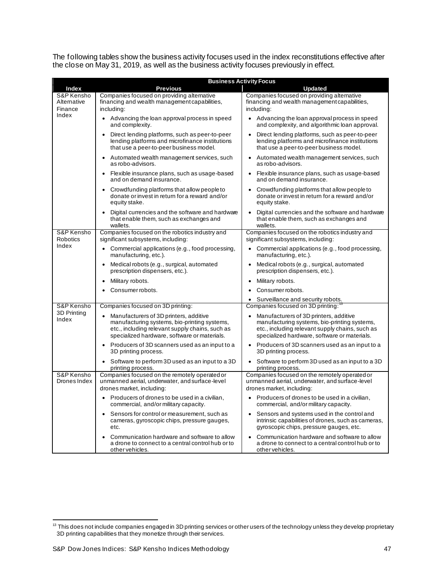The following tables show the business activity focuses used in the index reconstitutions effective after the close on May 31, 2019, as well as the business activity focuses previously in effect.

|                                      | <b>Business Activity Focus</b>                                                                                                                                                            |                                                                                                                                                                                           |  |  |
|--------------------------------------|-------------------------------------------------------------------------------------------------------------------------------------------------------------------------------------------|-------------------------------------------------------------------------------------------------------------------------------------------------------------------------------------------|--|--|
| Index                                | <b>Previous</b>                                                                                                                                                                           | <b>Updated</b>                                                                                                                                                                            |  |  |
| S&P Kensho<br>Alternative<br>Finance | Companies focused on providing alternative<br>financing and wealth management capabilities,<br>including:                                                                                 | Companies focused on providing alternative<br>financing and wealth management capabilities,<br>including:                                                                                 |  |  |
| Index                                | • Advancing the loan approval process in speed<br>and complexity.                                                                                                                         | Advancing the loan approval process in speed<br>and complexity, and algorithmic loan approval.                                                                                            |  |  |
|                                      | Direct lending platforms, such as peer-to-peer<br>$\bullet$<br>lending platforms and microfinance institutions<br>that use a peer-to-peer business model.                                 | Direct lending platforms, such as peer-to-peer<br>$\bullet$<br>lending platforms and microfinance institutions<br>that use a peer-to-peer business model.                                 |  |  |
|                                      | Automated wealth management services, such<br>$\bullet$<br>as robo-advisors.                                                                                                              | Automated wealth management services, such<br>as robo-advisors.                                                                                                                           |  |  |
|                                      | Flexible insurance plans, such as usage-based<br>$\bullet$<br>and on demand insurance.                                                                                                    | Flexible insurance plans, such as usage-based<br>and on demand insurance.                                                                                                                 |  |  |
|                                      | Crowdfunding platforms that allow people to<br>$\bullet$<br>donate or invest in return for a reward and/or<br>equity stake.                                                               | Crowdfunding platforms that allow people to<br>$\bullet$<br>donate or invest in return for a reward and/or<br>equity stake.                                                               |  |  |
|                                      | Digital currencies and the software and hardware<br>that enable them, such as exchanges and<br>wallets.                                                                                   | Digital currencies and the software and hardware<br>that enable them, such as exchanges and<br>wallets.                                                                                   |  |  |
| S&P Kensho<br><b>Robotics</b>        | Companies focused on the robotics industry and<br>significant subsystems, including:                                                                                                      | Companies focused on the robotics industry and<br>significant subsystems, including:                                                                                                      |  |  |
| Index                                | Commercial applications (e.g., food processing,<br>$\bullet$<br>manufacturing, etc.).                                                                                                     | Commercial applications (e.g., food processing,<br>manufacturing, etc.).                                                                                                                  |  |  |
|                                      | Medical robots (e.g., surgical, automated<br>$\bullet$<br>prescription dispensers, etc.).                                                                                                 | Medical robots (e.g., surgical, automated<br>$\bullet$<br>prescription dispensers, etc.).                                                                                                 |  |  |
|                                      | Military robots.<br>$\bullet$                                                                                                                                                             | Military robots.<br>$\bullet$                                                                                                                                                             |  |  |
|                                      | Consumer robots.                                                                                                                                                                          | Consumer robots.                                                                                                                                                                          |  |  |
|                                      |                                                                                                                                                                                           | Surveillance and security robots.                                                                                                                                                         |  |  |
| S&P Kensho<br>3D Printing            | Companies focused on 3D printing:                                                                                                                                                         | Companies focused on 3D printing:                                                                                                                                                         |  |  |
| Index                                | Manufacturers of 3D printers, additive<br>manufacturing systems, bio-printing systems,<br>etc., including relevant supply chains, such as<br>specialized hardware, software or materials. | Manufacturers of 3D printers, additive<br>manufacturing systems, bio-printing systems,<br>etc., including relevant supply chains, such as<br>specialized hardware, software or materials. |  |  |
|                                      | Producers of 3D scanners used as an input to a<br>$\bullet$<br>3D printing process.                                                                                                       | Producers of 3D scanners used as an input to a<br>$\bullet$<br>3D printing process.                                                                                                       |  |  |
|                                      | Software to perform 3D used as an input to a 3D<br>$\bullet$<br>printing process.                                                                                                         | Software to perform 3D used as an input to a 3D<br>$\bullet$<br>printing process.                                                                                                         |  |  |
| S&P Kensho<br>Drones Index           | Companies focused on the remotely operated or<br>unmanned aerial, underwater, and surface-level<br>drones market, including:                                                              | Companies focused on the remotely operated or<br>unmanned aerial, underwater, and surface-level<br>drones market, including:                                                              |  |  |
|                                      | Producers of drones to be used in a civilian,<br>commercial, and/or military capacity.                                                                                                    | Producers of drones to be used in a civilian,<br>$\bullet$<br>commercial, and/or military capacity.                                                                                       |  |  |
|                                      | Sensors for control or measurement, such as<br>$\bullet$<br>cameras, gyroscopic chips, pressure gauges,<br>etc.                                                                           | Sensors and systems used in the control and<br>intrinsic capabilities of drones, such as cameras,<br>gyroscopic chips, pressure gauges, etc.                                              |  |  |
|                                      | Communication hardware and software to allow<br>a drone to connect to a central control hub or to<br>other vehicles.                                                                      | Communication hardware and software to allow<br>$\bullet$<br>a drone to connect to a central control hub or to<br>other vehicles.                                                         |  |  |

 $13$  This does not include companies engaged in 3D printing services or other users of the technology unless they develop proprietary 3D printing capabilities that they monetize through their services.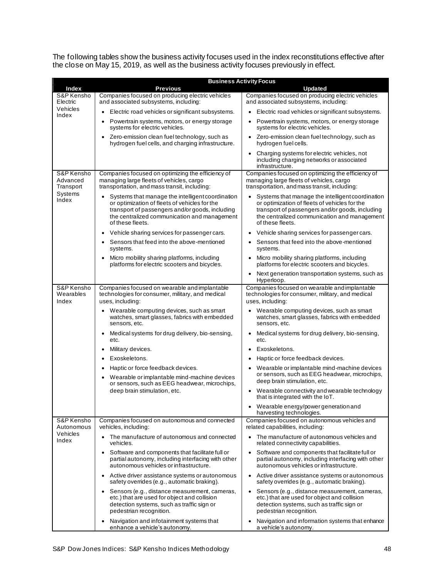The following tables show the business activity focuses used in the index reconstitutions effective after the close on May 15, 2019, as well as the business activity focuses previously in effect.

|                                             | <b>Business Activity Focus</b>                                                                                                                                                                                             |                                                                                                                                                                                                                          |  |  |
|---------------------------------------------|----------------------------------------------------------------------------------------------------------------------------------------------------------------------------------------------------------------------------|--------------------------------------------------------------------------------------------------------------------------------------------------------------------------------------------------------------------------|--|--|
| Index                                       | <b>Previous</b>                                                                                                                                                                                                            | <b>Updated</b>                                                                                                                                                                                                           |  |  |
| S&P Kensho<br>Electric<br>Vehicles<br>Index | Companies focused on producing electric vehicles<br>and associated subsystems, including:                                                                                                                                  | Companies focused on producing electric vehicles<br>and associated subsystems, including:                                                                                                                                |  |  |
|                                             | • Electric road vehicles or significant subsystems.                                                                                                                                                                        | Electric road vehicles or significant subsystems.                                                                                                                                                                        |  |  |
|                                             | • Powertrain systems, motors, or energy storage<br>systems for electric vehicles.                                                                                                                                          | Powertrain systems, motors, or energy storage<br>systems for electric vehicles.                                                                                                                                          |  |  |
|                                             | Zero-emission clean fuel technology, such as<br>$\bullet$<br>hydrogen fuel cells, and charging infrastructure.                                                                                                             | Zero-emission clean fuel technology, such as<br>$\bullet$<br>hydrogen fuel cells.                                                                                                                                        |  |  |
|                                             |                                                                                                                                                                                                                            | Charging systems for electric vehicles, not<br>$\bullet$<br>including charging networks or associated<br>infrastructure.                                                                                                 |  |  |
| S&P Kensho<br>Advanced<br>Transport         | Companies focused on optimizing the efficiency of<br>managing large fleets of vehicles, cargo<br>transportation, and mass transit, including:                                                                              | Companies focused on optimizing the efficiency of<br>managing large fleets of vehicles, cargo<br>transportation, and mass transit, including:                                                                            |  |  |
| Systems<br>Index                            | • Systems that manage the intelligent coordination<br>or optimization of fleets of vehicles for the<br>transport of passengers and/or goods, including<br>the centralized communication and management<br>of these fleets. | Systems that manage the intelligent coordination<br>or optimization of fleets of vehicles for the<br>transport of passengers and/or goods, including<br>the centralized communication and management<br>of these fleets. |  |  |
|                                             | Vehicle sharing services for passenger cars.<br>$\bullet$                                                                                                                                                                  | Vehicle sharing services for passenger cars.                                                                                                                                                                             |  |  |
|                                             | • Sensors that feed into the above-mentioned<br>systems.                                                                                                                                                                   | Sensors that feed into the above-mentioned<br>$\bullet$<br>systems.                                                                                                                                                      |  |  |
|                                             | Micro mobility sharing platforms, including<br>٠<br>platforms for electric scooters and bicycles.                                                                                                                          | Micro mobility sharing platforms, including<br>platforms for electric scooters and bicycles.                                                                                                                             |  |  |
|                                             |                                                                                                                                                                                                                            | Next generation transportation systems, such as<br>Hyperloop.                                                                                                                                                            |  |  |
| S&P Kensho<br>Wearables<br>Index            | Companies focused on wearable and implantable<br>technologies for consumer, military, and medical<br>uses, including:                                                                                                      | Companies focused on wearable and implantable<br>technologies for consumer, military, and medical<br>uses, including:                                                                                                    |  |  |
|                                             | • Wearable computing devices, such as smart<br>watches, smart glasses, fabrics with embedded<br>sensors, etc.                                                                                                              | • Wearable computing devices, such as smart<br>watches, smart glasses, fabrics with embedded<br>sensors, etc.                                                                                                            |  |  |
|                                             | Medical systems for drug delivery, bio-sensing,<br>$\bullet$<br>etc.                                                                                                                                                       | Medical systems for drug delivery, bio-sensing,<br>etc.                                                                                                                                                                  |  |  |
|                                             | Military devices.<br>٠                                                                                                                                                                                                     | Exoskeletons.                                                                                                                                                                                                            |  |  |
|                                             | Exoskeletons.<br>٠                                                                                                                                                                                                         | Haptic or force feedback devices.                                                                                                                                                                                        |  |  |
|                                             | Haptic or force feedback devices.<br>$\bullet$                                                                                                                                                                             | Wearable or implantable mind-machine devices                                                                                                                                                                             |  |  |
|                                             | Wearable or implantable mind-machine devices<br>$\bullet$<br>or sensors, such as EEG headwear, microchips,                                                                                                                 | or sensors, such as EEG headwear, microchips,<br>deep brain stimulation, etc.                                                                                                                                            |  |  |
|                                             | deep brain stimulation, etc.                                                                                                                                                                                               | Wearable connectivity and wearable technology<br>$\bullet$<br>that is integrated with the IoT.                                                                                                                           |  |  |
|                                             |                                                                                                                                                                                                                            | Wearable energy/power generation and<br>harvesting technologies.                                                                                                                                                         |  |  |
| S&P Kensho<br>Autonomous                    | Companies focused on autonomous and connected<br>vehicles, including:                                                                                                                                                      | Companies focused on autonomous vehicles and<br>related capabilities, including:                                                                                                                                         |  |  |
| Vehicles<br>Index                           | • The manufacture of autonomous and connected<br>vehicles.                                                                                                                                                                 | The manufacture of autonomous vehicles and<br>related connectivity capabilities.                                                                                                                                         |  |  |
|                                             | • Software and components that facilitate full or<br>partial autonomy, including interfacing with other<br>autonomous vehicles or infrastructure.                                                                          | Software and components that facilitate full or<br>$\bullet$<br>partial autonomy, including interfacing with other<br>autonomous vehicles or infrastructure.                                                             |  |  |
|                                             | • Active driver assistance systems or autonomous<br>safety overrides (e.g., automatic braking).                                                                                                                            | Active driver assistance systems or autonomous<br>$\bullet$<br>safety overrides (e.g., automatic braking).                                                                                                               |  |  |
|                                             | • Sensors (e.g., distance measurement, cameras,<br>etc.) that are used for object and collision<br>detection systems, such as traffic sign or<br>pedestrian recognition.                                                   | Sensors (e.g., distance measurement, cameras,<br>etc.) that are used for object and collision<br>detection systems, such as traffic sign or<br>pedestrian recognition.                                                   |  |  |
|                                             | Navigation and infotainment systems that<br>٠<br>enhance a vehicle's autonomy.                                                                                                                                             | Navigation and information systems that enhance<br>$\bullet$<br>a vehicle's autonomy.                                                                                                                                    |  |  |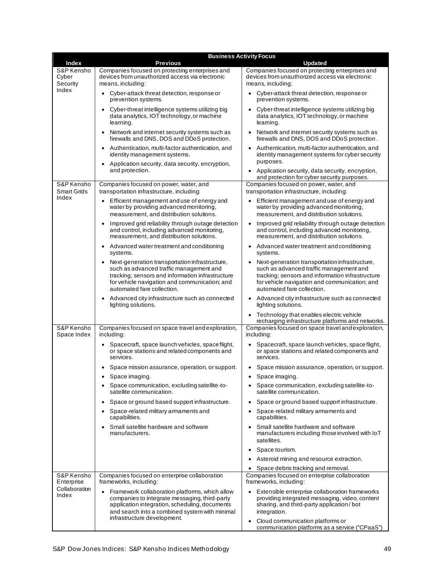|                                     | <b>Business Activity Focus</b><br><b>Previous</b><br><b>Updated</b>                                                                                                                                                          |                                                                                                                                                                                                                              |  |  |
|-------------------------------------|------------------------------------------------------------------------------------------------------------------------------------------------------------------------------------------------------------------------------|------------------------------------------------------------------------------------------------------------------------------------------------------------------------------------------------------------------------------|--|--|
| <b>Index</b><br>S&P Kensho<br>Cyber | Companies focused on protecting enterprises and<br>devices from unauthorized access via electronic                                                                                                                           | Companies focused on protecting enterprises and<br>devices from unauthorized access via electronic                                                                                                                           |  |  |
| Security<br>Index                   | means, including:                                                                                                                                                                                                            | means, including:                                                                                                                                                                                                            |  |  |
|                                     | • Cyber-attack threat detection, response or<br>prevention systems.                                                                                                                                                          | Cyber-attack threat detection, response or<br>prevention systems.                                                                                                                                                            |  |  |
|                                     | Cyber-threat intelligence systems utilizing big<br>data analytics, IOT technology, or machine<br>learning.                                                                                                                   | Cyber-threat intelligence systems utilizing big<br>data analytics, IOT technology, or machine<br>learning.                                                                                                                   |  |  |
|                                     | Network and internet security systems such as<br>$\bullet$<br>firewalls and DNS, DOS and DDoS protection.                                                                                                                    | Network and internet security systems such as<br>firewalls and DNS, DOS and DDoS protection.                                                                                                                                 |  |  |
|                                     | Authentication, multi-factor authentication, and<br>identity management systems.                                                                                                                                             | Authentication, multi-factor authentication, and<br>identity management systems for cyber security                                                                                                                           |  |  |
|                                     | Application security, data security, encryption,<br>$\bullet$<br>and protection.                                                                                                                                             | purposes.<br>Application security, data security, encryption,                                                                                                                                                                |  |  |
| S&P Kensho                          | Companies focused on power, water, and                                                                                                                                                                                       | and protection for cyber security purposes.<br>Companies focused on power, water, and                                                                                                                                        |  |  |
| <b>Smart Grids</b><br>Index         | transportation infrastructure, including:                                                                                                                                                                                    | transportation infrastructure, including:                                                                                                                                                                                    |  |  |
|                                     | • Efficient management and use of energy and<br>water by providing advanced monitoring,<br>measurement, and distribution solutions.                                                                                          | Efficient management and use of energy and<br>water by providing advanced monitoring,<br>measurement, and distribution solutions.                                                                                            |  |  |
|                                     | Improved grid reliability through outage detection<br>and control, including advanced monitoring,<br>measurement, and distribution solutions.                                                                                | Improved grid reliability through outage detection<br>and control, including advanced monitoring,<br>measurement, and distribution solutions.                                                                                |  |  |
|                                     | Advanced water treatment and conditioning<br>$\bullet$<br>systems.                                                                                                                                                           | Advanced water treatment and conditioning<br>systems.                                                                                                                                                                        |  |  |
|                                     | Next-generation transportation infrastructure,<br>such as advanced traffic management and<br>tracking; sensors and information infrastructure<br>for vehicle navigation and communication; and<br>automated fare collection. | Next-generation transportation infrastructure,<br>such as advanced traffic management and<br>tracking; sensors and information infrastructure<br>for vehicle navigation and communication; and<br>automated fare collection. |  |  |
|                                     | Advanced city infrastructure such as connected<br>$\bullet$<br>lighting solutions.                                                                                                                                           | Advanced city infrastructure such as connected<br>lighting solutions.                                                                                                                                                        |  |  |
|                                     |                                                                                                                                                                                                                              | Technology that enables electric vehicle<br>recharging infrastructure platforms and networks.                                                                                                                                |  |  |
| S&P Kensho<br>Space Index           | Companies focused on space travel and exploration,<br>including:                                                                                                                                                             | Companies focused on space travel and exploration,<br>including:                                                                                                                                                             |  |  |
|                                     | Spacecraft, space launch vehicles, space flight,<br>or space stations and related components and<br>services.                                                                                                                | Spacecraft, space launch vehicles, space flight,<br>$\bullet$<br>or space stations and related components and<br>services.                                                                                                   |  |  |
|                                     | Space mission assurance, operation, or support.                                                                                                                                                                              | Space mission assurance, operation, or support.                                                                                                                                                                              |  |  |
|                                     | Space imaging.                                                                                                                                                                                                               | Space imaging.                                                                                                                                                                                                               |  |  |
|                                     | Space communication, excluding satellite-to-<br>satellite communication.                                                                                                                                                     | Space communication, excluding satellite-to-<br>satellite communication.                                                                                                                                                     |  |  |
|                                     | Space or ground based support infrastructure.<br>$\bullet$                                                                                                                                                                   | Space or ground based support infrastructure.                                                                                                                                                                                |  |  |
|                                     | Space-related military armaments and<br>capabilities.                                                                                                                                                                        | Space-related military armaments and<br>capabilities.                                                                                                                                                                        |  |  |
|                                     | Small satellite hardware and software<br>manufacturers.                                                                                                                                                                      | Small satellite hardware and software<br>manufacturers including those involved with IoT<br>satellites.                                                                                                                      |  |  |
|                                     |                                                                                                                                                                                                                              | Space tourism.                                                                                                                                                                                                               |  |  |
|                                     |                                                                                                                                                                                                                              | Asteroid mining and resource extraction.                                                                                                                                                                                     |  |  |
|                                     |                                                                                                                                                                                                                              | Space debris tracking and removal.                                                                                                                                                                                           |  |  |
| S&P Kensho<br>Enterprise            | Companies focused on enterprise collaboration<br>frameworks, including:                                                                                                                                                      | Companies focused on enterprise collaboration<br>frameworks, including:                                                                                                                                                      |  |  |
| Collaboration<br>Index              | • Framework collaboration platforms, which allow<br>companies to integrate messaging, third-party<br>application integration, scheduling, documents<br>and search into a combined system with minimal                        | Extensible enterprise collaboration frameworks<br>providing integrated messaging, video, content<br>sharing, and third-party application/bot<br>integration.                                                                 |  |  |
|                                     | infrastructure development.                                                                                                                                                                                                  | Cloud communication platforms or<br>$\bullet$<br>communication platforms as a service ("CPaaS")                                                                                                                              |  |  |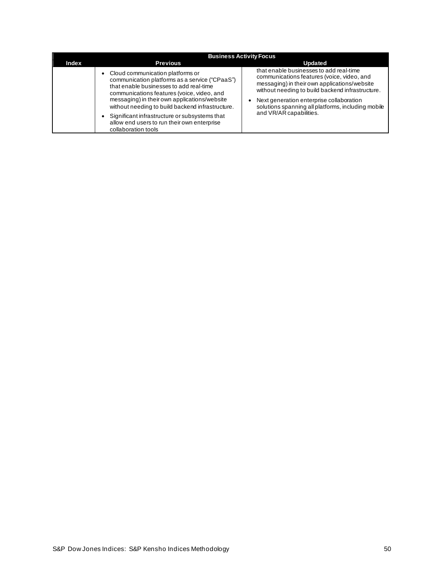|       | <b>Business Activity Focus</b>                                                                                                                                                                                                                                                                                                                                                                           |                                                                                                                                                                                                                                                                                                                        |  |
|-------|----------------------------------------------------------------------------------------------------------------------------------------------------------------------------------------------------------------------------------------------------------------------------------------------------------------------------------------------------------------------------------------------------------|------------------------------------------------------------------------------------------------------------------------------------------------------------------------------------------------------------------------------------------------------------------------------------------------------------------------|--|
| Index | <b>Previous</b>                                                                                                                                                                                                                                                                                                                                                                                          | <b>Updated</b>                                                                                                                                                                                                                                                                                                         |  |
|       | Cloud communication platforms or<br>communication platforms as a service ("CPaaS")<br>that enable businesses to add real-time<br>communications features (voice, video, and<br>messaging) in their own applications/website<br>without needing to build backend infrastructure.<br>• Significant infrastructure or subsystems that<br>allow end users to run their own enterprise<br>collaboration tools | that enable businesses to add real-time<br>communications features (voice, video, and<br>messaging) in their own applications/website<br>without needing to build backend infrastructure.<br>Next generation enterprise collaboration<br>solutions spanning all platforms, including mobile<br>and VR/AR capabilities. |  |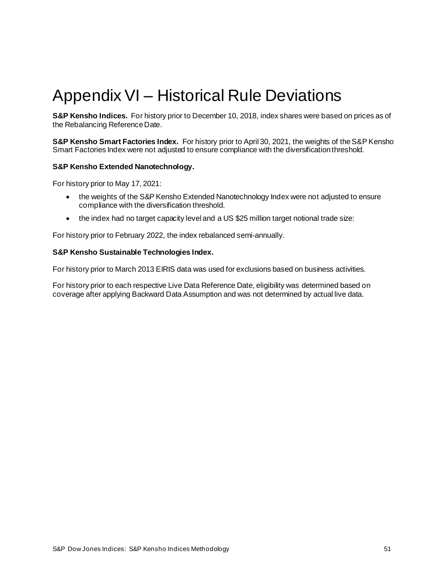# <span id="page-51-0"></span>Appendix VI – Historical Rule Deviations

**S&P Kensho Indices.** For history prior to December 10, 2018, index shares were based on prices as of the Rebalancing Reference Date.

**S&P Kensho Smart Factories Index.** For history prior to April 30, 2021, the weights of the S&P Kensho Smart Factories Index were not adjusted to ensure compliance with the diversification threshold.

### **S&P Kensho Extended Nanotechnology.**

For history prior to May 17, 2021:

- the weights of the S&P Kensho Extended Nanotechnology Index were not adjusted to ensure compliance with the diversification threshold.
- the index had no target capacity level and a US \$25 million target notional trade size:

For history prior to February 2022, the index rebalanced semi-annually.

#### **S&P Kensho Sustainable Technologies Index.**

For history prior to March 2013 EIRIS data was used for exclusions based on business activities.

For history prior to each respective Live Data Reference Date, eligibility was determined based on coverage after applying Backward Data Assumption and was not determined by actual live data.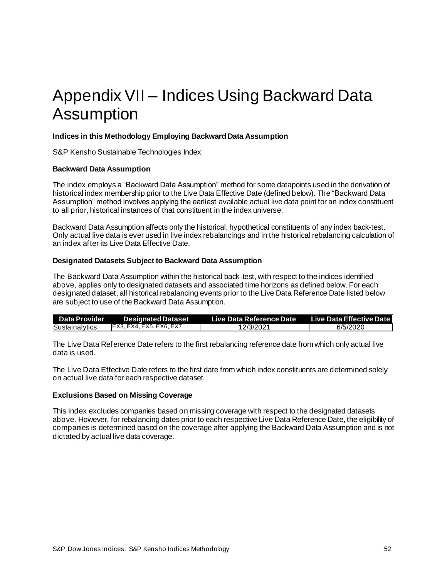# <span id="page-52-0"></span>Appendix VII – Indices Using Backward Data Assumption

### <span id="page-52-1"></span>**Indices in this Methodology Employing Backward Data Assumption**

<span id="page-52-2"></span>S&P Kensho Sustainable Technologies Index

### **Backward Data Assumption**

The index employs a "Backward Data Assumption" method for some datapoints used in the derivation of historical index membership prior to the Live Data Effective Date (defined below). The "Backward Data Assumption" method involves applying the earliest available actual live data point for an index constituent to all prior, historical instances of that constituent in the index universe.

Backward Data Assumption affects only the historical, hypothetical constituents of any index back-test. Only actual live data is ever used in live index rebalancings and in the historical rebalancing calculation of an index after its Live Data Effective Date.

### <span id="page-52-3"></span>**Designated Datasets Subject to Backward Data Assumption**

The Backward Data Assumption within the historical back-test, with respect to the indices identified above, applies only to designated datasets and associated time horizons as defined below. For each designated dataset, all historical rebalancing events prior to the Live Data Reference Date listed below are subject to use of the Backward Data Assumption.

| <b>Data Provider</b> | <b>Designated Dataset</b> | Live Data Reference Date | Live Data Effective Date |
|----------------------|---------------------------|--------------------------|--------------------------|
| Sustainalytics       | IEX3. EX4. EX5. EX6. EX7  | 12/3/2021                | 6/5/2020                 |

The Live Data Reference Date refers to the first rebalancing reference date from which only actual live data is used.

The Live Data Effective Date refers to the first date from which index constituents are determined solely on actual live data for each respective dataset.

#### <span id="page-52-4"></span>**Exclusions Based on Missing Coverage**

This index excludes companies based on missing coverage with respect to the designated datasets above. However, for rebalancing dates prior to each respective Live Data Reference Date, the eligibility of companies is determined based on the coverage after applying the Backward Data Assumption and is not dictated by actual live data coverage.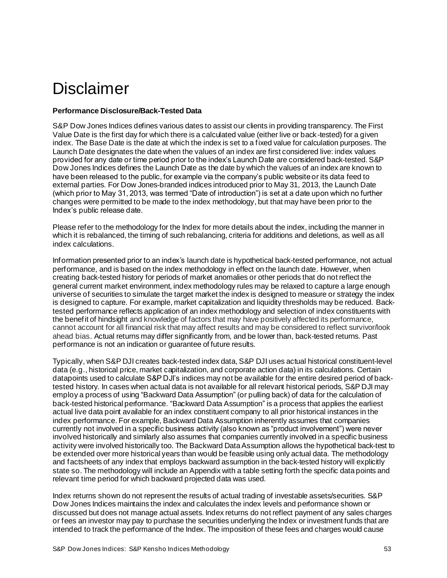# <span id="page-53-0"></span>Disclaimer

# <span id="page-53-1"></span>**Performance Disclosure/Back-Tested Data**

S&P Dow Jones Indices defines various dates to assist our clients in providing transparency. The First Value Date is the first day for which there is a calculated value (either live or back-tested) for a given index. The Base Date is the date at which the index is set to a fixed value for calculation purposes. The Launch Date designates the date when the values of an index are first considered live: index values provided for any date or time period prior to the index's Launch Date are considered back-tested. S&P Dow Jones Indices defines the Launch Date as the date by which the values of an index are known to have been released to the public, for example via the company's public website or its data feed to external parties. For Dow Jones-branded indices introduced prior to May 31, 2013, the Launch Date (which prior to May 31, 2013, was termed "Date of introduction") is set at a date upon which no further changes were permitted to be made to the index methodology, but that may have been prior to the Index's public release date.

Please refer to the methodology for the Index for more details about the index, including the manner in which it is rebalanced, the timing of such rebalancing, criteria for additions and deletions, as well as all index calculations.

Information presented prior to an index's launch date is hypothetical back-tested performance, not actual performance, and is based on the index methodology in effect on the launch date. However, when creating back-tested history for periods of market anomalies or other periods that do not reflect the general current market environment, index methodology rules may be relaxed to capture a large enough universe of securities to simulate the target market the index is designed to measure or strategy the index is designed to capture. For example, market capitalization and liquidity thresholds may be reduced. Backtested performance reflects application of an index methodology and selection of index constituents with the benefit of hindsight and knowledge of factors that may have positively affected its performance, cannot account for all financial risk that may affect results and may be considered to reflect survivor/look ahead bias. Actual returns may differ significantly from, and be lower than, back-tested returns. Past performance is not an indication or guarantee of future results.

Typically, when S&P DJI creates back-tested index data, S&P DJI uses actual historical constituent-level data (e.g., historical price, market capitalization, and corporate action data) in its calculations. Certain datapoints used to calculate S&P DJI's indices may not be available for the entire desired period of backtested history. In cases when actual data is not available for all relevant historical periods, S&P DJI may employ a process of using "Backward Data Assumption" (or pulling back) of data for the calculation of back-tested historical performance. "Backward Data Assumption" is a process that applies the earliest actual live data point available for an index constituent company to all prior historical instances in the index performance. For example, Backward Data Assumption inherently assumes that companies currently not involved in a specific business activity (also known as "product involvement") were never involved historically and similarly also assumes that companies currently involved in a specific business activity were involved historically too. The Backward Data Assumption allows the hypothetical back-test to be extended over more historical years than would be feasible using only actual data. The methodology and factsheets of any index that employs backward assumption in the back-tested history will explicitly state so. The methodology will include an Appendix with a table setting forth the specific data points and relevant time period for which backward projected data was used.

Index returns shown do not represent the results of actual trading of investable assets/securities. S&P Dow Jones Indices maintains the index and calculates the index levels and performance shown or discussed but does not manage actual assets. Index returns do not reflect payment of any sales charges or fees an investor may pay to purchase the securities underlying the Index or investment funds that are intended to track the performance of the Index. The imposition of these fees and charges would cause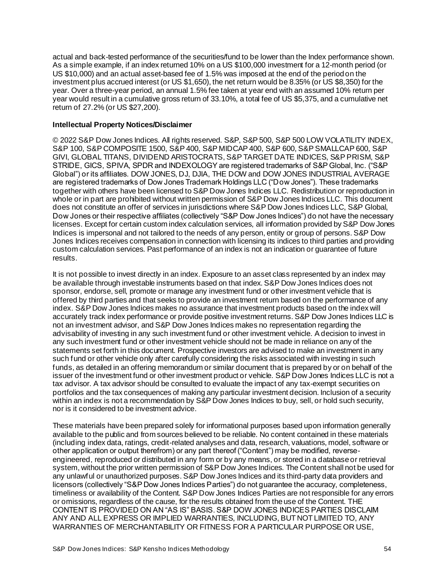actual and back-tested performance of the securities/fund to be lower than the Index performance shown. As a simple example, if an index returned 10% on a US \$100,000 investment for a 12-month period (or US \$10,000) and an actual asset-based fee of 1.5% was imposed at the end of the period on the investment plus accrued interest (or US \$1,650), the net return would be 8.35% (or US \$8,350) for the year. Over a three-year period, an annual 1.5% fee taken at year end with an assumed 10% return per year would result in a cumulative gross return of 33.10%, a total fee of US \$5,375, and a cumulative net return of 27.2% (or US \$27,200).

### <span id="page-54-0"></span>**Intellectual Property Notices/Disclaimer**

© 2022 S&P Dow Jones Indices. All rights reserved. S&P, S&P 500, S&P 500 LOW VOLATILITY INDEX, S&P 100, S&P COMPOSITE 1500, S&P 400, S&P MIDCAP 400, S&P 600, S&P SMALLCAP 600, S&P GIVI, GLOBAL TITANS, DIVIDEND ARISTOCRATS, S&P TARGET DATE INDICES, S&P PRISM, S&P STRIDE, GICS, SPIVA, SPDR and INDEXOLOGY are registered trademarks of S&P Global, Inc. ("S&P Global") or its affiliates. DOW JONES, DJ, DJIA, THE DOW and DOW JONES INDUSTRIAL AVERAGE are registered trademarks of Dow Jones Trademark Holdings LLC ("Dow Jones"). These trademarks together with others have been licensed to S&P Dow Jones Indices LLC. Redistribution or reproduction in whole or in part are prohibited without written permission of S&P Dow Jones Indices LLC. This document does not constitute an offer of services in jurisdictions where S&P Dow Jones Indices LLC, S&P Global, Dow Jones or their respective affiliates (collectively "S&P Dow Jones Indices") do not have the necessary licenses. Except for certain custom index calculation services, all information provided by S&P Dow Jones Indices is impersonal and not tailored to the needs of any person, entity or group of persons. S&P Dow Jones Indices receives compensation in connection with licensing its indices to third parties and providing custom calculation services. Past performance of an index is not an indication or guarantee of future results.

It is not possible to invest directly in an index. Exposure to an asset class represented by an index may be available through investable instruments based on that index. S&P Dow Jones Indices does not sponsor, endorse, sell, promote or manage any investment fund or other investment vehicle that is offered by third parties and that seeks to provide an investment return based on the performance of any index. S&P Dow Jones Indices makes no assurance that investment products based on the index will accurately track index performance or provide positive investment returns. S&P Dow Jones Indices LLC is not an investment advisor, and S&P Dow Jones Indices makes no representation regarding the advisability of investing in any such investment fund or other investment vehicle. A decision to invest in any such investment fund or other investment vehicle should not be made in reliance on any of the statements set forth in this document. Prospective investors are advised to make an investment in any such fund or other vehicle only after carefully considering the risks associated with investing in such funds, as detailed in an offering memorandum or similar document that is prepared by or on behalf of the issuer of the investment fund or other investment product or vehicle. S&P Dow Jones Indices LLC is not a tax advisor. A tax advisor should be consulted to evaluate the impact of any tax-exempt securities on portfolios and the tax consequences of making any particular investment decision. Inclusion of a security within an index is not a recommendation by S&P Dow Jones Indices to buy, sell, or hold such security, nor is it considered to be investment advice.

These materials have been prepared solely for informational purposes based upon information generally available to the public and from sources believed to be reliable. No content contained in these materials (including index data, ratings, credit-related analyses and data, research, valuations, model, software or other application or output therefrom) or any part thereof ("Content") may be modified, reverseengineered, reproduced or distributed in any form or by any means, or stored in a database or retrieval system, without the prior written permission of S&P Dow Jones Indices. The Content shall not be used for any unlawful or unauthorized purposes. S&P Dow Jones Indices and its third-party data providers and licensors (collectively "S&P Dow Jones Indices Parties") do not guarantee the accuracy, completeness, timeliness or availability of the Content. S&P Dow Jones Indices Parties are not responsible for any errors or omissions, regardless of the cause, for the results obtained from the use of the Content. THE CONTENT IS PROVIDED ON AN "AS IS" BASIS. S&P DOW JONES INDICES PARTIES DISCLAIM ANY AND ALL EXPRESS OR IMPLIED WARRANTIES, INCLUDING, BUT NOT LIMITED TO, ANY WARRANTIES OF MERCHANTABILITY OR FITNESS FOR A PARTICULAR PURPOSE OR USE,